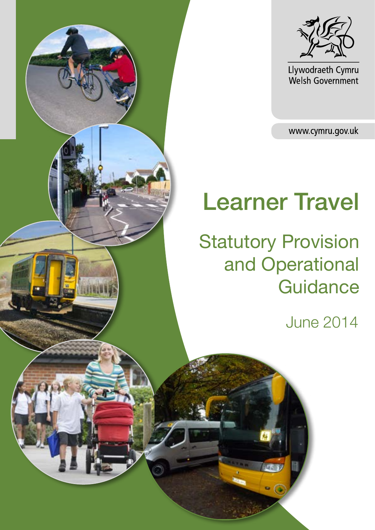



Llywodraeth Cymru<br>Welsh Government

www.cymru.gov.uk

# Learner Travel

**Statutory Provision** and Operational **Guidance** 

June 2014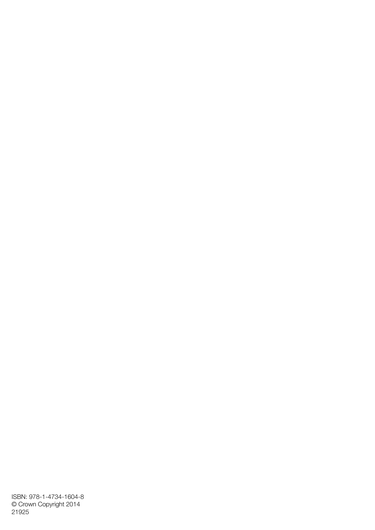ISBN: 978-1-4734-1604-8 © Crown Copyright 2014 21925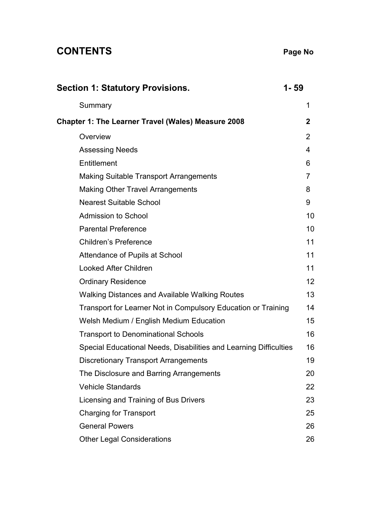# **CONTENTS Page No**

| <b>Section 1: Statutory Provisions.</b>                           | 1-59           |
|-------------------------------------------------------------------|----------------|
| Summary                                                           | 1              |
| Chapter 1: The Learner Travel (Wales) Measure 2008                | 2              |
| Overview                                                          | $\overline{2}$ |
| <b>Assessing Needs</b>                                            | 4              |
| Entitlement                                                       | 6              |
| <b>Making Suitable Transport Arrangements</b>                     | $\overline{7}$ |
| <b>Making Other Travel Arrangements</b>                           | 8              |
| <b>Nearest Suitable School</b>                                    | 9              |
| <b>Admission to School</b>                                        | 10             |
| <b>Parental Preference</b>                                        | 10             |
| <b>Children's Preference</b>                                      | 11             |
| Attendance of Pupils at School                                    | 11             |
| <b>Looked After Children</b>                                      | 11             |
| <b>Ordinary Residence</b>                                         | 12             |
| <b>Walking Distances and Available Walking Routes</b>             | 13             |
| Transport for Learner Not in Compulsory Education or Training     | 14             |
| Welsh Medium / English Medium Education                           | 15             |
| <b>Transport to Denominational Schools</b>                        | 16             |
| Special Educational Needs, Disabilities and Learning Difficulties | 16             |
| <b>Discretionary Transport Arrangements</b>                       | 19             |
| The Disclosure and Barring Arrangements                           | 20             |
| <b>Vehicle Standards</b>                                          | 22             |
| Licensing and Training of Bus Drivers                             | 23             |
| <b>Charging for Transport</b>                                     | 25             |
| <b>General Powers</b>                                             | 26             |
| <b>Other Legal Considerations</b>                                 | 26             |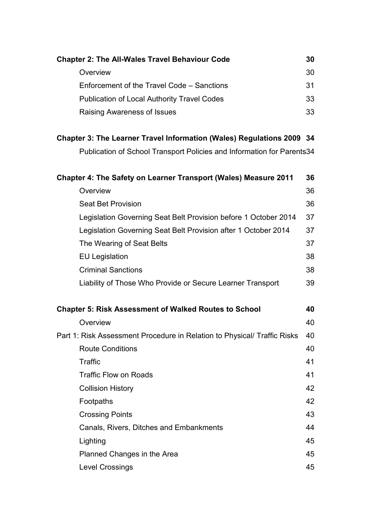| <b>Chapter 2: The All-Wales Travel Behaviour Code</b>                        | 30 |
|------------------------------------------------------------------------------|----|
| Overview                                                                     | 30 |
| Enforcement of the Travel Code - Sanctions                                   | 31 |
| <b>Publication of Local Authority Travel Codes</b>                           | 33 |
| Raising Awareness of Issues                                                  | 33 |
| <b>Chapter 3: The Learner Travel Information (Wales) Regulations 2009 34</b> |    |
| Publication of School Transport Policies and Information for Parents34       |    |
| Chapter 4: The Safety on Learner Transport (Wales) Measure 2011              | 36 |
| Overview                                                                     | 36 |
| <b>Seat Bet Provision</b>                                                    | 36 |
| Legislation Governing Seat Belt Provision before 1 October 2014              | 37 |
| Legislation Governing Seat Belt Provision after 1 October 2014               | 37 |
| The Wearing of Seat Belts                                                    | 37 |
| <b>EU Legislation</b>                                                        | 38 |
| <b>Criminal Sanctions</b>                                                    | 38 |
| Liability of Those Who Provide or Secure Learner Transport                   | 39 |
| <b>Chapter 5: Risk Assessment of Walked Routes to School</b>                 | 40 |
| Overview                                                                     | 40 |
| Part 1: Risk Assessment Procedure in Relation to Physical/ Traffic Risks     | 40 |
| <b>Route Conditions</b>                                                      | 40 |
| Traffic                                                                      | 41 |
| <b>Traffic Flow on Roads</b>                                                 | 41 |
| <b>Collision History</b>                                                     | 42 |
| Footpaths                                                                    | 42 |
| <b>Crossing Points</b>                                                       | 43 |
| Canals, Rivers, Ditches and Embankments                                      | 44 |
| Lighting                                                                     | 45 |
| Planned Changes in the Area                                                  | 45 |
| <b>Level Crossings</b>                                                       | 45 |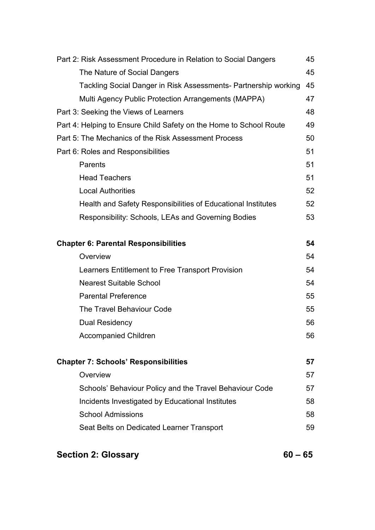| Part 2: Risk Assessment Procedure in Relation to Social Dangers    | 45 |
|--------------------------------------------------------------------|----|
| The Nature of Social Dangers                                       | 45 |
| Tackling Social Danger in Risk Assessments- Partnership working    | 45 |
| Multi Agency Public Protection Arrangements (MAPPA)                | 47 |
| Part 3: Seeking the Views of Learners                              | 48 |
| Part 4: Helping to Ensure Child Safety on the Home to School Route | 49 |
| Part 5: The Mechanics of the Risk Assessment Process               | 50 |
| Part 6: Roles and Responsibilities                                 | 51 |
| Parents                                                            | 51 |
| <b>Head Teachers</b>                                               | 51 |
| <b>Local Authorities</b>                                           | 52 |
| Health and Safety Responsibilities of Educational Institutes       | 52 |
| Responsibility: Schools, LEAs and Governing Bodies                 | 53 |
|                                                                    |    |
| <b>Chapter 6: Parental Responsibilities</b>                        | 54 |
| Overview                                                           | 54 |
| Learners Entitlement to Free Transport Provision                   | 54 |
| <b>Nearest Suitable School</b>                                     | 54 |
| <b>Parental Preference</b>                                         | 55 |
| The Travel Behaviour Code                                          | 55 |
| Dual Residency                                                     | 56 |
| <b>Accompanied Children</b>                                        | 56 |
|                                                                    |    |
| <b>Chapter 7: Schools' Responsibilities</b>                        | 57 |
| Overview                                                           | 57 |
| Schools' Behaviour Policy and the Travel Behaviour Code            | 57 |
| Incidents Investigated by Educational Institutes                   | 58 |
| <b>School Admissions</b>                                           | 58 |
| Seat Belts on Dedicated Learner Transport                          | 59 |
|                                                                    |    |

# **Section 2: Glossary 60 – 65**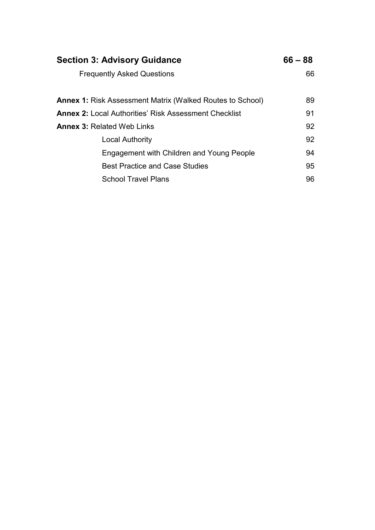| <b>Section 3: Advisory Guidance</b>                              | $66 - 88$ |
|------------------------------------------------------------------|-----------|
| <b>Frequently Asked Questions</b>                                | 66        |
| <b>Annex 1: Risk Assessment Matrix (Walked Routes to School)</b> | 89        |
| <b>Annex 2: Local Authorities' Risk Assessment Checklist</b>     | 91        |
| <b>Annex 3: Related Web Links</b>                                | 92        |
| <b>Local Authority</b>                                           | 92        |
| Engagement with Children and Young People                        | 94        |
| <b>Best Practice and Case Studies</b>                            | 95        |
| <b>School Travel Plans</b>                                       | 96        |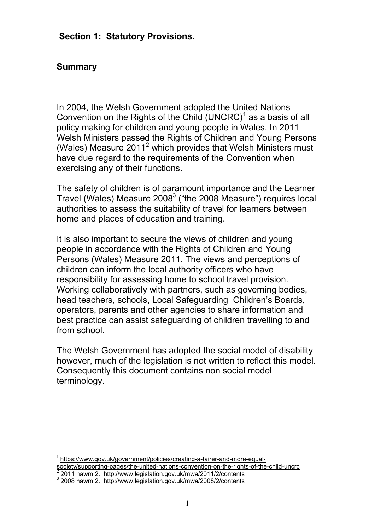#### **Section 1: Statutory Provisions.**

### **Summary**

In 2004, the Welsh Government adopted the United Nations Convention on the Rights of the Child  $(UNERC)^{1}$  as a basis of all policy making for children and young people in Wales. In 2011 Welsh Ministers passed the Rights of Children and Young Persons (Wales) Measure 2011<sup>2</sup> which provides that Welsh Ministers must have due regard to the requirements of the Convention when exercising any of their functions.

The safety of children is of paramount importance and the Learner Travel (Wales) Measure 2008<sup>3</sup> ("the 2008 Measure") requires local authorities to assess the suitability of travel for learners between home and places of education and training.

It is also important to secure the views of children and young people in accordance with the Rights of Children and Young Persons (Wales) Measure 2011. The views and perceptions of children can inform the local authority officers who have responsibility for assessing home to school travel provision. Working collaboratively with partners, such as governing bodies, head teachers, schools, Local Safeguarding Children's Boards, operators, parents and other agencies to share information and best practice can assist safeguarding of children travelling to and from school.

The Welsh Government has adopted the social model of disability however, much of the legislation is not written to reflect this model. Consequently this document contains non social model terminology.

<sup>1</sup> https://www.gov.uk/government/policies/creating-a-fairer-and-more-equalsociety/supporting-pages/the-united-nations-convention-on-the-rights-of-the-child-uncrc 2

<sup>2011</sup> nawm 2. http://www.legislation.gov.uk/mwa/2011/2/contents

<sup>3</sup> 2008 nawm 2. http://www.legislation.gov.uk/mwa/2008/2/contents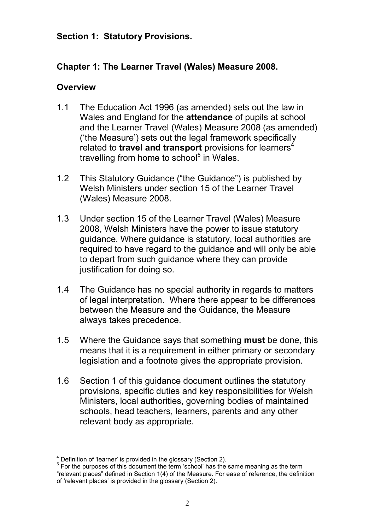#### **Section 1: Statutory Provisions.**

# **Chapter 1: The Learner Travel (Wales) Measure 2008.**

# **Overview**

- 1.1 The Education Act 1996 (as amended) sets out the law in Wales and England for the **attendance** of pupils at school and the Learner Travel (Wales) Measure 2008 (as amended) ('the Measure') sets out the legal framework specifically related to **travel and transport** provisions for learners<sup>4</sup> travelling from home to school<sup>5</sup> in Wales.
- 1.2 This Statutory Guidance ("the Guidance") is published by Welsh Ministers under section 15 of the Learner Travel (Wales) Measure 2008.
- 1.3 Under section 15 of the Learner Travel (Wales) Measure 2008, Welsh Ministers have the power to issue statutory guidance. Where guidance is statutory, local authorities are required to have regard to the guidance and will only be able to depart from such guidance where they can provide justification for doing so.
- 1.4 The Guidance has no special authority in regards to matters of legal interpretation. Where there appear to be differences between the Measure and the Guidance, the Measure always takes precedence.
- 1.5 Where the Guidance says that something **must** be done, this means that it is a requirement in either primary or secondary legislation and a footnote gives the appropriate provision.
- 1.6 Section 1 of this guidance document outlines the statutory provisions, specific duties and key responsibilities for Welsh Ministers, local authorities, governing bodies of maintained schools, head teachers, learners, parents and any other relevant body as appropriate.

 $4$  Definition of 'learner' is provided in the glossary (Section 2).

<sup>&</sup>lt;sup>5</sup> For the purposes of this document the term 'school' has the same meaning as the term "relevant places" defined in Section 1(4) of the Measure. For ease of reference, the definition of 'relevant places' is provided in the glossary (Section 2).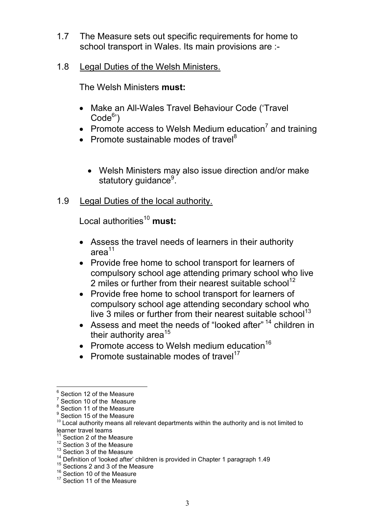- 1.7 The Measure sets out specific requirements for home to school transport in Wales. Its main provisions are :-
- 1.8 Legal Duties of the Welsh Ministers.

The Welsh Ministers **must:**

- Make an All-Wales Travel Behaviour Code ('Travel Code<sup>6</sup>')
- Promote access to Welsh Medium education<sup>7</sup> and training
- Promote sustainable modes of travel<sup>8</sup>
	- Welsh Ministers may also issue direction and/or make statutory guidance<sup>9</sup>.
- 1.9 Legal Duties of the local authority.

Local authorities<sup>10</sup> must:

- Assess the travel needs of learners in their authority  $area<sup>11</sup>$
- Provide free home to school transport for learners of compulsory school age attending primary school who live 2 miles or further from their nearest suitable school<sup>12</sup>
- Provide free home to school transport for learners of compulsory school age attending secondary school who live  $3$  miles or further from their nearest suitable school<sup>13</sup>
- Assess and meet the needs of "looked after" <sup>14</sup> children in their authority area<sup>15</sup>
- Promote access to Welsh medium education<sup>16</sup>
- Promote sustainable modes of travel<sup>17</sup>

<sup>&</sup>lt;sup>6</sup> Section 12 of the Measure

<sup>7</sup> Section 10 of the Measure

<sup>&</sup>lt;sup>8</sup> Section 11 of the Measure

<sup>&</sup>lt;sup>9</sup> Section 15 of the Measure

 $10$  Local authority means all relevant departments within the authority and is not limited to learner travel teams

 $11$  Section 2 of the Measure

 $12$  Section 3 of the Measure

<sup>&</sup>lt;sup>13</sup> Section 3 of the Measure

<sup>&</sup>lt;sup>14</sup> Definition of 'looked after' children is provided in Chapter 1 paragraph 1.49

<sup>&</sup>lt;sup>15</sup> Sections 2 and 3 of the Measure

<sup>&</sup>lt;sup>16</sup> Section 10 of the Measure

<sup>&</sup>lt;sup>17</sup> Section 11 of the Measure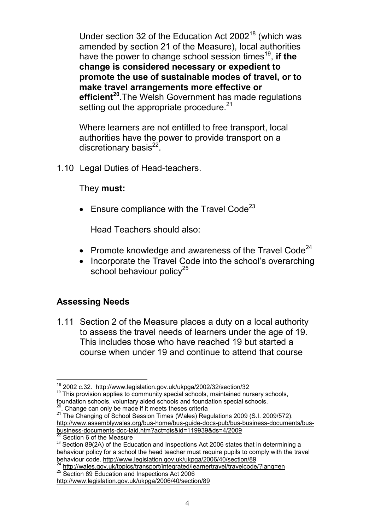Under section 32 of the Education Act 2002<sup>18</sup> (which was amended by section 21 of the Measure), local authorities have the power to change school session times<sup>19</sup>, if the **change is considered necessary or expedient to promote the use of sustainable modes of travel, or to make travel arrangements more effective or efficient<sup>20</sup>**.The Welsh Government has made regulations setting out the appropriate procedure.<sup>21</sup>

Where learners are not entitled to free transport, local authorities have the power to provide transport on a discretionary basis<sup>22</sup>.

1.10 Legal Duties of Head-teachers.

#### They **must:**

• Ensure compliance with the Travel Code<sup>23</sup>

Head Teachers should also:

- Promote knowledge and awareness of the Travel Code<sup>24</sup>
- Incorporate the Travel Code into the school's overarching school behaviour policy $25$

#### **Assessing Needs**

1.11 Section 2 of the Measure places a duty on a local authority to assess the travel needs of learners under the age of 19. This includes those who have reached 19 but started a course when under 19 and continue to attend that course

24 http://wales.gov.uk/topics/transport/integrated/learnertravel/travelcode/?lang=en <sup>25</sup> Section 89 Education and Inspections Act 2006 http://www.legislation.gov.uk/ukpga/2006/40/section/89

<sup>18</sup> 2002 c.32. http://www.legislation.gov.uk/ukpga/2002/32/section/32

<sup>&</sup>lt;sup>19</sup> This provision applies to community special schools, maintained nursery schools, foundation schools, voluntary aided schools and foundation special schools.

 $20$ . Change can only be made if it meets theses criteria

<sup>&</sup>lt;sup>21</sup> The Changing of School Session Times (Wales) Regulations 2009 (S.I. 2009/572). http://www.assemblywales.org/bus-home/bus-guide-docs-pub/bus-business-documents/busbusiness-documents-doc-laid.htm?act=dis&id=119939&ds=4/2009

 $22$  Section 6 of the Measure

<sup>&</sup>lt;sup>23</sup> Section 89(2A) of the Education and Inspections Act 2006 states that in determining a behaviour policy for a school the head teacher must require pupils to comply with the travel behaviour code. http://www.legislation.gov.uk/ukpga/2006/40/section/89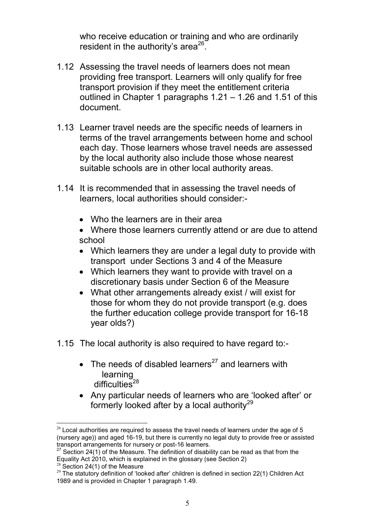who receive education or training and who are ordinarily resident in the authority's area $^{26}$ .

- 1.12 Assessing the travel needs of learners does not mean providing free transport. Learners will only qualify for free transport provision if they meet the entitlement criteria outlined in Chapter 1 paragraphs 1.21 – 1.26 and 1.51 of this document.
- 1.13 Learner travel needs are the specific needs of learners in terms of the travel arrangements between home and school each day. Those learners whose travel needs are assessed by the local authority also include those whose nearest suitable schools are in other local authority areas.
- 1.14 It is recommended that in assessing the travel needs of learners, local authorities should consider:-
	- Who the learners are in their area
	- Where those learners currently attend or are due to attend school
	- Which learners they are under a legal duty to provide with transport under Sections 3 and 4 of the Measure
	- Which learners they want to provide with travel on a discretionary basis under Section 6 of the Measure
	- What other arrangements already exist / will exist for those for whom they do not provide transport (e.g. does the further education college provide transport for 16-18 year olds?)
- 1.15 The local authority is also required to have regard to:-
	- The needs of disabled learners<sup>27</sup> and learners with learning difficulties<sup>28</sup>
	- Any particular needs of learners who are 'looked after' or formerly looked after by a local authority<sup>29</sup>

 $26$  Local authorities are required to assess the travel needs of learners under the age of 5 (nursery age)) and aged 16-19, but there is currently no legal duty to provide free or assisted transport arrangements for nursery or post-16 learners.

 $27$  Section 24(1) of the Measure. The definition of disability can be read as that from the Equality Act 2010, which is explained in the glossary (see Section 2)

Section  $24(1)$  of the Measure

 $29$  The statutory definition of 'looked after' children is defined in section 22(1) Children Act 1989 and is provided in Chapter 1 paragraph 1.49.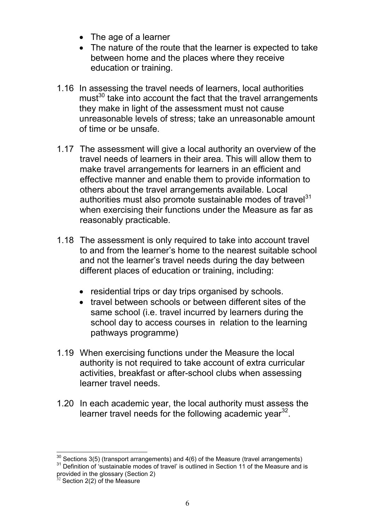- The age of a learner
- The nature of the route that the learner is expected to take between home and the places where they receive education or training.
- 1.16 In assessing the travel needs of learners, local authorities must<sup>30</sup> take into account the fact that the travel arrangements they make in light of the assessment must not cause unreasonable levels of stress; take an unreasonable amount of time or be unsafe.
- 1.17 The assessment will give a local authority an overview of the travel needs of learners in their area. This will allow them to make travel arrangements for learners in an efficient and effective manner and enable them to provide information to others about the travel arrangements available. Local authorities must also promote sustainable modes of travel $31$ when exercising their functions under the Measure as far as reasonably practicable.
- 1.18 The assessment is only required to take into account travel to and from the learner's home to the nearest suitable school and not the learner's travel needs during the day between different places of education or training, including:
	- residential trips or day trips organised by schools.
	- travel between schools or between different sites of the same school (i.e. travel incurred by learners during the school day to access courses in relation to the learning pathways programme)
- 1.19 When exercising functions under the Measure the local authority is not required to take account of extra curricular activities, breakfast or after-school clubs when assessing learner travel needs.
- 1.20 In each academic year, the local authority must assess the learner travel needs for the following academic year<sup>32</sup>.

 $30$  Sections 3(5) (transport arrangements) and 4(6) of the Measure (travel arrangements)

<sup>&</sup>lt;sup>31</sup> Definition of 'sustainable modes of travel' is outlined in Section 11 of the Measure and is provided in the glossary (Section 2)

 $32$  Section 2(2) of the Measure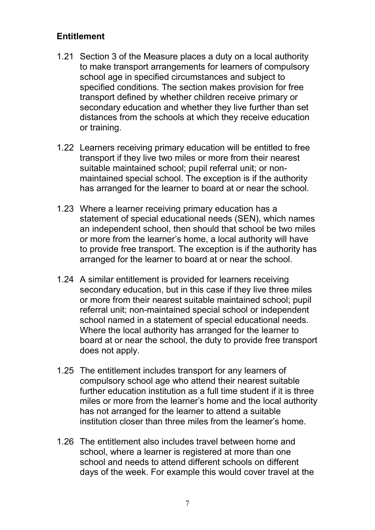#### **Entitlement**

- 1.21 Section 3 of the Measure places a duty on a local authority to make transport arrangements for learners of compulsory school age in specified circumstances and subject to specified conditions. The section makes provision for free transport defined by whether children receive primary or secondary education and whether they live further than set distances from the schools at which they receive education or training.
- 1.22 Learners receiving primary education will be entitled to free transport if they live two miles or more from their nearest suitable maintained school; pupil referral unit; or nonmaintained special school. The exception is if the authority has arranged for the learner to board at or near the school.
- 1.23 Where a learner receiving primary education has a statement of special educational needs (SEN), which names an independent school, then should that school be two miles or more from the learner's home, a local authority will have to provide free transport. The exception is if the authority has arranged for the learner to board at or near the school.
- 1.24 A similar entitlement is provided for learners receiving secondary education, but in this case if they live three miles or more from their nearest suitable maintained school; pupil referral unit; non-maintained special school or independent school named in a statement of special educational needs. Where the local authority has arranged for the learner to board at or near the school, the duty to provide free transport does not apply.
- 1.25 The entitlement includes transport for any learners of compulsory school age who attend their nearest suitable further education institution as a full time student if it is three miles or more from the learner's home and the local authority has not arranged for the learner to attend a suitable institution closer than three miles from the learner's home.
- 1.26 The entitlement also includes travel between home and school, where a learner is registered at more than one school and needs to attend different schools on different days of the week. For example this would cover travel at the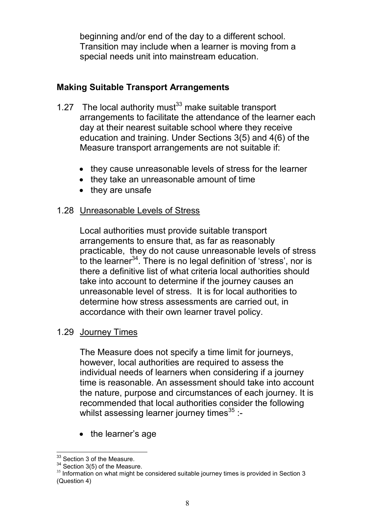beginning and/or end of the day to a different school. Transition may include when a learner is moving from a special needs unit into mainstream education.

# **Making Suitable Transport Arrangements**

- 1.27 The local authority must<sup>33</sup> make suitable transport arrangements to facilitate the attendance of the learner each day at their nearest suitable school where they receive education and training. Under Sections 3(5) and 4(6) of the Measure transport arrangements are not suitable if:
	- they cause unreasonable levels of stress for the learner
	- they take an unreasonable amount of time
	- they are unsafe

# 1.28 Unreasonable Levels of Stress

Local authorities must provide suitable transport arrangements to ensure that, as far as reasonably practicable, they do not cause unreasonable levels of stress to the learner<sup>34</sup>. There is no legal definition of 'stress', nor is there a definitive list of what criteria local authorities should take into account to determine if the journey causes an unreasonable level of stress. It is for local authorities to determine how stress assessments are carried out, in accordance with their own learner travel policy.

#### 1.29 Journey Times

The Measure does not specify a time limit for journeys, however, local authorities are required to assess the individual needs of learners when considering if a journey time is reasonable. An assessment should take into account the nature, purpose and circumstances of each journey. It is recommended that local authorities consider the following whilst assessing learner journey times $^{35}$  :-

• the learner's age

<sup>&</sup>lt;sup>33</sup> Section 3 of the Measure.

<sup>34</sup> Section 3(5) of the Measure.

 $35$  Information on what might be considered suitable journey times is provided in Section 3 (Question 4)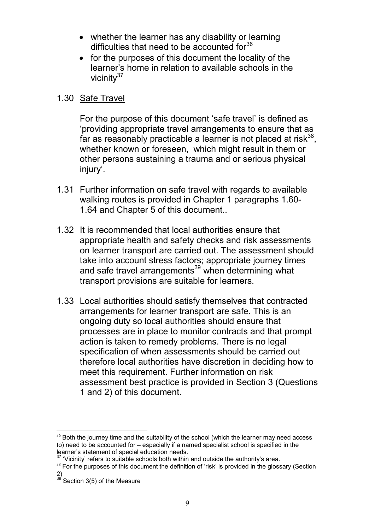- whether the learner has any disability or learning difficulties that need to be accounted for $36$
- for the purposes of this document the locality of the learner's home in relation to available schools in the vicinity $37$

#### 1.30 Safe Travel

For the purpose of this document 'safe travel' is defined as 'providing appropriate travel arrangements to ensure that as far as reasonably practicable a learner is not placed at risk $^{38}$ , whether known or foreseen, which might result in them or other persons sustaining a trauma and or serious physical injury'.

- 1.31 Further information on safe travel with regards to available walking routes is provided in Chapter 1 paragraphs 1.60- 1.64 and Chapter 5 of this document..
- 1.32 It is recommended that local authorities ensure that appropriate health and safety checks and risk assessments on learner transport are carried out. The assessment should take into account stress factors; appropriate journey times and safe travel arrangements<sup>39</sup> when determining what transport provisions are suitable for learners.
- 1.33 Local authorities should satisfy themselves that contracted arrangements for learner transport are safe. This is an ongoing duty so local authorities should ensure that processes are in place to monitor contracts and that prompt action is taken to remedy problems. There is no legal specification of when assessments should be carried out therefore local authorities have discretion in deciding how to meet this requirement. Further information on risk assessment best practice is provided in Section 3 (Questions 1 and 2) of this document.

 $36$  Both the journey time and the suitability of the school (which the learner may need access to) need to be accounted for – especially if a named specialist school is specified in the learner's statement of special education needs.

 $37$  'Vicinity' refers to suitable schools both within and outside the authority's area.

<sup>&</sup>lt;sup>38</sup> For the purposes of this document the definition of 'risk' is provided in the glossary (Section 2)

<sup>&</sup>lt;sup>39</sup> Section 3(5) of the Measure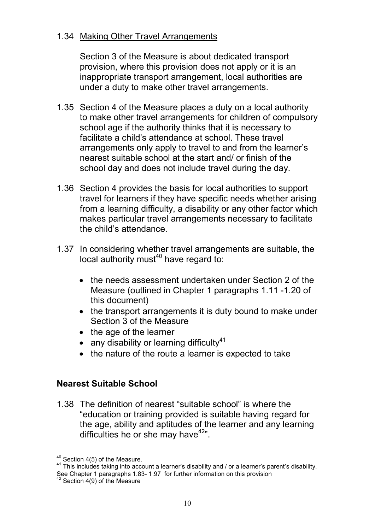#### 1.34 Making Other Travel Arrangements

Section 3 of the Measure is about dedicated transport provision, where this provision does not apply or it is an inappropriate transport arrangement, local authorities are under a duty to make other travel arrangements.

- 1.35 Section 4 of the Measure places a duty on a local authority to make other travel arrangements for children of compulsory school age if the authority thinks that it is necessary to facilitate a child's attendance at school. These travel arrangements only apply to travel to and from the learner's nearest suitable school at the start and/ or finish of the school day and does not include travel during the day.
- 1.36 Section 4 provides the basis for local authorities to support travel for learners if they have specific needs whether arising from a learning difficulty, a disability or any other factor which makes particular travel arrangements necessary to facilitate the child's attendance.
- 1.37 In considering whether travel arrangements are suitable, the local authority must<sup>40</sup> have regard to:
	- the needs assessment undertaken under Section 2 of the Measure (outlined in Chapter 1 paragraphs 1.11 -1.20 of this document)
	- the transport arrangements it is duty bound to make under Section 3 of the Measure
	- the age of the learner
	- any disability or learning difficulty $41$
	- the nature of the route a learner is expected to take

# **Nearest Suitable School**

1.38 The definition of nearest "suitable school" is where the "education or training provided is suitable having regard for the age, ability and aptitudes of the learner and any learning difficulties he or she may have $42$ ".

 $40$  Section 4(5) of the Measure.

<sup>41</sup> This includes taking into account a learner's disability and / or a learner's parent's disability. See Chapter 1 paragraphs 1.83- 1.97 for further information on this provision

<sup>42</sup> Section 4(9) of the Measure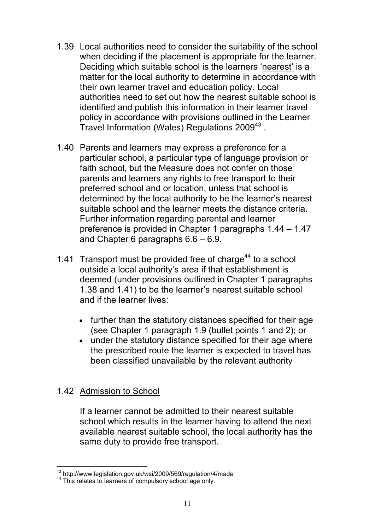- 1.39 Local authorities need to consider the suitability of the school when deciding if the placement is appropriate for the learner. Deciding which suitable school is the learners 'nearest' is a matter for the local authority to determine in accordance with their own learner travel and education policy. Local authorities need to set out how the nearest suitable school is identified and publish this information in their learner travel policy in accordance with provisions outlined in the Learner Travel Information (Wales) Regulations 2009<sup>43</sup>.
- 1.40 Parents and learners may express a preference for a particular school, a particular type of language provision or faith school, but the Measure does not confer on those parents and learners any rights to free transport to their preferred school and or location, unless that school is determined by the local authority to be the learner's nearest suitable school and the learner meets the distance criteria. Further information regarding parental and learner preference is provided in Chapter 1 paragraphs 1.44 – 1.47 and Chapter 6 paragraphs 6.6 – 6.9.
- 1.41 Transport must be provided free of charge<sup>44</sup> to a school outside a local authority's area if that establishment is deemed (under provisions outlined in Chapter 1 paragraphs 1.38 and 1.41) to be the learner's nearest suitable school and if the learner lives:
	- further than the statutory distances specified for their age (see Chapter 1 paragraph 1.9 (bullet points 1 and 2); or
	- under the statutory distance specified for their age where the prescribed route the learner is expected to travel has been classified unavailable by the relevant authority

#### 1.42 Admission to School

If a learner cannot be admitted to their nearest suitable school which results in the learner having to attend the next available nearest suitable school, the local authority has the same duty to provide free transport.

<sup>43</sup> http://www.legislation.gov.uk/wsi/2009/569/regulation/4/made

<sup>&</sup>lt;sup>44</sup> This relates to learners of compulsory school age only.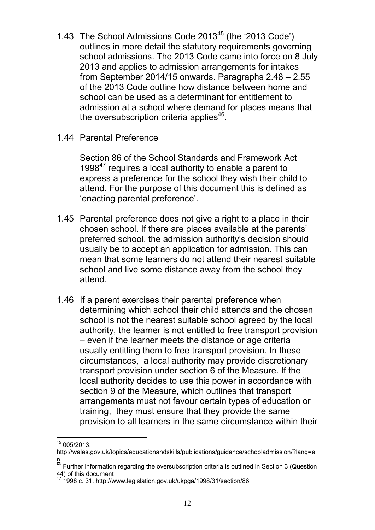1.43 The School Admissions Code 2013<sup>45</sup> (the '2013 Code') outlines in more detail the statutory requirements governing school admissions. The 2013 Code came into force on 8 July 2013 and applies to admission arrangements for intakes from September 2014/15 onwards. Paragraphs 2.48 – 2.55 of the 2013 Code outline how distance between home and school can be used as a determinant for entitlement to admission at a school where demand for places means that the oversubscription criteria applies $46$ .

#### 1.44 Parental Preference

Section 86 of the School Standards and Framework Act 1998 $47$  requires a local authority to enable a parent to express a preference for the school they wish their child to attend. For the purpose of this document this is defined as 'enacting parental preference'.

- 1.45 Parental preference does not give a right to a place in their chosen school. If there are places available at the parents' preferred school, the admission authority's decision should usually be to accept an application for admission. This can mean that some learners do not attend their nearest suitable school and live some distance away from the school they attend.
- 1.46 If a parent exercises their parental preference when determining which school their child attends and the chosen school is not the nearest suitable school agreed by the local authority, the learner is not entitled to free transport provision – even if the learner meets the distance or age criteria usually entitling them to free transport provision. In these circumstances, a local authority may provide discretionary transport provision under section 6 of the Measure. If the local authority decides to use this power in accordance with section 9 of the Measure, which outlines that transport arrangements must not favour certain types of education or training, they must ensure that they provide the same provision to all learners in the same circumstance within their

<sup>45</sup> 005/2013.

http://wales.gov.uk/topics/educationandskills/publications/guidance/schooladmission/?lang=e n

 $^{46}$  Further information regarding the oversubscription criteria is outlined in Section 3 (Question 44) of this document

<sup>47</sup> 1998 c. 31. http://www.legislation.gov.uk/ukpga/1998/31/section/86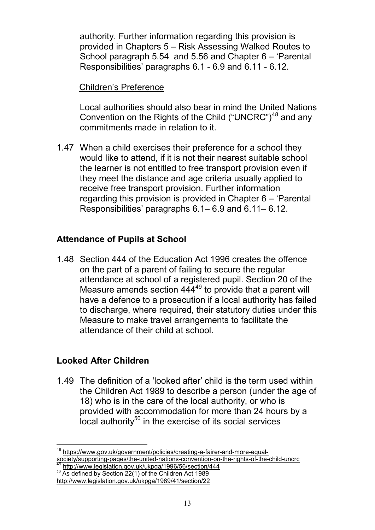authority. Further information regarding this provision is provided in Chapters 5 – Risk Assessing Walked Routes to School paragraph 5.54 and 5.56 and Chapter 6 – 'Parental Responsibilities' paragraphs 6.1 - 6.9 and 6.11 - 6.12.

#### Children's Preference

Local authorities should also bear in mind the United Nations Convention on the Rights of the Child ("UNCRC")<sup>48</sup> and any commitments made in relation to it.

1.47 When a child exercises their preference for a school they would like to attend, if it is not their nearest suitable school the learner is not entitled to free transport provision even if they meet the distance and age criteria usually applied to receive free transport provision. Further information regarding this provision is provided in Chapter 6 – 'Parental Responsibilities' paragraphs 6.1– 6.9 and 6.11– 6.12.

# **Attendance of Pupils at School**

1.48 Section 444 of the Education Act 1996 creates the offence on the part of a parent of failing to secure the regular attendance at school of a registered pupil. Section 20 of the Measure amends section 444<sup>49</sup> to provide that a parent will have a defence to a prosecution if a local authority has failed to discharge, where required, their statutory duties under this Measure to make travel arrangements to facilitate the attendance of their child at school.

#### **Looked After Children**

1.49 The definition of a 'looked after' child is the term used within the Children Act 1989 to describe a person (under the age of 18) who is in the care of the local authority, or who is provided with accommodation for more than 24 hours by a  $\overline{a}$  local authority<sup>50</sup> in the exercise of its social services

<sup>48</sup> https://www.gov.uk/government/policies/creating-a-fairer-and-more-equalsociety/supporting-pages/the-united-nations-convention-on-the-rights-of-the-child-uncrc

<sup>&</sup>lt;sup>49</sup> http://www.legislation.gov.uk/ukpga/1996/56/section/444 <sup>50</sup> As defined by Section 22(1) of the Children Act 1989

http://www.legislation.gov.uk/ukpga/1989/41/section/22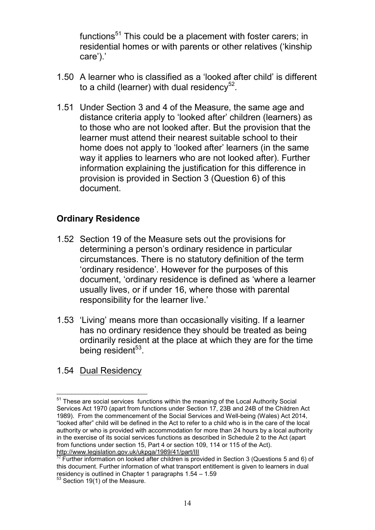functions<sup>51</sup> This could be a placement with foster carers; in residential homes or with parents or other relatives ('kinship care').'

- 1.50 A learner who is classified as a 'looked after child' is different to a child (learner) with dual residency $52$ .
- 1.51 Under Section 3 and 4 of the Measure, the same age and distance criteria apply to 'looked after' children (learners) as to those who are not looked after. But the provision that the learner must attend their nearest suitable school to their home does not apply to 'looked after' learners (in the same way it applies to learners who are not looked after). Further information explaining the justification for this difference in provision is provided in Section 3 (Question 6) of this document.

# **Ordinary Residence**

- 1.52 Section 19 of the Measure sets out the provisions for determining a person's ordinary residence in particular circumstances. There is no statutory definition of the term 'ordinary residence'. However for the purposes of this document, 'ordinary residence is defined as 'where a learner usually lives, or if under 16, where those with parental responsibility for the learner live.'
- 1.53 'Living' means more than occasionally visiting. If a learner has no ordinary residence they should be treated as being ordinarily resident at the place at which they are for the time being resident<sup>53</sup>.
- 1.54 Dual Residency

<sup>&</sup>lt;sup>51</sup> These are social services functions within the meaning of the Local Authority Social Services Act 1970 (apart from functions under Section 17, 23B and 24B of the Children Act 1989). From the commencement of the Social Services and Well-being (Wales) Act 2014, "looked after" child will be defined in the Act to refer to a child who is in the care of the local authority or who is provided with accommodation for more than 24 hours by a local authority in the exercise of its social services functions as described in Schedule 2 to the Act (apart from functions under section 15, Part 4 or section 109, 114 or 115 of the Act). http://www.legislation.gov.uk/ukpga/1989/41/part/III

 $52$  Further information on looked after children is provided in Section 3 (Questions 5 and 6) of this document. Further information of what transport entitlement is given to learners in dual residency is outlined in Chapter 1 paragraphs 1.54 – 1.59

<sup>53</sup> Section 19(1) of the Measure.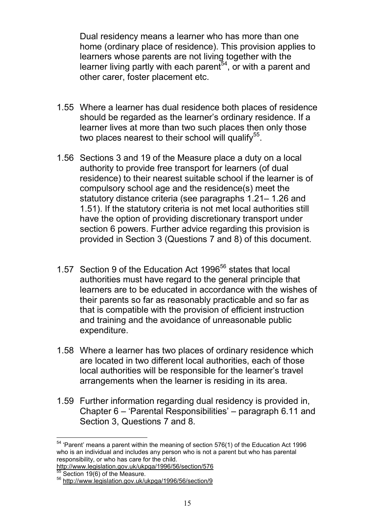Dual residency means a learner who has more than one home (ordinary place of residence). This provision applies to learners whose parents are not living together with the learner living partly with each parent $54$ , or with a parent and other carer, foster placement etc.

- 1.55 Where a learner has dual residence both places of residence should be regarded as the learner's ordinary residence. If a learner lives at more than two such places then only those two places nearest to their school will qualify $55$ .
- 1.56 Sections 3 and 19 of the Measure place a duty on a local authority to provide free transport for learners (of dual residence) to their nearest suitable school if the learner is of compulsory school age and the residence(s) meet the statutory distance criteria (see paragraphs 1.21– 1.26 and 1.51). If the statutory criteria is not met local authorities still have the option of providing discretionary transport under section 6 powers. Further advice regarding this provision is provided in Section 3 (Questions 7 and 8) of this document.
- 1.57 Section 9 of the Education Act 1996<sup>56</sup> states that local authorities must have regard to the general principle that learners are to be educated in accordance with the wishes of their parents so far as reasonably practicable and so far as that is compatible with the provision of efficient instruction and training and the avoidance of unreasonable public expenditure.
- 1.58 Where a learner has two places of ordinary residence which are located in two different local authorities, each of those local authorities will be responsible for the learner's travel arrangements when the learner is residing in its area.
- 1.59 Further information regarding dual residency is provided in, Chapter 6 – 'Parental Responsibilities' – paragraph 6.11 and Section 3, Questions 7 and 8.

<sup>54</sup> 'Parent' means a parent within the meaning of section 576(1) of the Education Act 1996 who is an individual and includes any person who is not a parent but who has parental responsibility, or who has care for the child.

http://www.legislation.gov.uk/ukpga/1996/56/section/576 Section  $19(6)$  of the Measure.

<sup>56</sup> http://www.legislation.gov.uk/ukpga/1996/56/section/9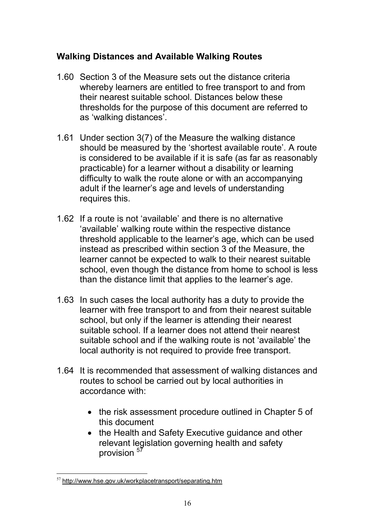# **Walking Distances and Available Walking Routes**

- 1.60 Section 3 of the Measure sets out the distance criteria whereby learners are entitled to free transport to and from their nearest suitable school. Distances below these thresholds for the purpose of this document are referred to as 'walking distances'.
- 1.61 Under section 3(7) of the Measure the walking distance should be measured by the 'shortest available route'. A route is considered to be available if it is safe (as far as reasonably practicable) for a learner without a disability or learning difficulty to walk the route alone or with an accompanying adult if the learner's age and levels of understanding requires this.
- 1.62 If a route is not 'available' and there is no alternative 'available' walking route within the respective distance threshold applicable to the learner's age, which can be used instead as prescribed within section 3 of the Measure, the learner cannot be expected to walk to their nearest suitable school, even though the distance from home to school is less than the distance limit that applies to the learner's age.
- 1.63 In such cases the local authority has a duty to provide the learner with free transport to and from their nearest suitable school, but only if the learner is attending their nearest suitable school. If a learner does not attend their nearest suitable school and if the walking route is not 'available' the local authority is not required to provide free transport.
- 1.64 It is recommended that assessment of walking distances and routes to school be carried out by local authorities in accordance with:
	- the risk assessment procedure outlined in Chapter 5 of this document
	- the Health and Safety Executive guidance and other relevant legislation governing health and safety provision  $57$

 $57$  http://www.hse.gov.uk/workplacetransport/separating.htm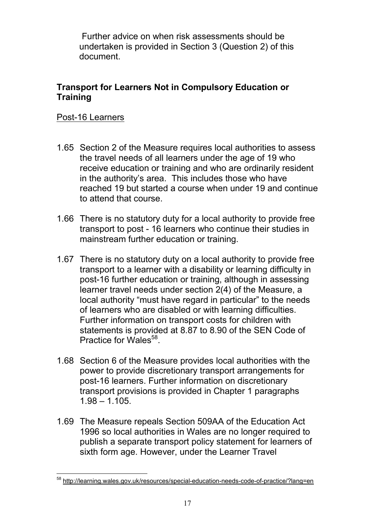Further advice on when risk assessments should be undertaken is provided in Section 3 (Question 2) of this document.

#### **Transport for Learners Not in Compulsory Education or Training**

#### Post-16 Learners

- 1.65 Section 2 of the Measure requires local authorities to assess the travel needs of all learners under the age of 19 who receive education or training and who are ordinarily resident in the authority's area. This includes those who have reached 19 but started a course when under 19 and continue to attend that course.
- 1.66 There is no statutory duty for a local authority to provide free transport to post - 16 learners who continue their studies in mainstream further education or training.
- 1.67 There is no statutory duty on a local authority to provide free transport to a learner with a disability or learning difficulty in post-16 further education or training, although in assessing learner travel needs under section 2(4) of the Measure, a local authority "must have regard in particular" to the needs of learners who are disabled or with learning difficulties. Further information on transport costs for children with statements is provided at 8.87 to 8.90 of the SEN Code of Practice for Wales<sup>58</sup>.
- 1.68 Section 6 of the Measure provides local authorities with the power to provide discretionary transport arrangements for post-16 learners. Further information on discretionary transport provisions is provided in Chapter 1 paragraphs 1.98 – 1.105.
- 1.69 The Measure repeals Section 509AA of the Education Act 1996 so local authorities in Wales are no longer required to publish a separate transport policy statement for learners of sixth form age. However, under the Learner Travel

<sup>58</sup> http://learning.wales.gov.uk/resources/special-education-needs-code-of-practice/?lang=en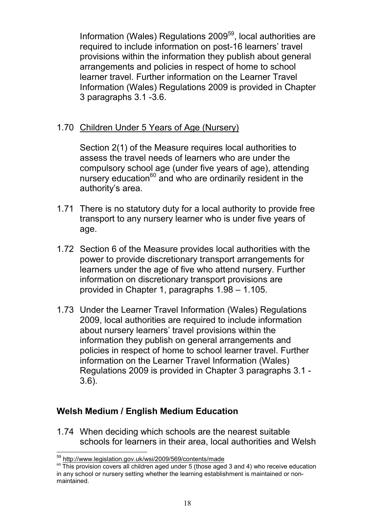Information (Wales) Regulations 2009<sup>59</sup>, local authorities are required to include information on post-16 learners' travel provisions within the information they publish about general arrangements and policies in respect of home to school learner travel. Further information on the Learner Travel Information (Wales) Regulations 2009 is provided in Chapter 3 paragraphs 3.1 -3.6.

#### 1.70 Children Under 5 Years of Age (Nursery)

Section 2(1) of the Measure requires local authorities to assess the travel needs of learners who are under the compulsory school age (under five years of age), attending nursery education $60$  and who are ordinarily resident in the authority's area.

- 1.71 There is no statutory duty for a local authority to provide free transport to any nursery learner who is under five years of age.
- 1.72 Section 6 of the Measure provides local authorities with the power to provide discretionary transport arrangements for learners under the age of five who attend nursery. Further information on discretionary transport provisions are provided in Chapter 1, paragraphs 1.98 – 1.105.
- 1.73 Under the Learner Travel Information (Wales) Regulations 2009, local authorities are required to include information about nursery learners' travel provisions within the information they publish on general arrangements and policies in respect of home to school learner travel. Further information on the Learner Travel Information (Wales) Regulations 2009 is provided in Chapter 3 paragraphs 3.1 - 3.6).

# **Welsh Medium / English Medium Education**

1.74 When deciding which schools are the nearest suitable schools for learners in their area, local authorities and Welsh

<sup>59</sup> http://www.legislation.gov.uk/wsi/2009/569/contents/made

 $60$  This provision covers all children aged under 5 (those aged 3 and 4) who receive education in any school or nursery setting whether the learning establishment is maintained or nonmaintained.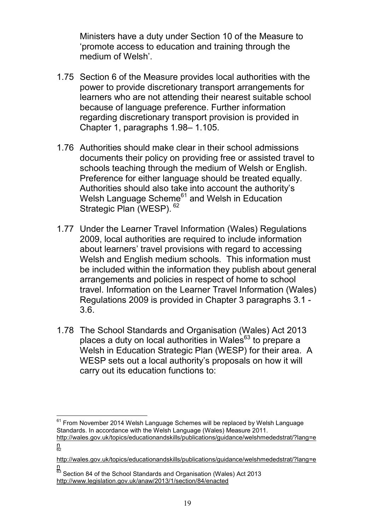Ministers have a duty under Section 10 of the Measure to 'promote access to education and training through the medium of Welsh'.

- 1.75 Section 6 of the Measure provides local authorities with the power to provide discretionary transport arrangements for learners who are not attending their nearest suitable school because of language preference. Further information regarding discretionary transport provision is provided in Chapter 1, paragraphs 1.98– 1.105.
- 1.76 Authorities should make clear in their school admissions documents their policy on providing free or assisted travel to schools teaching through the medium of Welsh or English. Preference for either language should be treated equally. Authorities should also take into account the authority's Welsh Language Scheme<sup>61</sup> and Welsh in Education Strategic Plan (WESP). <sup>62</sup>
- 1.77 Under the Learner Travel Information (Wales) Regulations 2009, local authorities are required to include information about learners' travel provisions with regard to accessing Welsh and English medium schools. This information must be included within the information they publish about general arrangements and policies in respect of home to school travel. Information on the Learner Travel Information (Wales) Regulations 2009 is provided in Chapter 3 paragraphs 3.1 - 3.6.
- 1.78 The School Standards and Organisation (Wales) Act 2013 places a duty on local authorities in Wales<sup>63</sup> to prepare a Welsh in Education Strategic Plan (WESP) for their area. A WESP sets out a local authority's proposals on how it will carry out its education functions to:

 $61$  From November 2014 Welsh Language Schemes will be replaced by Welsh Language Standards. In accordance with the Welsh Language (Wales) Measure 2011. http://wales.gov.uk/topics/educationandskills/publications/guidance/welshmededstrat/?lang=e

n<br>62

http://wales.gov.uk/topics/educationandskills/publications/guidance/welshmededstrat/?lang=e n

<sup>&</sup>lt;sup>63</sup> Section 84 of the School Standards and Organisation (Wales) Act 2013 http://www.legislation.gov.uk/anaw/2013/1/section/84/enacted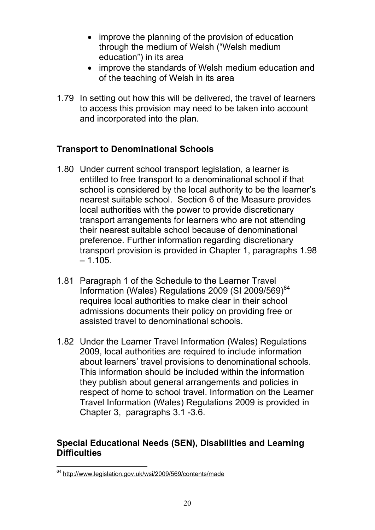- improve the planning of the provision of education through the medium of Welsh ("Welsh medium education") in its area
- improve the standards of Welsh medium education and of the teaching of Welsh in its area
- 1.79 In setting out how this will be delivered, the travel of learners to access this provision may need to be taken into account and incorporated into the plan.

# **Transport to Denominational Schools**

- 1.80 Under current school transport legislation, a learner is entitled to free transport to a denominational school if that school is considered by the local authority to be the learner's nearest suitable school. Section 6 of the Measure provides local authorities with the power to provide discretionary transport arrangements for learners who are not attending their nearest suitable school because of denominational preference. Further information regarding discretionary transport provision is provided in Chapter 1, paragraphs 1.98  $-1.105.$
- 1.81 Paragraph 1 of the Schedule to the Learner Travel Information (Wales) Regulations 2009 (SI 2009/569)<sup>64</sup> requires local authorities to make clear in their school admissions documents their policy on providing free or assisted travel to denominational schools.
- 1.82 Under the Learner Travel Information (Wales) Regulations 2009, local authorities are required to include information about learners' travel provisions to denominational schools. This information should be included within the information they publish about general arrangements and policies in respect of home to school travel. Information on the Learner Travel Information (Wales) Regulations 2009 is provided in Chapter 3, paragraphs 3.1 -3.6.

#### **Special Educational Needs (SEN), Disabilities and Learning Difficulties**

<sup>64</sup> http://www.legislation.gov.uk/wsi/2009/569/contents/made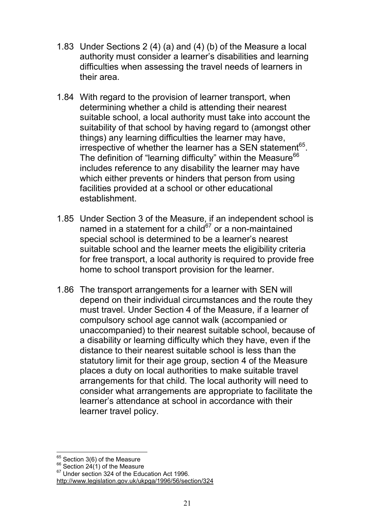- 1.83 Under Sections 2 (4) (a) and (4) (b) of the Measure a local authority must consider a learner's disabilities and learning difficulties when assessing the travel needs of learners in their area.
- 1.84 With regard to the provision of learner transport, when determining whether a child is attending their nearest suitable school, a local authority must take into account the suitability of that school by having regard to (amongst other things) any learning difficulties the learner may have, irrespective of whether the learner has a SEN statement<sup>65</sup>. The definition of "learning difficulty" within the Measure<sup>66</sup> includes reference to any disability the learner may have which either prevents or hinders that person from using facilities provided at a school or other educational establishment.
- 1.85 Under Section 3 of the Measure, if an independent school is named in a statement for a child $67$  or a non-maintained special school is determined to be a learner's nearest suitable school and the learner meets the eligibility criteria for free transport, a local authority is required to provide free home to school transport provision for the learner.
- 1.86 The transport arrangements for a learner with SEN will depend on their individual circumstances and the route they must travel. Under Section 4 of the Measure, if a learner of compulsory school age cannot walk (accompanied or unaccompanied) to their nearest suitable school, because of a disability or learning difficulty which they have, even if the distance to their nearest suitable school is less than the statutory limit for their age group, section 4 of the Measure places a duty on local authorities to make suitable travel arrangements for that child. The local authority will need to consider what arrangements are appropriate to facilitate the learner's attendance at school in accordance with their learner travel policy.

<sup>&</sup>lt;sup>65</sup> Section 3(6) of the Measure

 $66$  Section 24(1) of the Measure

 $67$  Under section 324 of the Education Act 1996.

http://www.legislation.gov.uk/ukpga/1996/56/section/324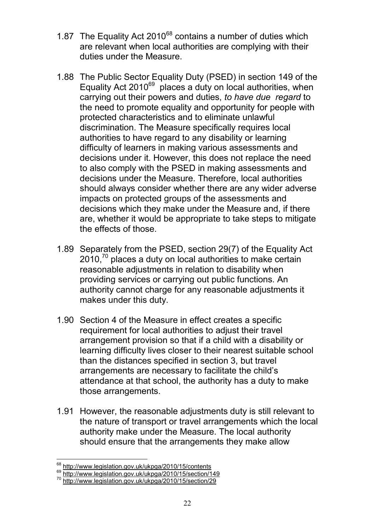- 1.87 The Equality Act  $2010^{68}$  contains a number of duties which are relevant when local authorities are complying with their duties under the Measure.
- 1.88 The Public Sector Equality Duty (PSED) in section 149 of the Equality Act  $2010^{69}$  places a duty on local authorities, when carrying out their powers and duties, *to have due regard* to the need to promote equality and opportunity for people with protected characteristics and to eliminate unlawful discrimination. The Measure specifically requires local authorities to have regard to any disability or learning difficulty of learners in making various assessments and decisions under it. However, this does not replace the need to also comply with the PSED in making assessments and decisions under the Measure. Therefore, local authorities should always consider whether there are any wider adverse impacts on protected groups of the assessments and decisions which they make under the Measure and, if there are, whether it would be appropriate to take steps to mitigate the effects of those.
- 1.89 Separately from the PSED, section 29(7) of the Equality Act  $2010<sup>70</sup>$  places a duty on local authorities to make certain reasonable adjustments in relation to disability when providing services or carrying out public functions. An authority cannot charge for any reasonable adjustments it makes under this duty.
- 1.90 Section 4 of the Measure in effect creates a specific requirement for local authorities to adjust their travel arrangement provision so that if a child with a disability or learning difficulty lives closer to their nearest suitable school than the distances specified in section 3, but travel arrangements are necessary to facilitate the child's attendance at that school, the authority has a duty to make those arrangements.
- 1.91 However, the reasonable adjustments duty is still relevant to the nature of transport or travel arrangements which the local authority make under the Measure. The local authority should ensure that the arrangements they make allow

<sup>&</sup>lt;sup>68</sup> http://www.legislation.gov.uk/ukpga/2010/15/contents

<sup>&</sup>lt;sup>69</sup> http://www.legislation.gov.uk/ukpga/2010/15/section/149

<sup>70</sup> http://www.legislation.gov.uk/ukpga/2010/15/section/29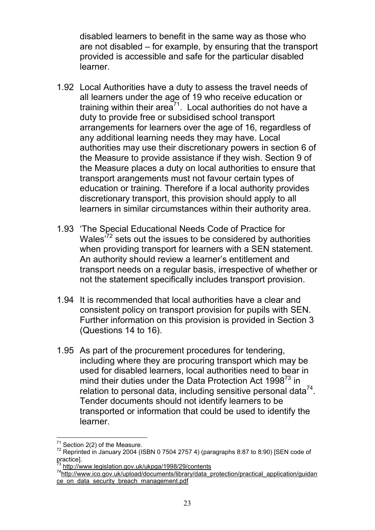disabled learners to benefit in the same way as those who are not disabled – for example, by ensuring that the transport provided is accessible and safe for the particular disabled learner.

- 1.92 Local Authorities have a duty to assess the travel needs of all learners under the age of 19 who receive education or training within their area $7^7$ . Local authorities do not have a duty to provide free or subsidised school transport arrangements for learners over the age of 16, regardless of any additional learning needs they may have. Local authorities may use their discretionary powers in section 6 of the Measure to provide assistance if they wish. Section 9 of the Measure places a duty on local authorities to ensure that transport arangements must not favour certain types of education or training. Therefore if a local authority provides discretionary transport, this provision should apply to all learners in similar circumstances within their authority area.
- 1.93 'The Special Educational Needs Code of Practice for Wales<sup>72</sup> sets out the issues to be considered by authorities when providing transport for learners with a SEN statement. An authority should review a learner's entitlement and transport needs on a regular basis, irrespective of whether or not the statement specifically includes transport provision.
- 1.94 It is recommended that local authorities have a clear and consistent policy on transport provision for pupils with SEN. Further information on this provision is provided in Section 3 (Questions 14 to 16).
- 1.95 As part of the procurement procedures for tendering, including where they are procuring transport which may be used for disabled learners, local authorities need to bear in mind their duties under the Data Protection Act 1998<sup>73</sup> in relation to personal data, including sensitive personal data $^{74}$ . Tender documents should not identify learners to be transported or information that could be used to identify the learner.

Section 2(2) of the Measure.

 $72$  Reprinted in January 2004 (ISBN 0 7504 2757 4) (paragraphs 8:87 to 8:90) [SEN code of practice].

http://www.legislation.gov.uk/ukpga/1998/29/contents

 $74$ http://www.ico.gov.uk/upload/documents/library/data\_protection/practical\_application/guidan ce\_on\_data\_security\_breach\_management.pdf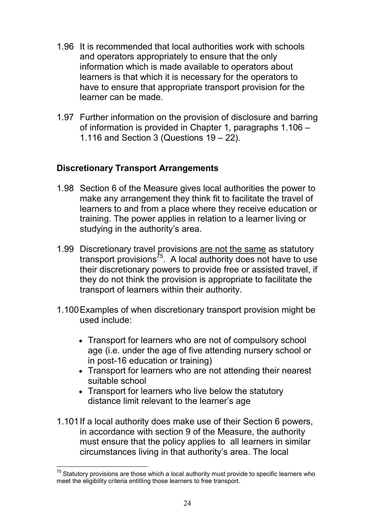- 1.96 It is recommended that local authorities work with schools and operators appropriately to ensure that the only information which is made available to operators about learners is that which it is necessary for the operators to have to ensure that appropriate transport provision for the learner can be made.
- 1.97 Further information on the provision of disclosure and barring of information is provided in Chapter 1, paragraphs 1.106 – 1.116 and Section 3 (Questions 19 – 22).

# **Discretionary Transport Arrangements**

- 1.98 Section 6 of the Measure gives local authorities the power to make any arrangement they think fit to facilitate the travel of learners to and from a place where they receive education or training. The power applies in relation to a learner living or studying in the authority's area.
- 1.99 Discretionary travel provisions are not the same as statutory transport provisions<sup> $75$ </sup>. A local authority does not have to use their discretionary powers to provide free or assisted travel, if they do not think the provision is appropriate to facilitate the transport of learners within their authority.
- 1.100Examples of when discretionary transport provision might be used include:
	- Transport for learners who are not of compulsory school age (i.e. under the age of five attending nursery school or in post-16 education or training)
	- Transport for learners who are not attending their nearest suitable school
	- Transport for learners who live below the statutory distance limit relevant to the learner's age
- 1.101If a local authority does make use of their Section 6 powers, in accordance with section 9 of the Measure, the authority must ensure that the policy applies to all learners in similar circumstances living in that authority's area. The local

 $75$  Statutory provisions are those which a local authority must provide to specific learners who meet the eligibility criteria entitling those learners to free transport.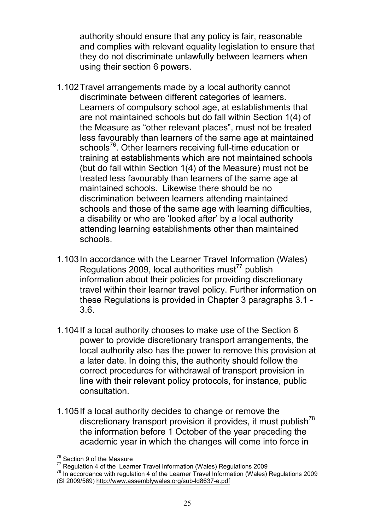authority should ensure that any policy is fair, reasonable and complies with relevant equality legislation to ensure that they do not discriminate unlawfully between learners when using their section 6 powers.

- 1.102Travel arrangements made by a local authority cannot discriminate between different categories of learners. Learners of compulsory school age, at establishments that are not maintained schools but do fall within Section 1(4) of the Measure as "other relevant places", must not be treated less favourably than learners of the same age at maintained schools<sup>76</sup>. Other learners receiving full-time education or training at establishments which are not maintained schools (but do fall within Section 1(4) of the Measure) must not be treated less favourably than learners of the same age at maintained schools. Likewise there should be no discrimination between learners attending maintained schools and those of the same age with learning difficulties, a disability or who are 'looked after' by a local authority attending learning establishments other than maintained schools.
- 1.103In accordance with the Learner Travel Information (Wales) Regulations 2009, local authorities must $77$  publish information about their policies for providing discretionary travel within their learner travel policy. Further information on these Regulations is provided in Chapter 3 paragraphs 3.1 - 3.6.
- 1.104If a local authority chooses to make use of the Section 6 power to provide discretionary transport arrangements, the local authority also has the power to remove this provision at a later date. In doing this, the authority should follow the correct procedures for withdrawal of transport provision in line with their relevant policy protocols, for instance, public consultation.
- 1.105If a local authority decides to change or remove the discretionary transport provision it provides, it must publish<sup>78</sup> the information before 1 October of the year preceding the academic year in which the changes will come into force in

<sup>77</sup> Regulation 4 of the Learner Travel Information (Wales) Regulations 2009

<sup>78</sup> In accordance with regulation 4 of the Learner Travel Information (Wales) Regulations 2009 (SI 2009/569) http://www.assemblywales.org/sub-ld8637-e.pdf

Section 9 of the Measure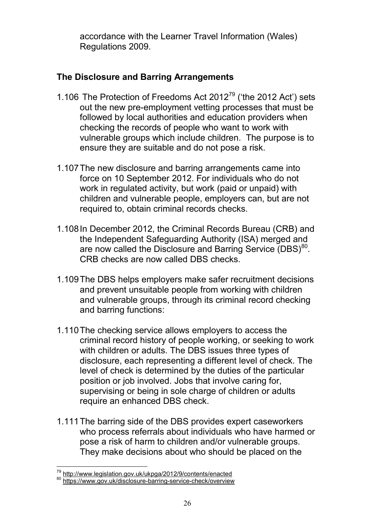accordance with the Learner Travel Information (Wales) Regulations 2009.

# **The Disclosure and Barring Arrangements**

- 1.106 The Protection of Freedoms Act  $2012^{79}$  ('the 2012 Act') sets out the new pre-employment vetting processes that must be followed by local authorities and education providers when checking the records of people who want to work with vulnerable groups which include children. The purpose is to ensure they are suitable and do not pose a risk.
- 1.107The new disclosure and barring arrangements came into force on 10 September 2012. For individuals who do not work in regulated activity, but work (paid or unpaid) with children and vulnerable people, employers can, but are not required to, obtain criminal records checks.
- 1.108In December 2012, the Criminal Records Bureau (CRB) and the Independent Safeguarding Authority (ISA) merged and are now called the Disclosure and Barring Service (DBS)<sup>80</sup>. CRB checks are now called DBS checks.
- 1.109The DBS helps employers make safer recruitment decisions and prevent unsuitable people from working with children and vulnerable groups, through its criminal record checking and barring functions:
- 1.110The checking service allows employers to access the criminal record history of people working, or seeking to work with children or adults. The DBS issues three types of disclosure, each representing a different level of check. The level of check is determined by the duties of the particular position or job involved. Jobs that involve caring for, supervising or being in sole charge of children or adults require an enhanced DBS check.
- 1.111The barring side of the DBS provides expert caseworkers who process referrals about individuals who have harmed or pose a risk of harm to children and/or vulnerable groups. They make decisions about who should be placed on the

<sup>&</sup>lt;sup>79</sup> http://www.legislation.gov.uk/ukpga/2012/9/contents/enacted

<sup>80</sup> https://www.gov.uk/disclosure-barring-service-check/overview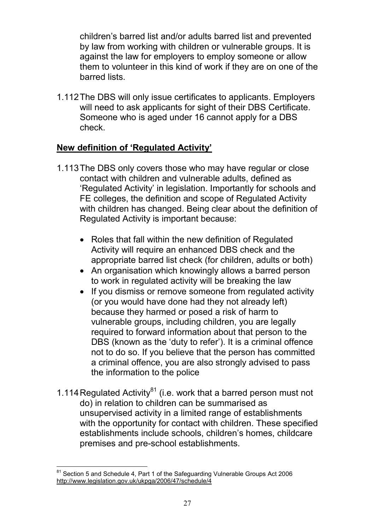children's barred list and/or adults barred list and prevented by law from working with children or vulnerable groups. It is against the law for employers to employ someone or allow them to volunteer in this kind of work if they are on one of the barred lists.

1.112The DBS will only issue certificates to applicants. Employers will need to ask applicants for sight of their DBS Certificate. Someone who is aged under 16 cannot apply for a DBS check.

# **New definition of 'Regulated Activity'**

- 1.113The DBS only covers those who may have regular or close contact with children and vulnerable adults, defined as 'Regulated Activity' in legislation. Importantly for schools and FE colleges, the definition and scope of Regulated Activity with children has changed. Being clear about the definition of Regulated Activity is important because:
	- Roles that fall within the new definition of Regulated Activity will require an enhanced DBS check and the appropriate barred list check (for children, adults or both)
	- An organisation which knowingly allows a barred person to work in regulated activity will be breaking the law
	- If you dismiss or remove someone from regulated activity (or you would have done had they not already left) because they harmed or posed a risk of harm to vulnerable groups, including children, you are legally required to forward information about that person to the DBS (known as the 'duty to refer'). It is a criminal offence not to do so. If you believe that the person has committed a criminal offence, you are also strongly advised to pass the information to the police
- 1.114 Regulated Activity<sup>81</sup> (i.e. work that a barred person must not do) in relation to children can be summarised as unsupervised activity in a limited range of establishments with the opportunity for contact with children. These specified establishments include schools, children's homes, childcare premises and pre-school establishments.

 $81$  Section 5 and Schedule 4, Part 1 of the Safeguarding Vulnerable Groups Act 2006 http://www.legislation.gov.uk/ukpga/2006/47/schedule/4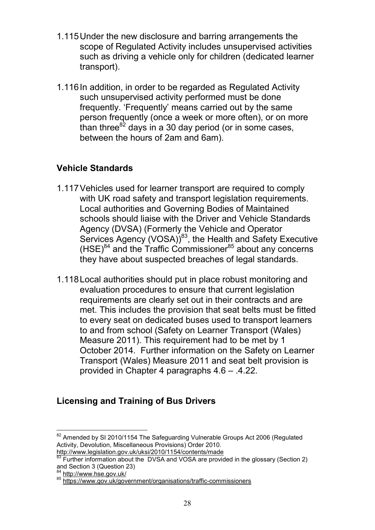- 1.115Under the new disclosure and barring arrangements the scope of Regulated Activity includes unsupervised activities such as driving a vehicle only for children (dedicated learner transport).
- 1.116In addition, in order to be regarded as Regulated Activity such unsupervised activity performed must be done frequently. 'Frequently' means carried out by the same person frequently (once a week or more often), or on more than three  $82$  days in a 30 day period (or in some cases, between the hours of 2am and 6am).

# **Vehicle Standards**

- 1.117Vehicles used for learner transport are required to comply with UK road safety and transport legislation requirements. Local authorities and Governing Bodies of Maintained schools should liaise with the Driver and Vehicle Standards Agency (DVSA) (Formerly the Vehicle and Operator Services Agency (VOSA))<sup>83</sup>, the Health and Safety Executive  $(HSE)^{84}$  and the Traffic Commissioner $^{85}$  about any concerns they have about suspected breaches of legal standards.
- 1.118Local authorities should put in place robust monitoring and evaluation procedures to ensure that current legislation requirements are clearly set out in their contracts and are met. This includes the provision that seat belts must be fitted to every seat on dedicated buses used to transport learners to and from school (Safety on Learner Transport (Wales) Measure 2011). This requirement had to be met by 1 October 2014. Further information on the Safety on Learner Transport (Wales) Measure 2011 and seat belt provision is provided in Chapter 4 paragraphs 4.6 – .4.22.

# **Licensing and Training of Bus Drivers**

<sup>&</sup>lt;sup>82</sup> Amended by SI 2010/1154 The Safeguarding Vulnerable Groups Act 2006 (Regulated Activity, Devolution, Miscellaneous Provisions) Order 2010. http://www.legislation.gov.uk/uksi/2010/1154/contents/made

Further information about the DVSA and VOSA are provided in the glossary (Section 2) and Section 3 (Question 23)

 $4$  http://www.hse.gov.uk/

<sup>85</sup> http://www.rise.gov.uk/government/organisations/traffic-commissioners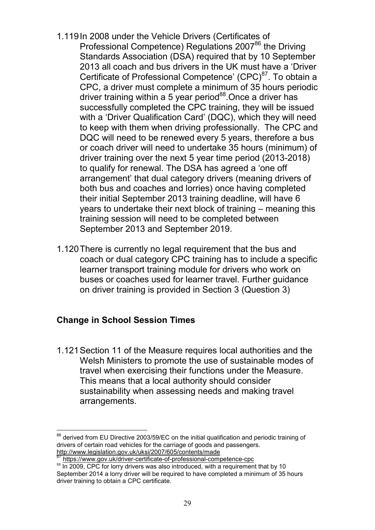- 1.119In 2008 under the Vehicle Drivers (Certificates of Professional Competence) Regulations 2007<sup>86</sup> the Driving Standards Association (DSA) required that by 10 September 2013 all coach and bus drivers in the UK must have a 'Driver Certificate of Professional Competence' (CPC)<sup>87</sup>. To obtain a CPC, a driver must complete a minimum of 35 hours periodic driver training within a 5 year period<sup>88</sup>. Once a driver has successfully completed the CPC training, they will be issued with a 'Driver Qualification Card' (DQC), which they will need to keep with them when driving professionally. The CPC and DQC will need to be renewed every 5 years, therefore a bus or coach driver will need to undertake 35 hours (minimum) of driver training over the next 5 year time period (2013-2018) to qualify for renewal. The DSA has agreed a 'one off arrangement' that dual category drivers (meaning drivers of both bus and coaches and lorries) once having completed their initial September 2013 training deadline, will have 6 years to undertake their next block of training – meaning this training session will need to be completed between September 2013 and September 2019.
- 1.120There is currently no legal requirement that the bus and coach or dual category CPC training has to include a specific learner transport training module for drivers who work on buses or coaches used for learner travel. Further guidance on driver training is provided in Section 3 (Question 3)

# **Change in School Session Times**

1.121Section 11 of the Measure requires local authorities and the Welsh Ministers to promote the use of sustainable modes of travel when exercising their functions under the Measure. This means that a local authority should consider sustainability when assessing needs and making travel arrangements.

derived from EU Directive 2003/59/EC on the initial qualification and periodic training of drivers of certain road vehicles for the carriage of goods and passengers. http://www.legislation.gov.uk/uksi/2007/605/contents/made

<sup>87</sup> https://www.gov.uk/driver-certificate-of-professional-competence-cpc

<sup>88</sup> In 2009, CPC for lorry drivers was also introduced, with a requirement that by 10 September 2014 a lorry driver will be required to have completed a minimum of 35 hours driver training to obtain a CPC certificate.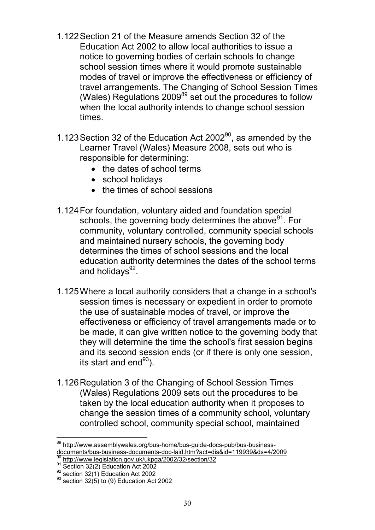- 1.122Section 21 of the Measure amends Section 32 of the Education Act 2002 to allow local authorities to issue a notice to governing bodies of certain schools to change school session times where it would promote sustainable modes of travel or improve the effectiveness or efficiency of travel arrangements. The Changing of School Session Times (Wales) Regulations 2009<sup>89</sup> set out the procedures to follow when the local authority intends to change school session times.
- 1.123 Section 32 of the Education Act  $2002<sup>90</sup>$ , as amended by the Learner Travel (Wales) Measure 2008, sets out who is responsible for determining:
	- the dates of school terms
	- school holidays
	- the times of school sessions
- 1.124For foundation, voluntary aided and foundation special schools, the governing body determines the above<sup>91</sup>. For community, voluntary controlled, community special schools and maintained nursery schools, the governing body determines the times of school sessions and the local education authority determines the dates of the school terms and holidays<sup>92</sup>.
- 1.125Where a local authority considers that a change in a school's session times is necessary or expedient in order to promote the use of sustainable modes of travel, or improve the effectiveness or efficiency of travel arrangements made or to be made, it can give written notice to the governing body that they will determine the time the school's first session begins and its second session ends (or if there is only one session, its start and  $end^{93}$ ).
- 1.126Regulation 3 of the Changing of School Session Times (Wales) Regulations 2009 sets out the procedures to be taken by the local education authority when it proposes to change the session times of a community school, voluntary controlled school, community special school, maintained

http://www.assemblywales.org/bus-home/bus-quide-docs-pub/bus-businessdocuments/bus-business-documents-doc-laid.htm?act=dis&id=119939&ds=4/2009

http://www.legislation.gov.uk/ukpga/2002/32/section/32 91 **Section 32(2)** Education Act 2002

 $92$  section 32(1) Education Act 2002

 $93$  section 32(5) to (9) Education Act 2002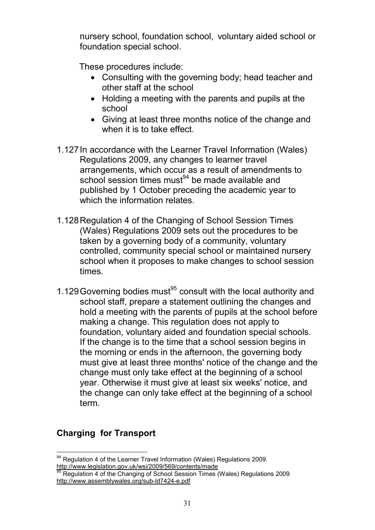nursery school, foundation school, voluntary aided school or foundation special school.

These procedures include:

- Consulting with the governing body; head teacher and other staff at the school
- Holding a meeting with the parents and pupils at the school
- Giving at least three months notice of the change and when it is to take effect.
- 1.127In accordance with the Learner Travel Information (Wales) Regulations 2009, any changes to learner travel arrangements, which occur as a result of amendments to school session times must $94$  be made available and published by 1 October preceding the academic year to which the information relates.
- 1.128Regulation 4 of the Changing of School Session Times (Wales) Regulations 2009 sets out the procedures to be taken by a governing body of a community, voluntary controlled, community special school or maintained nursery school when it proposes to make changes to school session times.
- 1.129 Governing bodies must $95$  consult with the local authority and school staff, prepare a statement outlining the changes and hold a meeting with the parents of pupils at the school before making a change. This regulation does not apply to foundation, voluntary aided and foundation special schools. If the change is to the time that a school session begins in the morning or ends in the afternoon, the governing body must give at least three months' notice of the change and the change must only take effect at the beginning of a school year. Otherwise it must give at least six weeks' notice, and the change can only take effect at the beginning of a school term.

# **Charging for Transport**

<sup>&</sup>lt;sup>94</sup> Regulation 4 of the Learner Travel Information (Wales) Regulations 2009. http://www.legislation.gov.uk/wsi/2009/569/contents/made

<sup>&</sup>lt;sup>95</sup> Regulation 4 of the Changing of School Session Times (Wales) Regulations 2009. http://www.assemblywales.org/sub-ld7424-e.pdf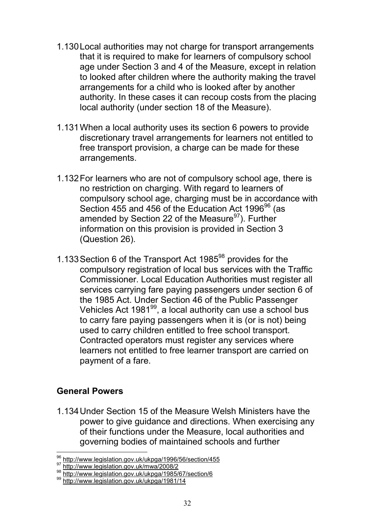- 1.130Local authorities may not charge for transport arrangements that it is required to make for learners of compulsory school age under Section 3 and 4 of the Measure, except in relation to looked after children where the authority making the travel arrangements for a child who is looked after by another authority. In these cases it can recoup costs from the placing local authority (under section 18 of the Measure).
- 1.131When a local authority uses its section 6 powers to provide discretionary travel arrangements for learners not entitled to free transport provision, a charge can be made for these arrangements.
- 1.132For learners who are not of compulsory school age, there is no restriction on charging. With regard to learners of compulsory school age, charging must be in accordance with Section 455 and 456 of the Education Act 1996 $96$  (as amended by Section 22 of the Measure $97$ ). Further information on this provision is provided in Section 3 (Question 26).
- 1.133 Section 6 of the Transport Act 1985 $98$  provides for the compulsory registration of local bus services with the Traffic Commissioner. Local Education Authorities must register all services carrying fare paying passengers under section 6 of the 1985 Act. Under Section 46 of the Public Passenger Vehicles Act 1981<sup>99</sup>, a local authority can use a school bus to carry fare paying passengers when it is (or is not) being used to carry children entitled to free school transport. Contracted operators must register any services where learners not entitled to free learner transport are carried on payment of a fare.

#### **General Powers**

1.134Under Section 15 of the Measure Welsh Ministers have the power to give guidance and directions. When exercising any of their functions under the Measure, local authorities and governing bodies of maintained schools and further

<sup>96</sup> http://www.legislation.gov.uk/ukpga/1996/56/section/455

http://www.legislation.gov.uk/mwa/2008/2

<sup>98</sup> http://www.legislation.gov.uk/ukpga/1985/67/section/6

<sup>99</sup> http://www.leaislation.gov.uk/ukpga/1981/14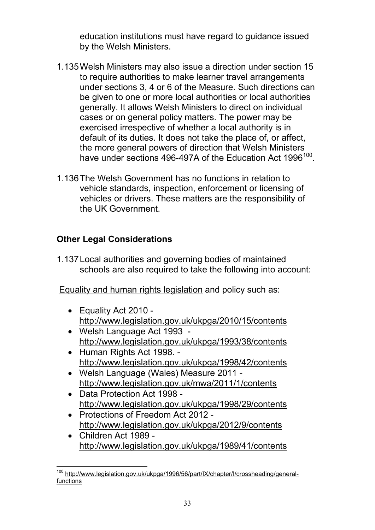education institutions must have regard to guidance issued by the Welsh Ministers.

- 1.135Welsh Ministers may also issue a direction under section 15 to require authorities to make learner travel arrangements under sections 3, 4 or 6 of the Measure. Such directions can be given to one or more local authorities or local authorities generally. It allows Welsh Ministers to direct on individual cases or on general policy matters. The power may be exercised irrespective of whether a local authority is in default of its duties. It does not take the place of, or affect, the more general powers of direction that Welsh Ministers have under sections 496-497A of the Education Act 1996<sup>100</sup>.
- 1.136The Welsh Government has no functions in relation to vehicle standards, inspection, enforcement or licensing of vehicles or drivers. These matters are the responsibility of the UK Government.

## **Other Legal Considerations**

1.137Local authorities and governing bodies of maintained schools are also required to take the following into account:

Equality and human rights legislation and policy such as:

- Equality Act 2010 http://www.legislation.gov.uk/ukpga/2010/15/contents
- Welsh Language Act 1993 http://www.legislation.gov.uk/ukpga/1993/38/contents
- Human Rights Act 1998. http://www.legislation.gov.uk/ukpga/1998/42/contents
- Welsh Language (Wales) Measure 2011 http://www.legislation.gov.uk/mwa/2011/1/contents
- Data Protection Act 1998 http://www.legislation.gov.uk/ukpga/1998/29/contents
- Protections of Freedom Act 2012 http://www.legislation.gov.uk/ukpga/2012/9/contents
- Children Act 1989 http://www.legislation.gov.uk/ukpga/1989/41/contents

<sup>&</sup>lt;sup>100</sup> http://www.legislation.gov.uk/ukpga/1996/56/part/IX/chapter/I/crossheading/generalfunctions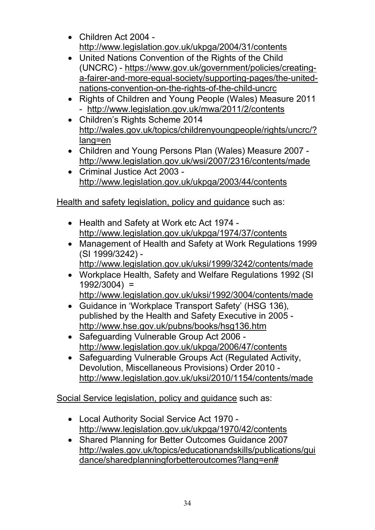- Children Act 2004 http://www.legislation.gov.uk/ukpga/2004/31/contents
- United Nations Convention of the Rights of the Child (UNCRC) - https://www.gov.uk/government/policies/creatinga-fairer-and-more-equal-society/supporting-pages/the-unitednations-convention-on-the-rights-of-the-child-uncrc
- Rights of Children and Young People (Wales) Measure 2011 - http://www.legislation.gov.uk/mwa/2011/2/contents
- Children's Rights Scheme 2014 http://wales.gov.uk/topics/childrenyoungpeople/rights/uncrc/? lang=en
- Children and Young Persons Plan (Wales) Measure 2007 http://www.legislation.gov.uk/wsi/2007/2316/contents/made
- Criminal Justice Act 2003 http://www.legislation.gov.uk/ukpga/2003/44/contents

Health and safety legislation, policy and guidance such as:

- Health and Safety at Work etc Act 1974 http://www.legislation.gov.uk/ukpga/1974/37/contents
- Management of Health and Safety at Work Regulations 1999 (SI 1999/3242)
	- http://www.legislation.gov.uk/uksi/1999/3242/contents/made
- Workplace Health, Safety and Welfare Regulations 1992 (SI 1992/3004) =
	- http://www.legislation.gov.uk/uksi/1992/3004/contents/made
- Guidance in 'Workplace Transport Safety' (HSG 136), published by the Health and Safety Executive in 2005 http://www.hse.gov.uk/pubns/books/hsg136.htm
- Safeguarding Vulnerable Group Act 2006 http://www.legislation.gov.uk/ukpga/2006/47/contents
- Safeguarding Vulnerable Groups Act (Regulated Activity, Devolution, Miscellaneous Provisions) Order 2010 http://www.legislation.gov.uk/uksi/2010/1154/contents/made

Social Service legislation, policy and guidance such as:

- Local Authority Social Service Act 1970 http://www.legislation.gov.uk/ukpga/1970/42/contents
- Shared Planning for Better Outcomes Guidance 2007 http://wales.gov.uk/topics/educationandskills/publications/gui dance/sharedplanningforbetteroutcomes?lang=en#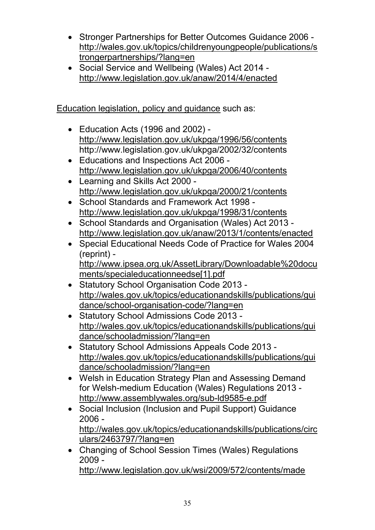- Stronger Partnerships for Better Outcomes Guidance 2006 http://wales.gov.uk/topics/childrenyoungpeople/publications/s trongerpartnerships/?lang=en
- Social Service and Wellbeing (Wales) Act 2014 http://www.legislation.gov.uk/anaw/2014/4/enacted

Education legislation, policy and guidance such as:

- Education Acts (1996 and 2002) http://www.legislation.gov.uk/ukpga/1996/56/contents http://www.legislation.gov.uk/ukpga/2002/32/contents
- Educations and Inspections Act 2006 http://www.legislation.gov.uk/ukpga/2006/40/contents
- Learning and Skills Act 2000 http://www.legislation.gov.uk/ukpga/2000/21/contents
- School Standards and Framework Act 1998 http://www.legislation.gov.uk/ukpga/1998/31/contents
- School Standards and Organisation (Wales) Act 2013 http://www.legislation.gov.uk/anaw/2013/1/contents/enacted
- Special Educational Needs Code of Practice for Wales 2004 (reprint) http://www.ipsea.org.uk/AssetLibrary/Downloadable%20docu ments/specialeducationneedse[1].pdf
- Statutory School Organisation Code 2013 http://wales.gov.uk/topics/educationandskills/publications/gui dance/school-organisation-code/?lang=en
- Statutory School Admissions Code 2013 http://wales.gov.uk/topics/educationandskills/publications/gui dance/schooladmission/?lang=en
- Statutory School Admissions Appeals Code 2013 http://wales.gov.uk/topics/educationandskills/publications/gui dance/schooladmission/?lang=en
- Welsh in Education Strategy Plan and Assessing Demand for Welsh-medium Education (Wales) Regulations 2013 http://www.assemblywales.org/sub-ld9585-e.pdf
- Social Inclusion (Inclusion and Pupil Support) Guidance 2006 http://wales.gov.uk/topics/educationandskills/publications/circ ulars/2463797/?lang=en
- Changing of School Session Times (Wales) Regulations 2009 http://www.legislation.gov.uk/wsi/2009/572/contents/made

35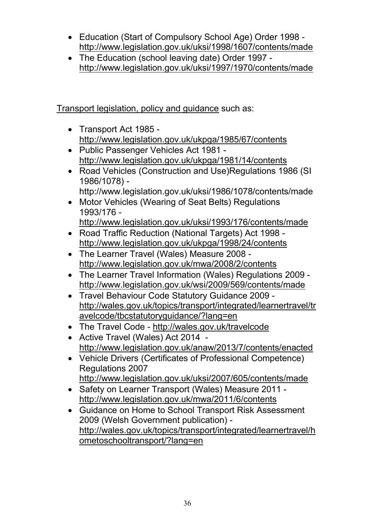- Education (Start of Compulsory School Age) Order 1998 http://www.legislation.gov.uk/uksi/1998/1607/contents/made
- The Education (school leaving date) Order 1997 http://www.legislation.gov.uk/uksi/1997/1970/contents/made

Transport legislation, policy and guidance such as:

- Transport Act 1985 http://www.legislation.gov.uk/ukpga/1985/67/contents
- Public Passenger Vehicles Act 1981 http://www.legislation.gov.uk/ukpga/1981/14/contents
- Road Vehicles (Construction and Use)Regulations 1986 (SI 1986/1078) http://www.legislation.gov.uk/uksi/1986/1078/contents/made
- Motor Vehicles (Wearing of Seat Belts) Regulations 1993/176
	- http://www.legislation.gov.uk/uksi/1993/176/contents/made
- Road Traffic Reduction (National Targets) Act 1998 http://www.legislation.gov.uk/ukpga/1998/24/contents
- The Learner Travel (Wales) Measure 2008 http://www.legislation.gov.uk/mwa/2008/2/contents
- The Learner Travel Information (Wales) Regulations 2009 http://www.legislation.gov.uk/wsi/2009/569/contents/made
- Travel Behaviour Code Statutory Guidance 2009 http://wales.gov.uk/topics/transport/integrated/learnertravel/tr avelcode/tbcstatutoryguidance/?lang=en
- The Travel Code http://wales.gov.uk/travelcode
- Active Travel (Wales) Act 2014 http://www.legislation.gov.uk/anaw/2013/7/contents/enacted
- Vehicle Drivers (Certificates of Professional Competence) Regulations 2007 http://www.legislation.gov.uk/uksi/2007/605/contents/made
- Safety on Learner Transport (Wales) Measure 2011 http://www.legislation.gov.uk/mwa/2011/6/contents
- Guidance on Home to School Transport Risk Assessment 2009 (Welsh Government publication) http://wales.gov.uk/topics/transport/integrated/learnertravel/h ometoschooltransport/?lang=en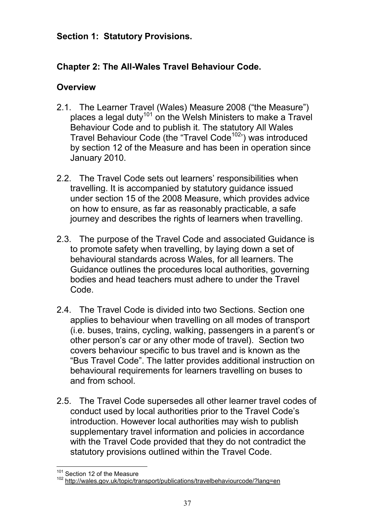#### **Section 1: Statutory Provisions.**

# **Chapter 2: The All-Wales Travel Behaviour Code.**

## **Overview**

- 2.1. The Learner Travel (Wales) Measure 2008 ("the Measure") places a legal duty<sup>101</sup> on the Welsh Ministers to make a Travel Behaviour Code and to publish it. The statutory All Wales Travel Behaviour Code (the "Travel Code<sup>102</sup>") was introduced by section 12 of the Measure and has been in operation since January 2010.
- 2.2. The Travel Code sets out learners' responsibilities when travelling. It is accompanied by statutory guidance issued under section 15 of the 2008 Measure, which provides advice on how to ensure, as far as reasonably practicable, a safe journey and describes the rights of learners when travelling.
- 2.3. The purpose of the Travel Code and associated Guidance is to promote safety when travelling, by laying down a set of behavioural standards across Wales, for all learners. The Guidance outlines the procedures local authorities, governing bodies and head teachers must adhere to under the Travel Code.
- 2.4. The Travel Code is divided into two Sections. Section one applies to behaviour when travelling on all modes of transport (i.e. buses, trains, cycling, walking, passengers in a parent's or other person's car or any other mode of travel). Section two covers behaviour specific to bus travel and is known as the "Bus Travel Code". The latter provides additional instruction on behavioural requirements for learners travelling on buses to and from school.
- 2.5. The Travel Code supersedes all other learner travel codes of conduct used by local authorities prior to the Travel Code's introduction. However local authorities may wish to publish supplementary travel information and policies in accordance with the Travel Code provided that they do not contradict the statutory provisions outlined within the Travel Code.

<sup>&</sup>lt;sup>101</sup> Section 12 of the Measure

<sup>102</sup> **between 12 changes** to the control of the state of the haviourcode/?lang=en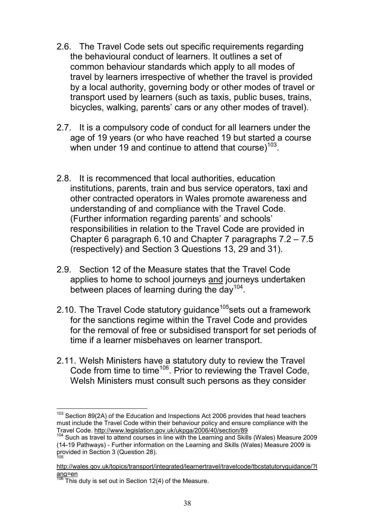- 2.6. The Travel Code sets out specific requirements regarding the behavioural conduct of learners. It outlines a set of common behaviour standards which apply to all modes of travel by learners irrespective of whether the travel is provided by a local authority, governing body or other modes of travel or transport used by learners (such as taxis, public buses, trains, bicycles, walking, parents' cars or any other modes of travel).
- 2.7. It is a compulsory code of conduct for all learners under the age of 19 years (or who have reached 19 but started a course when under 19 and continue to attend that course) $103$ .
- 2.8. It is recommenced that local authorities, education institutions, parents, train and bus service operators, taxi and other contracted operators in Wales promote awareness and understanding of and compliance with the Travel Code. (Further information regarding parents' and schools' responsibilities in relation to the Travel Code are provided in Chapter 6 paragraph 6.10 and Chapter 7 paragraphs 7.2 – 7.5 (respectively) and Section 3 Questions 13, 29 and 31).
- 2.9. Section 12 of the Measure states that the Travel Code applies to home to school journeys and journeys undertaken between places of learning during the day<sup>104</sup>.
- 2.10. The Travel Code statutory guidance<sup>105</sup>sets out a framework for the sanctions regime within the Travel Code and provides for the removal of free or subsidised transport for set periods of time if a learner misbehaves on learner transport.
- 2.11. Welsh Ministers have a statutory duty to review the Travel Code from time to time<sup>106</sup>. Prior to reviewing the Travel Code, Welsh Ministers must consult such persons as they consider

 $103$  Section 89(2A) of the Education and Inspections Act 2006 provides that head teachers must include the Travel Code within their behaviour policy and ensure compliance with the Travel Code. http://www.legislation.gov.uk/ukpga/2006/40/section/89

<sup>&</sup>lt;sup>104</sup> Such as travel to attend courses in line with the Learning and Skills (Wales) Measure 2009 (14-19 Pathways) - Further information on the Learning and Skills (Wales) Measure 2009 is provided in Section 3 (Question 28). 105

http://wales.gov.uk/topics/transport/integrated/learnertravel/travelcode/tbcstatutoryguidance/?l ang=en

 $\frac{106}{106}$  This duty is set out in Section 12(4) of the Measure.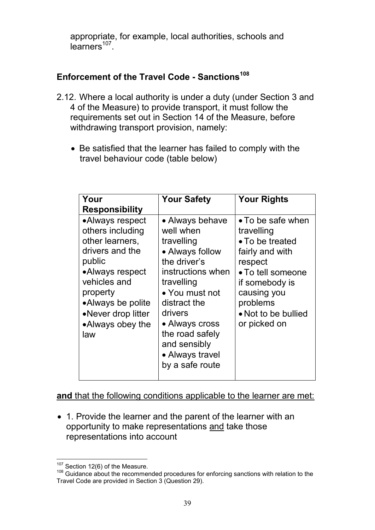appropriate, for example, local authorities, schools and  $learners<sup>107</sup>$ .

# **Enforcement of the Travel Code - Sanctions<sup>108</sup>**

- 2.12. Where a local authority is under a duty (under Section 3 and 4 of the Measure) to provide transport, it must follow the requirements set out in Section 14 of the Measure, before withdrawing transport provision, namely:
	- Be satisfied that the learner has failed to comply with the travel behaviour code (table below)

| Your<br><b>Responsibility</b>                                                                                                                                                                            | <b>Your Safety</b>                                                                                                                                                                                                                                       | <b>Your Rights</b>                                                                                                                                                                                |
|----------------------------------------------------------------------------------------------------------------------------------------------------------------------------------------------------------|----------------------------------------------------------------------------------------------------------------------------------------------------------------------------------------------------------------------------------------------------------|---------------------------------------------------------------------------------------------------------------------------------------------------------------------------------------------------|
| •Always respect<br>others including<br>other learners,<br>drivers and the<br>public<br>•Always respect<br>vehicles and<br>property<br>•Always be polite<br>•Never drop litter<br>•Always obey the<br>law | • Always behave<br>well when<br>travelling<br>• Always follow<br>the driver's<br>instructions when<br>travelling<br>• You must not<br>distract the<br>drivers<br>• Always cross<br>the road safely<br>and sensibly<br>• Always travel<br>by a safe route | • To be safe when<br>travelling<br>$\bullet$ To be treated<br>fairly and with<br>respect<br>• To tell someone<br>if somebody is<br>causing you<br>problems<br>• Not to be bullied<br>or picked on |

**and** that the following conditions applicable to the learner are met:

• 1. Provide the learner and the parent of the learner with an opportunity to make representations and take those representations into account

<sup>&</sup>lt;sup>107</sup> Section 12(6) of the Measure.

<sup>108</sup> Guidance about the recommended procedures for enforcing sanctions with relation to the Travel Code are provided in Section 3 (Question 29).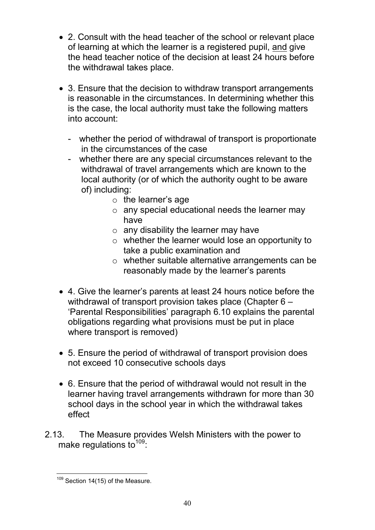- 2. Consult with the head teacher of the school or relevant place of learning at which the learner is a registered pupil, and give the head teacher notice of the decision at least 24 hours before the withdrawal takes place.
- 3. Ensure that the decision to withdraw transport arrangements is reasonable in the circumstances. In determining whether this is the case, the local authority must take the following matters into account:
	- whether the period of withdrawal of transport is proportionate in the circumstances of the case
	- whether there are any special circumstances relevant to the withdrawal of travel arrangements which are known to the local authority (or of which the authority ought to be aware of) including:
		- $\circ$  the learner's age
		- $\circ$  any special educational needs the learner may have
		- $\circ$  any disability the learner may have
		- $\circ$  whether the learner would lose an opportunity to take a public examination and
		- o whether suitable alternative arrangements can be reasonably made by the learner's parents
- 4. Give the learner's parents at least 24 hours notice before the withdrawal of transport provision takes place (Chapter 6 – 'Parental Responsibilities' paragraph 6.10 explains the parental obligations regarding what provisions must be put in place where transport is removed)
- 5. Ensure the period of withdrawal of transport provision does not exceed 10 consecutive schools days
- 6. Ensure that the period of withdrawal would not result in the learner having travel arrangements withdrawn for more than 30 school days in the school year in which the withdrawal takes effect
- 2.13. The Measure provides Welsh Ministers with the power to make regulations to  $109$ :

<sup>&</sup>lt;sup>109</sup> Section 14(15) of the Measure.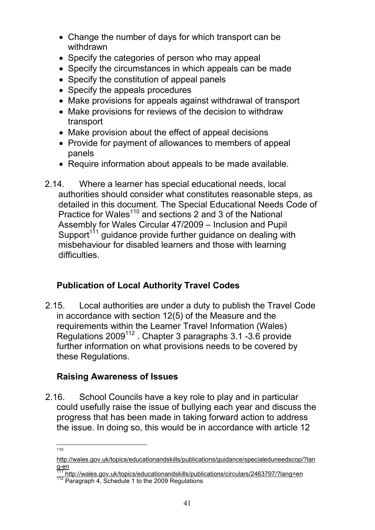- Change the number of days for which transport can be withdrawn
- Specify the categories of person who may appeal
- Specify the circumstances in which appeals can be made
- Specify the constitution of appeal panels
- Specify the appeals procedures
- Make provisions for appeals against withdrawal of transport
- Make provisions for reviews of the decision to withdraw transport
- Make provision about the effect of appeal decisions
- Provide for payment of allowances to members of appeal panels
- Require information about appeals to be made available.
- 2.14. Where a learner has special educational needs, local authorities should consider what constitutes reasonable steps, as detailed in this document. The Special Educational Needs Code of Practice for Wales<sup>110</sup> and sections 2 and 3 of the National Assembly for Wales Circular 47/2009 – Inclusion and Pupil Support<sup>111</sup> guidance provide further guidance on dealing with misbehaviour for disabled learners and those with learning difficulties.

# **Publication of Local Authority Travel Codes**

2.15. Local authorities are under a duty to publish the Travel Code in accordance with section 12(5) of the Measure and the requirements within the Learner Travel Information (Wales) Regulations 2009<sup>112</sup> . Chapter 3 paragraphs 3.1 -3.6 provide further information on what provisions needs to be covered by these Regulations.

## **Raising Awareness of Issues**

2.16. School Councils have a key role to play and in particular could usefully raise the issue of bullying each year and discuss the progress that has been made in taking forward action to address the issue. In doing so, this would be in accordance with article 12

<sup>110</sup>

http://wales.gov.uk/topics/educationandskills/publications/guidance/specialeduneedscop/?lan g-en

<sup>&</sup>lt;sup>111</sup> http://wales.gov.uk/topics/educationandskills/publications/circulars/2463797/?lang=en

<sup>112</sup> Paragraph 4, Schedule 1 to the 2009 Regulations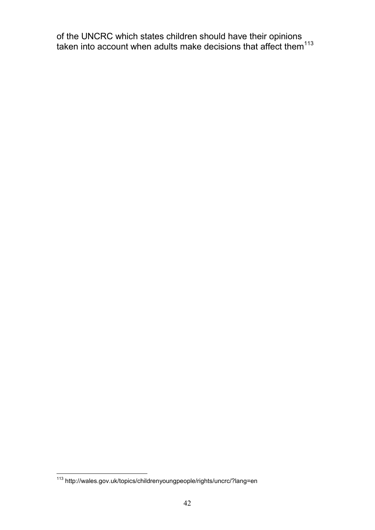of the UNCRC which states children should have their opinions taken into account when adults make decisions that affect them $^{113}$ 

<sup>113</sup> http://wales.gov.uk/topics/childrenyoungpeople/rights/uncrc/?lang=en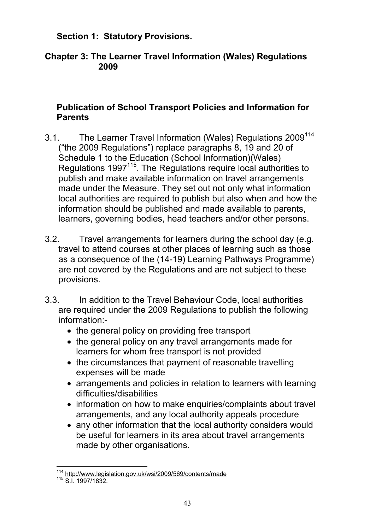### **Section 1: Statutory Provisions.**

### **Chapter 3: The Learner Travel Information (Wales) Regulations 2009**

### **Publication of School Transport Policies and Information for Parents**

- 3.1. The Learner Travel Information (Wales) Regulations 2009<sup>114</sup> ("the 2009 Regulations") replace paragraphs 8, 19 and 20 of Schedule 1 to the Education (School Information)(Wales) Regulations 1997<sup>115</sup>. The Regulations reguire local authorities to publish and make available information on travel arrangements made under the Measure. They set out not only what information local authorities are required to publish but also when and how the information should be published and made available to parents, learners, governing bodies, head teachers and/or other persons.
- 3.2. Travel arrangements for learners during the school day (e.g. travel to attend courses at other places of learning such as those as a consequence of the (14-19) Learning Pathways Programme) are not covered by the Regulations and are not subject to these provisions.
- 3.3. In addition to the Travel Behaviour Code, local authorities are required under the 2009 Regulations to publish the following information:-
	- the general policy on providing free transport
	- the general policy on any travel arrangements made for learners for whom free transport is not provided
	- the circumstances that payment of reasonable travelling expenses will be made
	- arrangements and policies in relation to learners with learning difficulties/disabilities
	- information on how to make enquiries/complaints about travel arrangements, and any local authority appeals procedure
	- any other information that the local authority considers would be useful for learners in its area about travel arrangements made by other organisations.

<sup>&</sup>lt;sup>114</sup> http://www.legislation.gov.uk/wsi/2009/569/contents/made

<sup>115</sup> S.I. 1997/1832.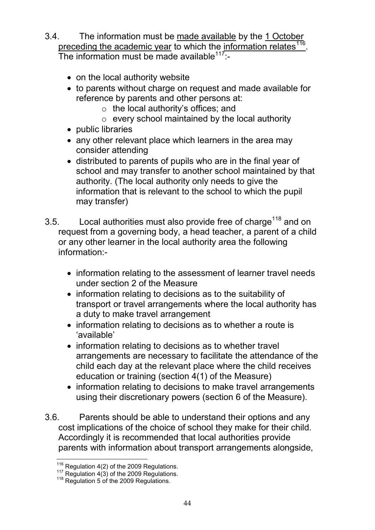- 3.4. The information must be made available by the 1 October preceding the academic year to which the information relates<sup>116</sup>. The information must be made available<sup>117:</sup>-
	- on the local authority website
	- to parents without charge on request and made available for reference by parents and other persons at:
		- o the local authority's offices; and
		- $\circ$  every school maintained by the local authority
	- public libraries
	- any other relevant place which learners in the area may consider attending
	- distributed to parents of pupils who are in the final year of school and may transfer to another school maintained by that authority. (The local authority only needs to give the information that is relevant to the school to which the pupil may transfer)
- 3.5. Local authorities must also provide free of charge<sup>118</sup> and on request from a governing body, a head teacher, a parent of a child or any other learner in the local authority area the following information:-
	- information relating to the assessment of learner travel needs under section 2 of the Measure
	- information relating to decisions as to the suitability of transport or travel arrangements where the local authority has a duty to make travel arrangement
	- information relating to decisions as to whether a route is 'available'
	- information relating to decisions as to whether travel arrangements are necessary to facilitate the attendance of the child each day at the relevant place where the child receives education or training (section 4(1) of the Measure)
	- information relating to decisions to make travel arrangements using their discretionary powers (section 6 of the Measure).
- 3.6. Parents should be able to understand their options and any cost implications of the choice of school they make for their child. Accordingly it is recommended that local authorities provide parents with information about transport arrangements alongside,

 $^{116}$  Regulation 4(2) of the 2009 Regulations.

 $117$  Regulation 4(3) of the 2009 Regulations.

<sup>&</sup>lt;sup>118</sup> Regulation 5 of the 2009 Regulations.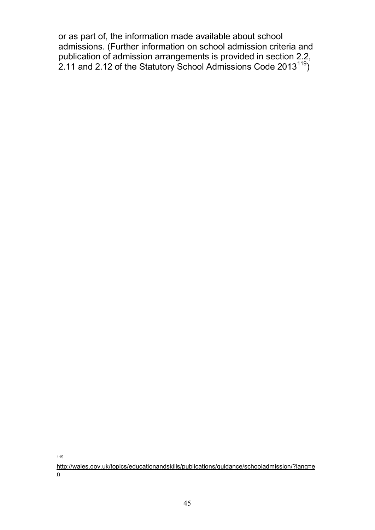or as part of, the information made available about school admissions. (Further information on school admission criteria and publication of admission arrangements is provided in section 2.2, 2.11 and 2.12 of the Statutory School Admissions Code 2013<sup>119</sup>)

119

http://wales.gov.uk/topics/educationandskills/publications/guidance/schooladmission/?lang=e n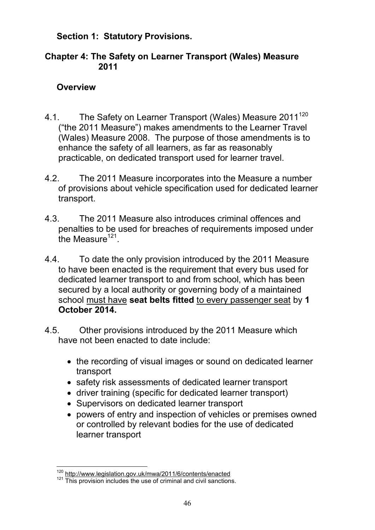### **Section 1: Statutory Provisions.**

### **Chapter 4: The Safety on Learner Transport (Wales) Measure 2011**

### **Overview**

- 4.1. The Safety on Learner Transport (Wales) Measure 2011<sup>120</sup> ("the 2011 Measure") makes amendments to the Learner Travel (Wales) Measure 2008. The purpose of those amendments is to enhance the safety of all learners, as far as reasonably practicable, on dedicated transport used for learner travel.
- 4.2. The 2011 Measure incorporates into the Measure a number of provisions about vehicle specification used for dedicated learner transport.
- 4.3. The 2011 Measure also introduces criminal offences and penalties to be used for breaches of requirements imposed under the Measure $121$ .
- 4.4. To date the only provision introduced by the 2011 Measure to have been enacted is the requirement that every bus used for dedicated learner transport to and from school, which has been secured by a local authority or governing body of a maintained school must have **seat belts fitted** to every passenger seat by **1 October 2014.**
- 4.5. Other provisions introduced by the 2011 Measure which have not been enacted to date include:
	- the recording of visual images or sound on dedicated learner transport
	- safety risk assessments of dedicated learner transport
	- driver training (specific for dedicated learner transport)
	- Supervisors on dedicated learner transport
	- powers of entry and inspection of vehicles or premises owned or controlled by relevant bodies for the use of dedicated learner transport

<sup>120</sup> http://www.legislation.gov.uk/mwa/2011/6/contents/enacted

<sup>121</sup> This provision includes the use of criminal and civil sanctions.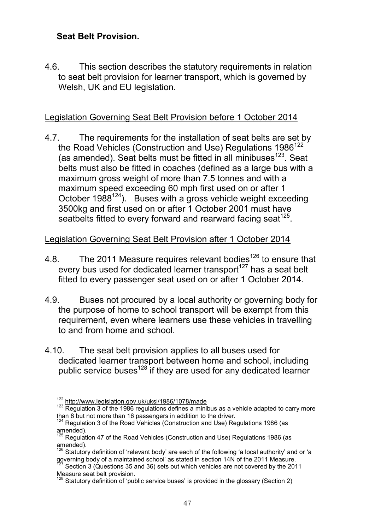### **Seat Belt Provision.**

4.6. This section describes the statutory requirements in relation to seat belt provision for learner transport, which is governed by Welsh, UK and EU legislation.

### Legislation Governing Seat Belt Provision before 1 October 2014

4.7. The requirements for the installation of seat belts are set by the Road Vehicles (Construction and Use) Regulations  $1986^{122}$ (as amended). Seat belts must be fitted in all minibuses<sup>123</sup>. Seat belts must also be fitted in coaches (defined as a large bus with a maximum gross weight of more than 7.5 tonnes and with a maximum speed exceeding 60 mph first used on or after 1 October 1988<sup>124</sup>). Buses with a gross vehicle weight exceeding 3500kg and first used on or after 1 October 2001 must have seatbelts fitted to every forward and rearward facing seat $^{125}$ .

### Legislation Governing Seat Belt Provision after 1 October 2014

- 4.8. The 2011 Measure requires relevant bodies<sup>126</sup> to ensure that every bus used for dedicated learner transport<sup>127</sup> has a seat belt fitted to every passenger seat used on or after 1 October 2014.
- 4.9. Buses not procured by a local authority or governing body for the purpose of home to school transport will be exempt from this requirement, even where learners use these vehicles in travelling to and from home and school.
- 4.10. The seat belt provision applies to all buses used for dedicated learner transport between home and school, including public service buses<sup>128</sup> if they are used for any dedicated learner

<sup>122</sup> http://www.legislation.gov.uk/uksi/1986/1078/made

<sup>&</sup>lt;sup>123</sup> Regulation 3 of the 1986 regulations defines a minibus as a vehicle adapted to carry more than 8 but not more than 16 passengers in addition to the driver.

 $124$  Regulation 3 of the Road Vehicles (Construction and Use) Regulations 1986 (as amended).

 $125$  Regulation 47 of the Road Vehicles (Construction and Use) Regulations 1986 (as amended).

 $126$  Statutory definition of 'relevant body' are each of the following 'a local authority' and or 'a governing body of a maintained school' as stated in section 14N of the 2011 Measure.

 $\frac{27}{27}$  Section 3 (Questions 35 and 36) sets out which vehicles are not covered by the 2011 Measure seat belt provision.

 $128$  Statutory definition of 'public service buses' is provided in the glossary (Section 2)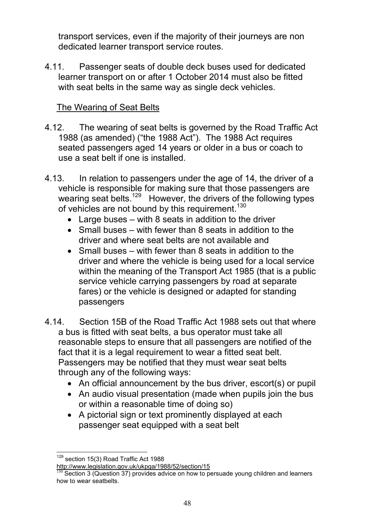transport services, even if the majority of their journeys are non dedicated learner transport service routes.

4.11. Passenger seats of double deck buses used for dedicated learner transport on or after 1 October 2014 must also be fitted with seat belts in the same way as single deck vehicles.

### The Wearing of Seat Belts

- 4.12. The wearing of seat belts is governed by the Road Traffic Act 1988 (as amended) ("the 1988 Act"). The 1988 Act requires seated passengers aged 14 years or older in a bus or coach to use a seat belt if one is installed.
- 4.13. In relation to passengers under the age of 14, the driver of a vehicle is responsible for making sure that those passengers are wearing seat belts.<sup>129</sup> However, the drivers of the following types of vehicles are not bound by this requirement.<sup>130</sup>
	- Large buses with 8 seats in addition to the driver
	- Small buses with fewer than 8 seats in addition to the driver and where seat belts are not available and
	- Small buses with fewer than 8 seats in addition to the driver and where the vehicle is being used for a local service within the meaning of the Transport Act 1985 (that is a public service vehicle carrying passengers by road at separate fares) or the vehicle is designed or adapted for standing passengers
- 4.14. Section 15B of the Road Traffic Act 1988 sets out that where a bus is fitted with seat belts, a bus operator must take all reasonable steps to ensure that all passengers are notified of the fact that it is a legal requirement to wear a fitted seat belt. Passengers may be notified that they must wear seat belts through any of the following ways:
	- An official announcement by the bus driver, escort(s) or pupil
	- An audio visual presentation (made when pupils join the bus or within a reasonable time of doing so)
	- A pictorial sign or text prominently displayed at each passenger seat equipped with a seat belt

<sup>&</sup>lt;sup>129</sup> section 15(3) Road Traffic Act 1988

http://www.legislation.gov.uk/ukpga/1988/52/section/15

 $\frac{130}{130}$  Section 3 (Question 37) provides advice on how to persuade young children and learners how to wear seatbelts.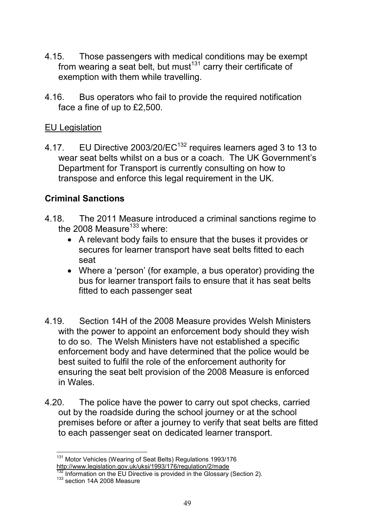- 4.15. Those passengers with medical conditions may be exempt from wearing a seat belt, but must $131$  carry their certificate of exemption with them while travelling.
- 4.16. Bus operators who fail to provide the required notification face a fine of up to £2,500.

#### EU Legislation

4.17. EU Directive 2003/20/EC<sup>132</sup> requires learners aged 3 to 13 to wear seat belts whilst on a bus or a coach. The UK Government's Department for Transport is currently consulting on how to transpose and enforce this legal requirement in the UK.

#### **Criminal Sanctions**

- 4.18. The 2011 Measure introduced a criminal sanctions regime to the 2008 Measure $133$  where:
	- A relevant body fails to ensure that the buses it provides or secures for learner transport have seat belts fitted to each seat
	- Where a 'person' (for example, a bus operator) providing the bus for learner transport fails to ensure that it has seat belts fitted to each passenger seat
- 4.19. Section 14H of the 2008 Measure provides Welsh Ministers with the power to appoint an enforcement body should they wish to do so. The Welsh Ministers have not established a specific enforcement body and have determined that the police would be best suited to fulfil the role of the enforcement authority for ensuring the seat belt provision of the 2008 Measure is enforced in Wales.
- 4.20. The police have the power to carry out spot checks, carried out by the roadside during the school journey or at the school premises before or after a journey to verify that seat belts are fitted to each passenger seat on dedicated learner transport.

<sup>&</sup>lt;sup>131</sup> Motor Vehicles (Wearing of Seat Belts) Regulations 1993/176 http://www.legislation.gov.uk/uksi/1993/176/regulation/2/made

 $\frac{1}{2}$  Information on the EU Directive is provided in the Glossary (Section 2).

 $133$  section 14A 2008 Measure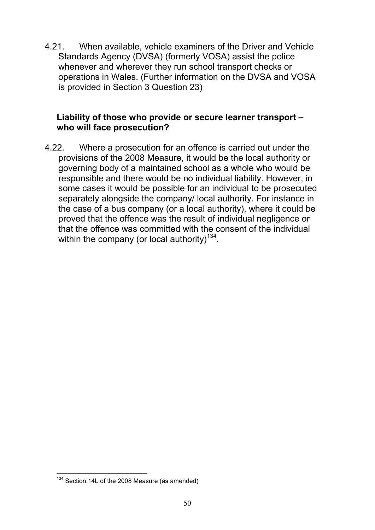4.21. When available, vehicle examiners of the Driver and Vehicle Standards Agency (DVSA) (formerly VOSA) assist the police whenever and wherever they run school transport checks or operations in Wales. (Further information on the DVSA and VOSA is provided in Section 3 Question 23)

### **Liability of those who provide or secure learner transport – who will face prosecution?**

4.22. Where a prosecution for an offence is carried out under the provisions of the 2008 Measure, it would be the local authority or governing body of a maintained school as a whole who would be responsible and there would be no individual liability. However, in some cases it would be possible for an individual to be prosecuted separately alongside the company/ local authority. For instance in the case of a bus company (or a local authority), where it could be proved that the offence was the result of individual negligence or that the offence was committed with the consent of the individual within the company (or local authority)<sup>134</sup>.

<sup>&</sup>lt;sup>134</sup> Section 14L of the 2008 Measure (as amended)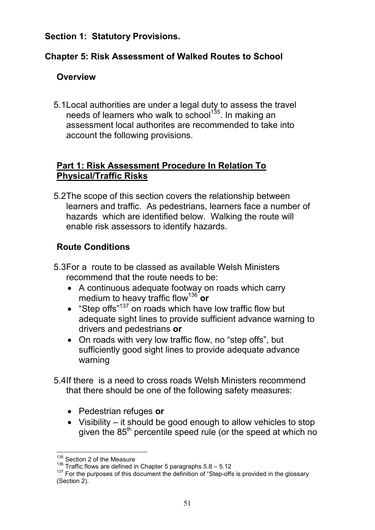### **Section 1: Statutory Provisions.**

## **Chapter 5: Risk Assessment of Walked Routes to School**

## **Overview**

5.1Local authorities are under a legal duty to assess the travel needs of learners who walk to school<sup>135</sup>. In making an assessment local authorites are recommended to take into account the following provisions.

### **Part 1: Risk Assessment Procedure In Relation To Physical/Traffic Risks**

5.2The scope of this section covers the relationship between learners and traffic. As pedestrians, learners face a number of hazards which are identified below. Walking the route will enable risk assessors to identify hazards.

# **Route Conditions**

- 5.3For a route to be classed as available Welsh Ministers recommend that the route needs to be:
	- A continuous adequate footway on roads which carry medium to heavy traffic flow<sup>136</sup> **or**
	- "Step offs"<sup>137</sup> on roads which have low traffic flow but adequate sight lines to provide sufficient advance warning to drivers and pedestrians **or**
	- On roads with very low traffic flow, no "step offs", but sufficiently good sight lines to provide adequate advance warning
- 5.4If there is a need to cross roads Welsh Ministers recommend that there should be one of the following safety measures:
	- Pedestrian refuges **or**
	- Visibility it should be good enough to allow vehicles to stop given the 85<sup>th</sup> percentile speed rule (or the speed at which no

<sup>135</sup> Section 2 of the Measure

 $136$  Traffic flows are defined in Chapter 5 paragraphs  $5.8 - 5.12$ 

 $137$  For the purposes of this document the definition of "Step-offs is provided in the glossary (Section 2).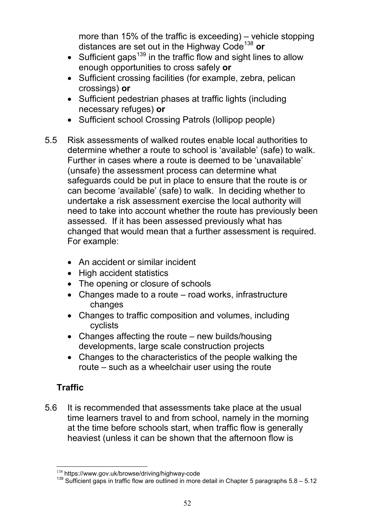more than 15% of the traffic is exceeding) – vehicle stopping distances are set out in the Highway Code<sup>138</sup> **or**

- Sufficient gaps<sup>139</sup> in the traffic flow and sight lines to allow enough opportunities to cross safely **or**
- Sufficient crossing facilities (for example, zebra, pelican crossings) **or**
- Sufficient pedestrian phases at traffic lights (including necessary refuges) **or**
- Sufficient school Crossing Patrols (lollipop people)
- 5.5 Risk assessments of walked routes enable local authorities to determine whether a route to school is 'available' (safe) to walk. Further in cases where a route is deemed to be 'unavailable' (unsafe) the assessment process can determine what safeguards could be put in place to ensure that the route is or can become 'available' (safe) to walk. In deciding whether to undertake a risk assessment exercise the local authority will need to take into account whether the route has previously been assessed. If it has been assessed previously what has changed that would mean that a further assessment is required. For example:
	- An accident or similar incident
	- High accident statistics
	- The opening or closure of schools
	- Changes made to a route road works, infrastructure changes
	- Changes to traffic composition and volumes, including cyclists
	- Changes affecting the route new builds/housing developments, large scale construction projects
	- Changes to the characteristics of the people walking the route – such as a wheelchair user using the route

# **Traffic**

5.6 It is recommended that assessments take place at the usual time learners travel to and from school, namely in the morning at the time before schools start, when traffic flow is generally heaviest (unless it can be shown that the afternoon flow is

<sup>138</sup> https://www.gov.uk/browse/driving/highway-code

<sup>&</sup>lt;sup>139</sup> Sufficient gaps in traffic flow are outlined in more detail in Chapter 5 paragraphs 5.8 – 5.12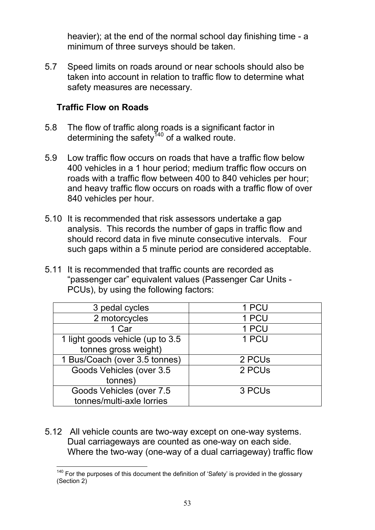heavier); at the end of the normal school day finishing time - a minimum of three surveys should be taken.

5.7 Speed limits on roads around or near schools should also be taken into account in relation to traffic flow to determine what safety measures are necessary.

### **Traffic Flow on Roads**

- 5.8 The flow of traffic along roads is a significant factor in determining the safety<sup>140</sup> of a walked route.
- 5.9 Low traffic flow occurs on roads that have a traffic flow below 400 vehicles in a 1 hour period; medium traffic flow occurs on roads with a traffic flow between 400 to 840 vehicles per hour; and heavy traffic flow occurs on roads with a traffic flow of over 840 vehicles per hour.
- 5.10 It is recommended that risk assessors undertake a gap analysis. This records the number of gaps in traffic flow and should record data in five minute consecutive intervals. Four such gaps within a 5 minute period are considered acceptable.
- 5.11 It is recommended that traffic counts are recorded as "passenger car" equivalent values (Passenger Car Units - PCUs), by using the following factors:

| 3 pedal cycles                    | 1 PCU              |
|-----------------------------------|--------------------|
| 2 motorcycles                     | 1 PCU              |
| 1 Car                             | 1 PCU              |
| 1 light goods vehicle (up to 3.5) | 1 PCU              |
| tonnes gross weight)              |                    |
| 1 Bus/Coach (over 3.5 tonnes)     | 2 PCUs             |
| Goods Vehicles (over 3.5          | 2 PCU <sub>s</sub> |
| tonnes)                           |                    |
| Goods Vehicles (over 7.5          | 3 PCUs             |
| tonnes/multi-axle lorries         |                    |

5.12 All vehicle counts are two-way except on one-way systems. Dual carriageways are counted as one-way on each side. Where the two-way (one-way of a dual carriageway) traffic flow

 $140$  For the purposes of this document the definition of 'Safety' is provided in the glossary (Section 2)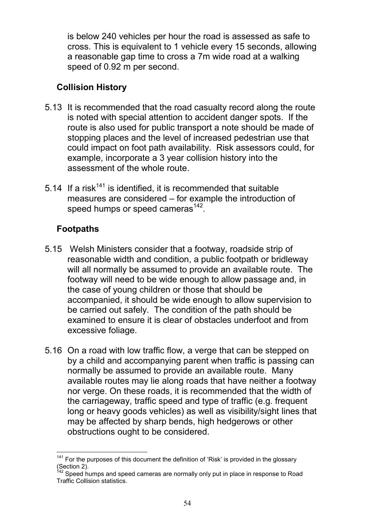is below 240 vehicles per hour the road is assessed as safe to cross. This is equivalent to 1 vehicle every 15 seconds, allowing a reasonable gap time to cross a 7m wide road at a walking speed of 0.92 m per second.

## **Collision History**

- 5.13 It is recommended that the road casualty record along the route is noted with special attention to accident danger spots. If the route is also used for public transport a note should be made of stopping places and the level of increased pedestrian use that could impact on foot path availability. Risk assessors could, for example, incorporate a 3 year collision history into the assessment of the whole route.
- 5.14 If a risk $141$  is identified, it is recommended that suitable measures are considered – for example the introduction of speed humps or speed cameras $^{142}$ .

# **Footpaths**

- 5.15 Welsh Ministers consider that a footway, roadside strip of reasonable width and condition, a public footpath or bridleway will all normally be assumed to provide an available route. The footway will need to be wide enough to allow passage and, in the case of young children or those that should be accompanied, it should be wide enough to allow supervision to be carried out safely. The condition of the path should be examined to ensure it is clear of obstacles underfoot and from excessive foliage.
- 5.16 On a road with low traffic flow, a verge that can be stepped on by a child and accompanying parent when traffic is passing can normally be assumed to provide an available route. Many available routes may lie along roads that have neither a footway nor verge. On these roads, it is recommended that the width of the carriageway, traffic speed and type of traffic (e.g. frequent long or heavy goods vehicles) as well as visibility/sight lines that may be affected by sharp bends, high hedgerows or other obstructions ought to be considered.

 $141$  For the purposes of this document the definition of 'Risk' is provided in the glossary (Section 2).

Speed humps and speed cameras are normally only put in place in response to Road Traffic Collision statistics.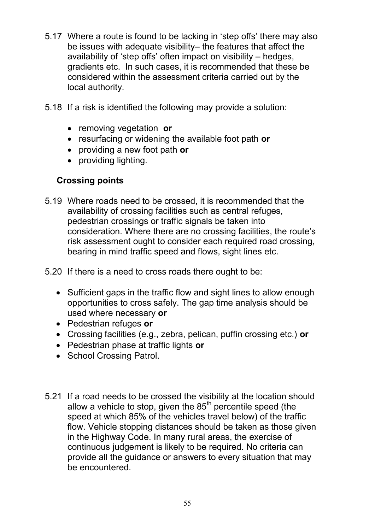- 5.17 Where a route is found to be lacking in 'step offs' there may also be issues with adequate visibility– the features that affect the availability of 'step offs' often impact on visibility – hedges, gradients etc. In such cases, it is recommended that these be considered within the assessment criteria carried out by the local authority.
- 5.18 If a risk is identified the following may provide a solution:
	- removing vegetation **or**
	- resurfacing or widening the available foot path **or**
	- providing a new foot path **or**
	- providing lighting.

### **Crossing points**

- 5.19 Where roads need to be crossed, it is recommended that the availability of crossing facilities such as central refuges, pedestrian crossings or traffic signals be taken into consideration. Where there are no crossing facilities, the route's risk assessment ought to consider each required road crossing, bearing in mind traffic speed and flows, sight lines etc.
- 5.20 If there is a need to cross roads there ought to be:
	- Sufficient gaps in the traffic flow and sight lines to allow enough opportunities to cross safely. The gap time analysis should be used where necessary **or**
	- Pedestrian refuges **or**
	- Crossing facilities (e.g., zebra, pelican, puffin crossing etc.) **or**
	- Pedestrian phase at traffic lights **or**
	- School Crossing Patrol.
- 5.21 If a road needs to be crossed the visibility at the location should allow a vehicle to stop, given the  $85<sup>th</sup>$  percentile speed (the speed at which 85% of the vehicles travel below) of the traffic flow. Vehicle stopping distances should be taken as those given in the Highway Code. In many rural areas, the exercise of continuous judgement is likely to be required. No criteria can provide all the guidance or answers to every situation that may be encountered.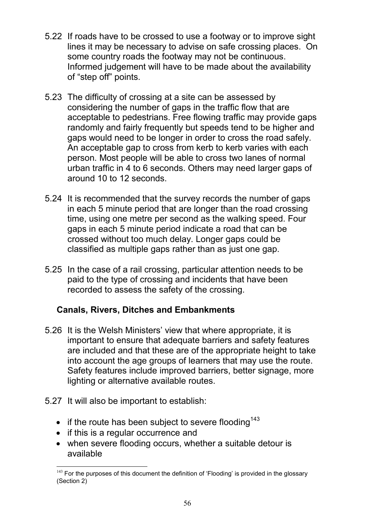- 5.22 If roads have to be crossed to use a footway or to improve sight lines it may be necessary to advise on safe crossing places. On some country roads the footway may not be continuous. Informed judgement will have to be made about the availability of "step off" points.
- 5.23 The difficulty of crossing at a site can be assessed by considering the number of gaps in the traffic flow that are acceptable to pedestrians. Free flowing traffic may provide gaps randomly and fairly frequently but speeds tend to be higher and gaps would need to be longer in order to cross the road safely. An acceptable gap to cross from kerb to kerb varies with each person. Most people will be able to cross two lanes of normal urban traffic in 4 to 6 seconds. Others may need larger gaps of around 10 to 12 seconds.
- 5.24 It is recommended that the survey records the number of gaps in each 5 minute period that are longer than the road crossing time, using one metre per second as the walking speed. Four gaps in each 5 minute period indicate a road that can be crossed without too much delay. Longer gaps could be classified as multiple gaps rather than as just one gap.
- 5.25 In the case of a rail crossing, particular attention needs to be paid to the type of crossing and incidents that have been recorded to assess the safety of the crossing.

## **Canals, Rivers, Ditches and Embankments**

- 5.26 It is the Welsh Ministers' view that where appropriate, it is important to ensure that adequate barriers and safety features are included and that these are of the appropriate height to take into account the age groups of learners that may use the route. Safety features include improved barriers, better signage, more lighting or alternative available routes.
- 5.27 It will also be important to establish:
	- if the route has been subject to severe flooding<sup>143</sup>
	- if this is a regular occurrence and
	- when severe flooding occurs, whether a suitable detour is available

 $143$  For the purposes of this document the definition of 'Flooding' is provided in the glossary (Section 2)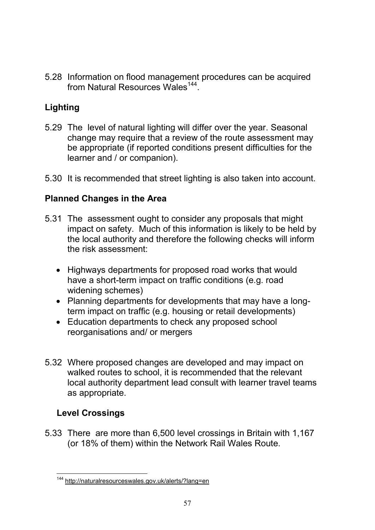5.28 Information on flood management procedures can be acquired from Natural Resources Wales<sup>144</sup>.

# **Lighting**

- 5.29 The level of natural lighting will differ over the year. Seasonal change may require that a review of the route assessment may be appropriate (if reported conditions present difficulties for the learner and / or companion).
- 5.30 It is recommended that street lighting is also taken into account.

# **Planned Changes in the Area**

- 5.31 The assessment ought to consider any proposals that might impact on safety. Much of this information is likely to be held by the local authority and therefore the following checks will inform the risk assessment:
	- Highways departments for proposed road works that would have a short-term impact on traffic conditions (e.g. road widening schemes)
	- Planning departments for developments that may have a longterm impact on traffic (e.g. housing or retail developments)
	- Education departments to check any proposed school reorganisations and/ or mergers
- 5.32 Where proposed changes are developed and may impact on walked routes to school, it is recommended that the relevant local authority department lead consult with learner travel teams as appropriate.

# **Level Crossings**

5.33 There are more than 6,500 level crossings in Britain with 1,167 (or 18% of them) within the Network Rail Wales Route.

<sup>144</sup> http://naturalresourceswales.gov.uk/alerts/?lang=en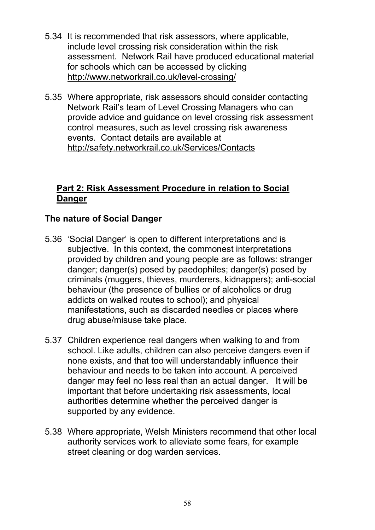- 5.34 It is recommended that risk assessors, where applicable, include level crossing risk consideration within the risk assessment. Network Rail have produced educational material for schools which can be accessed by clicking http://www.networkrail.co.uk/level-crossing/
- 5.35 Where appropriate, risk assessors should consider contacting Network Rail's team of Level Crossing Managers who can provide advice and guidance on level crossing risk assessment control measures, such as level crossing risk awareness events. Contact details are available at http://safety.networkrail.co.uk/Services/Contacts

### **Part 2: Risk Assessment Procedure in relation to Social Danger**

## **The nature of Social Danger**

- 5.36 'Social Danger' is open to different interpretations and is subjective. In this context, the commonest interpretations provided by children and young people are as follows: stranger danger; danger(s) posed by paedophiles; danger(s) posed by criminals (muggers, thieves, murderers, kidnappers); anti-social behaviour (the presence of bullies or of alcoholics or drug addicts on walked routes to school); and physical manifestations, such as discarded needles or places where drug abuse/misuse take place.
- 5.37 Children experience real dangers when walking to and from school. Like adults, children can also perceive dangers even if none exists, and that too will understandably influence their behaviour and needs to be taken into account. A perceived danger may feel no less real than an actual danger. It will be important that before undertaking risk assessments, local authorities determine whether the perceived danger is supported by any evidence.
- 5.38 Where appropriate, Welsh Ministers recommend that other local authority services work to alleviate some fears, for example street cleaning or dog warden services.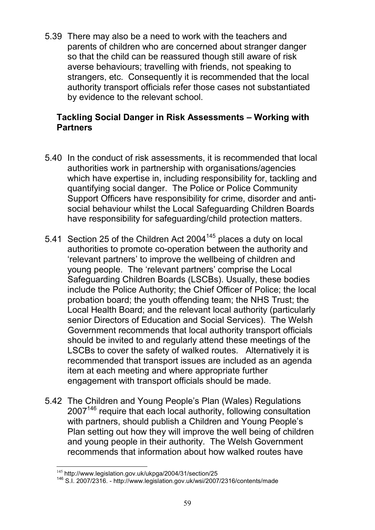5.39 There may also be a need to work with the teachers and parents of children who are concerned about stranger danger so that the child can be reassured though still aware of risk averse behaviours; travelling with friends, not speaking to strangers, etc. Consequently it is recommended that the local authority transport officials refer those cases not substantiated by evidence to the relevant school.

### **Tackling Social Danger in Risk Assessments – Working with Partners**

- 5.40 In the conduct of risk assessments, it is recommended that local authorities work in partnership with organisations/agencies which have expertise in, including responsibility for, tackling and quantifying social danger. The Police or Police Community Support Officers have responsibility for crime, disorder and antisocial behaviour whilst the Local Safeguarding Children Boards have responsibility for safeguarding/child protection matters.
- 5.41 Section 25 of the Children Act 2004<sup>145</sup> places a duty on local authorities to promote co-operation between the authority and 'relevant partners' to improve the wellbeing of children and young people. The 'relevant partners' comprise the Local Safeguarding Children Boards (LSCBs). Usually, these bodies include the Police Authority; the Chief Officer of Police; the local probation board; the youth offending team; the NHS Trust; the Local Health Board; and the relevant local authority (particularly senior Directors of Education and Social Services). The Welsh Government recommends that local authority transport officials should be invited to and regularly attend these meetings of the LSCBs to cover the safety of walked routes. Alternatively it is recommended that transport issues are included as an agenda item at each meeting and where appropriate further engagement with transport officials should be made.
- 5.42 The Children and Young People's Plan (Wales) Regulations 2007<sup>146</sup> require that each local authority, following consultation with partners, should publish a Children and Young People's Plan setting out how they will improve the well being of children and young people in their authority. The Welsh Government recommends that information about how walked routes have

<sup>145</sup> http://www.legislation.gov.uk/ukpga/2004/31/section/25

<sup>146</sup> S.I. 2007/2316. - http://www.legislation.gov.uk/wsi/2007/2316/contents/made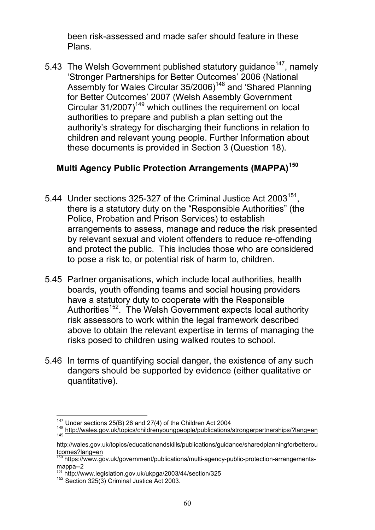been risk-assessed and made safer should feature in these Plans.

5.43 The Welsh Government published statutory guidance<sup>147</sup>, namely 'Stronger Partnerships for Better Outcomes' 2006 (National Assembly for Wales Circular 35/2006)<sup>148</sup> and 'Shared Planning for Better Outcomes' 2007 (Welsh Assembly Government Circular 31/2007)<sup>149</sup> which outlines the requirement on local authorities to prepare and publish a plan setting out the authority's strategy for discharging their functions in relation to children and relevant young people. Further Information about these documents is provided in Section 3 (Question 18).

# **Multi Agency Public Protection Arrangements (MAPPA)<sup>150</sup>**

- 5.44 Under sections 325-327 of the Criminal Justice Act 2003 $^{151}$ , there is a statutory duty on the "Responsible Authorities" (the Police, Probation and Prison Services) to establish arrangements to assess, manage and reduce the risk presented by relevant sexual and violent offenders to reduce re-offending and protect the public. This includes those who are considered to pose a risk to, or potential risk of harm to, children.
- 5.45 Partner organisations, which include local authorities, health boards, youth offending teams and social housing providers have a statutory duty to cooperate with the Responsible Authorities<sup>152</sup>. The Welsh Government expects local authority risk assessors to work within the legal framework described above to obtain the relevant expertise in terms of managing the risks posed to children using walked routes to school.
- 5.46 In terms of quantifying social danger, the existence of any such dangers should be supported by evidence (either qualitative or quantitative).

<sup>&</sup>lt;sup>147</sup> Under sections 25(B) 26 and 27(4) of the Children Act 2004

<sup>&</sup>lt;sup>148</sup> http://wales.gov.uk/topics/childrenyoungpeople/publications/strongerpartnerships/?lang=en

http://wales.gov.uk/topics/educationandskills/publications/guidance/sharedplanningforbetterou tcomes?lang=en

<sup>150</sup> https://www.gov.uk/government/publications/multi-agency-public-protection-arrangementsmappa--2

<sup>151</sup> http://www.legislation.gov.uk/ukpga/2003/44/section/325

<sup>&</sup>lt;sup>152</sup> Section 325(3) Criminal Justice Act 2003.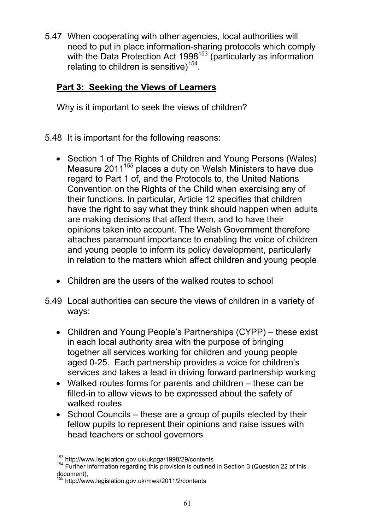5.47 When cooperating with other agencies, local authorities will need to put in place information-sharing protocols which comply with the Data Protection Act 1998<sup>153</sup> (particularly as information relating to children is sensitive)<sup>154</sup>.

# **Part 3: Seeking the Views of Learners**

Why is it important to seek the views of children?

- 5.48 It is important for the following reasons:
	- Section 1 of The Rights of Children and Young Persons (Wales) Measure 2011<sup>155</sup> places a duty on Welsh Ministers to have due regard to Part 1 of, and the Protocols to, the United Nations Convention on the Rights of the Child when exercising any of their functions. In particular, Article 12 specifies that children have the right to say what they think should happen when adults are making decisions that affect them, and to have their opinions taken into account. The Welsh Government therefore attaches paramount importance to enabling the voice of children and young people to inform its policy development, particularly in relation to the matters which affect children and young people
	- Children are the users of the walked routes to school
- 5.49 Local authorities can secure the views of children in a variety of ways:
	- Children and Young People's Partnerships (CYPP) these exist in each local authority area with the purpose of bringing together all services working for children and young people aged 0-25. Each partnership provides a voice for children's services and takes a lead in driving forward partnership working
	- Walked routes forms for parents and children these can be filled-in to allow views to be expressed about the safety of walked routes
	- School Councils these are a group of pupils elected by their fellow pupils to represent their opinions and raise issues with head teachers or school governors

<sup>153</sup> http://www.legislation.gov.uk/ukpga/1998/29/contents

<sup>&</sup>lt;sup>154</sup> Further information regarding this provision is outlined in Section 3 (Question 22 of this document),

<sup>155</sup> http://www.legislation.gov.uk/mwa/2011/2/contents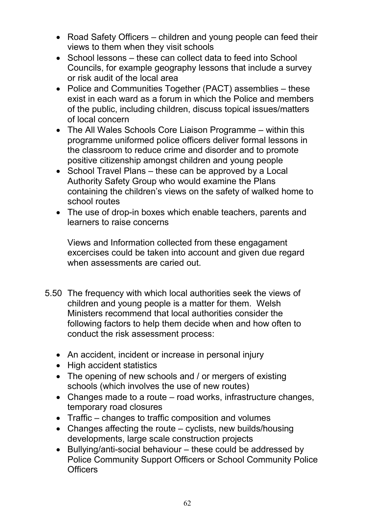- Road Safety Officers children and young people can feed their views to them when they visit schools
- School lessons these can collect data to feed into School Councils, for example geography lessons that include a survey or risk audit of the local area
- Police and Communities Together (PACT) assemblies these exist in each ward as a forum in which the Police and members of the public, including children, discuss topical issues/matters of local concern
- The All Wales Schools Core Liaison Programme within this programme uniformed police officers deliver formal lessons in the classroom to reduce crime and disorder and to promote positive citizenship amongst children and young people
- School Travel Plans these can be approved by a Local Authority Safety Group who would examine the Plans containing the children's views on the safety of walked home to school routes
- The use of drop-in boxes which enable teachers, parents and learners to raise concerns

Views and Information collected from these engagament excercises could be taken into account and given due regard when assessments are caried out.

- 5.50 The frequency with which local authorities seek the views of children and young people is a matter for them. Welsh Ministers recommend that local authorities consider the following factors to help them decide when and how often to conduct the risk assessment process:
	- An accident, incident or increase in personal injury
	- High accident statistics
	- The opening of new schools and / or mergers of existing schools (which involves the use of new routes)
	- Changes made to a route road works, infrastructure changes, temporary road closures
	- Traffic changes to traffic composition and volumes
	- Changes affecting the route cyclists, new builds/housing developments, large scale construction projects
	- Bullying/anti-social behaviour these could be addressed by Police Community Support Officers or School Community Police **Officers**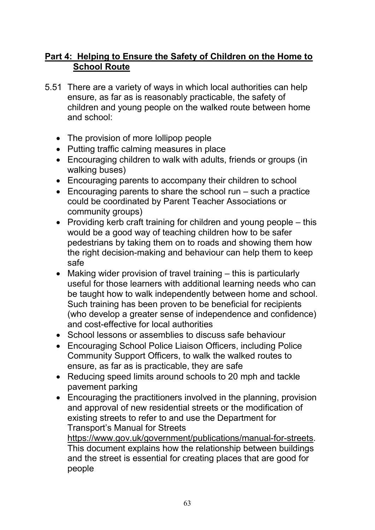### **Part 4: Helping to Ensure the Safety of Children on the Home to School Route**

- 5.51 There are a variety of ways in which local authorities can help ensure, as far as is reasonably practicable, the safety of children and young people on the walked route between home and school:
	- The provision of more lollipop people
	- Putting traffic calming measures in place
	- Encouraging children to walk with adults, friends or groups (in walking buses)
	- Encouraging parents to accompany their children to school
	- Encouraging parents to share the school run such a practice could be coordinated by Parent Teacher Associations or community groups)
	- Providing kerb craft training for children and young people this would be a good way of teaching children how to be safer pedestrians by taking them on to roads and showing them how the right decision-making and behaviour can help them to keep safe
	- Making wider provision of travel training this is particularly useful for those learners with additional learning needs who can be taught how to walk independently between home and school. Such training has been proven to be beneficial for recipients (who develop a greater sense of independence and confidence) and cost-effective for local authorities
	- School lessons or assemblies to discuss safe behaviour
	- Encouraging School Police Liaison Officers, including Police Community Support Officers, to walk the walked routes to ensure, as far as is practicable, they are safe
	- Reducing speed limits around schools to 20 mph and tackle pavement parking
	- Encouraging the practitioners involved in the planning, provision and approval of new residential streets or the modification of existing streets to refer to and use the Department for Transport's Manual for Streets

https://www.gov.uk/government/publications/manual-for-streets. This document explains how the relationship between buildings and the street is essential for creating places that are good for people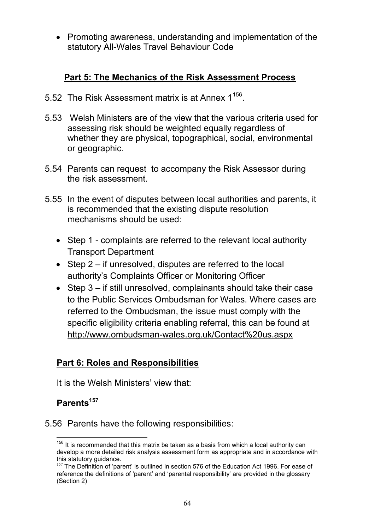• Promoting awareness, understanding and implementation of the statutory All-Wales Travel Behaviour Code

## **Part 5: The Mechanics of the Risk Assessment Process**

- 5.52 The Risk Assessment matrix is at Annex 1<sup>156</sup>.
- 5.53 Welsh Ministers are of the view that the various criteria used for assessing risk should be weighted equally regardless of whether they are physical, topographical, social, environmental or geographic.
- 5.54 Parents can request to accompany the Risk Assessor during the risk assessment.
- 5.55 In the event of disputes between local authorities and parents, it is recommended that the existing dispute resolution mechanisms should be used:
	- Step 1 complaints are referred to the relevant local authority Transport Department
	- Step 2 if unresolved, disputes are referred to the local authority's Complaints Officer or Monitoring Officer
	- Step 3 if still unresolved, complainants should take their case to the Public Services Ombudsman for Wales. Where cases are referred to the Ombudsman, the issue must comply with the specific eligibility criteria enabling referral, this can be found at http://www.ombudsman-wales.org.uk/Contact%20us.aspx

## **Part 6: Roles and Responsibilities**

It is the Welsh Ministers' view that:

# **Parents<sup>157</sup>**

5.56 Parents have the following responsibilities:

 $156$  It is recommended that this matrix be taken as a basis from which a local authority can develop a more detailed risk analysis assessment form as appropriate and in accordance with this statutory guidance.

<sup>&</sup>lt;sup>157</sup> The Definition of 'parent' is outlined in section 576 of the Education Act 1996. For ease of reference the definitions of 'parent' and 'parental responsibility' are provided in the glossary (Section 2)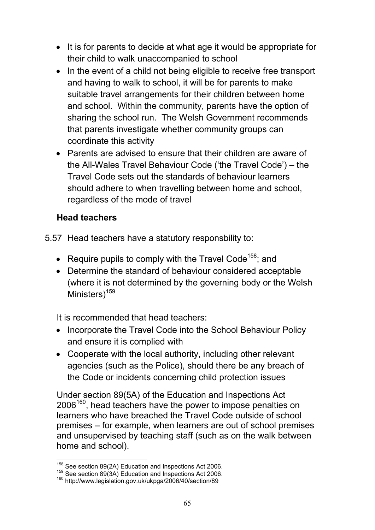- It is for parents to decide at what age it would be appropriate for their child to walk unaccompanied to school
- In the event of a child not being eligible to receive free transport and having to walk to school, it will be for parents to make suitable travel arrangements for their children between home and school. Within the community, parents have the option of sharing the school run. The Welsh Government recommends that parents investigate whether community groups can coordinate this activity
- Parents are advised to ensure that their children are aware of the All-Wales Travel Behaviour Code ('the Travel Code') – the Travel Code sets out the standards of behaviour learners should adhere to when travelling between home and school, regardless of the mode of travel

## **Head teachers**

- 5.57 Head teachers have a statutory responsbility to:
	- Require pupils to comply with the Travel Code<sup>158</sup>; and
	- Determine the standard of behaviour considered acceptable (where it is not determined by the governing body or the Welsh Ministers<sup>159</sup>

It is recommended that head teachers:

- Incorporate the Travel Code into the School Behaviour Policy and ensure it is complied with
- Cooperate with the local authority, including other relevant agencies (such as the Police), should there be any breach of the Code or incidents concerning child protection issues

Under section 89(5A) of the Education and Inspections Act  $2006^{160}$ , head teachers have the power to impose penalties on learners who have breached the Travel Code outside of school premises – for example, when learners are out of school premises and unsupervised by teaching staff (such as on the walk between home and school).

<sup>&</sup>lt;sup>158</sup> See section 89(2A) Education and Inspections Act 2006.

 $159$  See section 89(3A) Education and Inspections Act 2006.

<sup>160</sup> http://www.legislation.gov.uk/ukpga/2006/40/section/89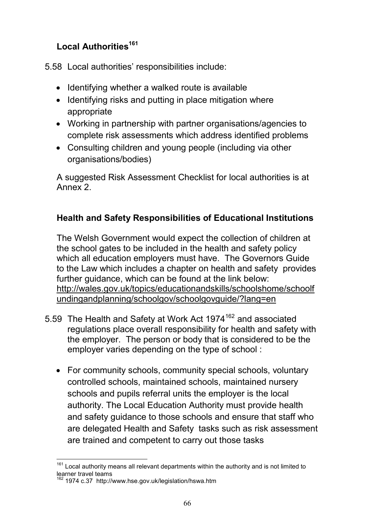## **Local Authorities<sup>161</sup>**

5.58 Local authorities' responsibilities include:

- Identifying whether a walked route is available
- Identifying risks and putting in place mitigation where appropriate
- Working in partnership with partner organisations/agencies to complete risk assessments which address identified problems
- Consulting children and young people (including via other organisations/bodies)

A suggested Risk Assessment Checklist for local authorities is at Annex 2.

# **Health and Safety Responsibilities of Educational Institutions**

The Welsh Government would expect the collection of children at the school gates to be included in the health and safety policy which all education employers must have. The Governors Guide to the Law which includes a chapter on health and safety provides further guidance, which can be found at the link below: http://wales.gov.uk/topics/educationandskills/schoolshome/schoolf undingandplanning/schoolgov/schoolgovguide/?lang=en

- 5.59 The Health and Safety at Work Act 1974<sup>162</sup> and associated regulations place overall responsibility for health and safety with the employer. The person or body that is considered to be the employer varies depending on the type of school :
	- For community schools, community special schools, voluntary controlled schools, maintained schools, maintained nursery schools and pupils referral units the employer is the local authority. The Local Education Authority must provide health and safety guidance to those schools and ensure that staff who are delegated Health and Safety tasks such as risk assessment are trained and competent to carry out those tasks

<sup>&</sup>lt;sup>161</sup> Local authority means all relevant departments within the authority and is not limited to learner travel teams

<sup>162</sup> 1974 c.37 http://www.hse.gov.uk/legislation/hswa.htm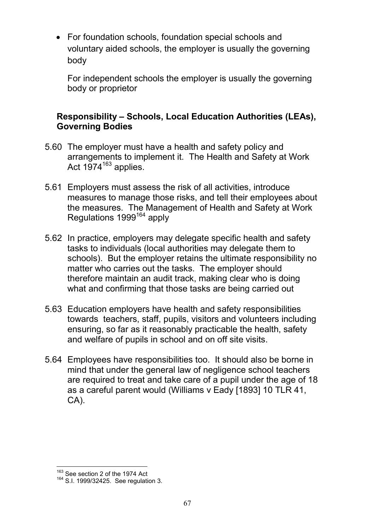• For foundation schools, foundation special schools and voluntary aided schools, the employer is usually the governing body

For independent schools the employer is usually the governing body or proprietor

### **Responsibility – Schools, Local Education Authorities (LEAs), Governing Bodies**

- 5.60 The employer must have a health and safety policy and arrangements to implement it. The Health and Safety at Work Act  $1974^{163}$  applies.
- 5.61 Employers must assess the risk of all activities, introduce measures to manage those risks, and tell their employees about the measures. The Management of Health and Safety at Work Regulations 1999<sup>164</sup> apply
- 5.62 In practice, employers may delegate specific health and safety tasks to individuals (local authorities may delegate them to schools). But the employer retains the ultimate responsibility no matter who carries out the tasks. The employer should therefore maintain an audit track, making clear who is doing what and confirming that those tasks are being carried out
- 5.63 Education employers have health and safety responsibilities towards teachers, staff, pupils, visitors and volunteers including ensuring, so far as it reasonably practicable the health, safety and welfare of pupils in school and on off site visits.
- 5.64 Employees have responsibilities too. It should also be borne in mind that under the general law of negligence school teachers are required to treat and take care of a pupil under the age of 18 as a careful parent would (Williams v Eady [1893] 10 TLR 41, CA).

<sup>&</sup>lt;sup>163</sup> See section 2 of the 1974 Act

<sup>164</sup> S.I. 1999/32425. See regulation 3.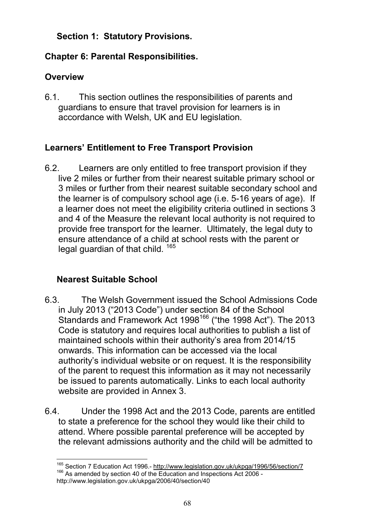## **Section 1: Statutory Provisions.**

## **Chapter 6: Parental Responsibilities.**

## **Overview**

6.1. This section outlines the responsibilities of parents and guardians to ensure that travel provision for learners is in accordance with Welsh, UK and EU legislation.

## **Learners' Entitlement to Free Transport Provision**

6.2. Learners are only entitled to free transport provision if they live 2 miles or further from their nearest suitable primary school or 3 miles or further from their nearest suitable secondary school and the learner is of compulsory school age (i.e. 5-16 years of age). If a learner does not meet the eligibility criteria outlined in sections 3 and 4 of the Measure the relevant local authority is not required to provide free transport for the learner. Ultimately, the legal duty to ensure attendance of a child at school rests with the parent or legal guardian of that child. <sup>165</sup>

# **Nearest Suitable School**

- 6.3. The Welsh Government issued the School Admissions Code in July 2013 ("2013 Code") under section 84 of the School Standards and Framework Act 1998<sup>166</sup> ("the 1998 Act"). The 2013 Code is statutory and requires local authorities to publish a list of maintained schools within their authority's area from 2014/15 onwards. This information can be accessed via the local authority's individual website or on request. It is the responsibility of the parent to request this information as it may not necessarily be issued to parents automatically. Links to each local authority website are provided in Annex 3.
- 6.4. Under the 1998 Act and the 2013 Code, parents are entitled to state a preference for the school they would like their child to attend. Where possible parental preference will be accepted by the relevant admissions authority and the child will be admitted to

<sup>&</sup>lt;sup>165</sup> Section 7 Education Act 1996.- http://www.legislation.gov.uk/ukpga/1996/56/section/7 <sup>166</sup> As amended by section 40 of the Education and Inspections Act 2006 http://www.legislation.gov.uk/ukpga/2006/40/section/40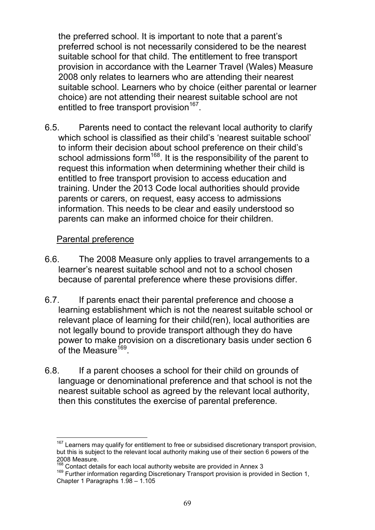the preferred school. It is important to note that a parent's preferred school is not necessarily considered to be the nearest suitable school for that child. The entitlement to free transport provision in accordance with the Learner Travel (Wales) Measure 2008 only relates to learners who are attending their nearest suitable school. Learners who by choice (either parental or learner choice) are not attending their nearest suitable school are not entitled to free transport provision<sup>167</sup>.

6.5. Parents need to contact the relevant local authority to clarify which school is classified as their child's 'nearest suitable school' to inform their decision about school preference on their child's school admissions form<sup>168</sup>. It is the responsibility of the parent to request this information when determining whether their child is entitled to free transport provision to access education and training. Under the 2013 Code local authorities should provide parents or carers, on request, easy access to admissions information. This needs to be clear and easily understood so parents can make an informed choice for their children.

### Parental preference

- 6.6. The 2008 Measure only applies to travel arrangements to a learner's nearest suitable school and not to a school chosen because of parental preference where these provisions differ.
- 6.7. If parents enact their parental preference and choose a learning establishment which is not the nearest suitable school or relevant place of learning for their child(ren), local authorities are not legally bound to provide transport although they do have power to make provision on a discretionary basis under section 6 of the Measure<sup>169</sup>.
- 6.8. If a parent chooses a school for their child on grounds of language or denominational preference and that school is not the nearest suitable school as agreed by the relevant local authority, then this constitutes the exercise of parental preference.

Learners may qualify for entitlement to free or subsidised discretionary transport provision, but this is subject to the relevant local authority making use of their section 6 powers of the 2008 Measure.

Contact details for each local authority website are provided in Annex 3

<sup>&</sup>lt;sup>169</sup> Further information regarding Discretionary Transport provision is provided in Section 1, Chapter 1 Paragraphs 1.98 – 1.105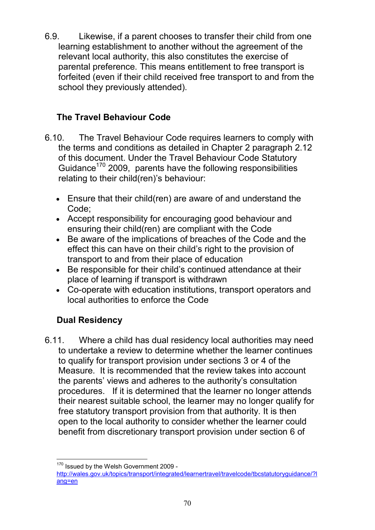6.9. Likewise, if a parent chooses to transfer their child from one learning establishment to another without the agreement of the relevant local authority, this also constitutes the exercise of parental preference. This means entitlement to free transport is forfeited (even if their child received free transport to and from the school they previously attended).

## **The Travel Behaviour Code**

- 6.10. The Travel Behaviour Code requires learners to comply with the terms and conditions as detailed in Chapter 2 paragraph 2.12 of this document. Under the Travel Behaviour Code Statutory Guidance<sup>170</sup> 2009, parents have the following responsibilities relating to their child(ren)'s behaviour:
	- Ensure that their child(ren) are aware of and understand the Code;
	- Accept responsibility for encouraging good behaviour and ensuring their child(ren) are compliant with the Code
	- Be aware of the implications of breaches of the Code and the effect this can have on their child's right to the provision of transport to and from their place of education
	- Be responsible for their child's continued attendance at their place of learning if transport is withdrawn
	- Co-operate with education institutions, transport operators and local authorities to enforce the Code

# **Dual Residency**

6.11. Where a child has dual residency local authorities may need to undertake a review to determine whether the learner continues to qualify for transport provision under sections 3 or 4 of the Measure. It is recommended that the review takes into account the parents' views and adheres to the authority's consultation procedures. If it is determined that the learner no longer attends their nearest suitable school, the learner may no longer qualify for free statutory transport provision from that authority. It is then open to the local authority to consider whether the learner could benefit from discretionary transport provision under section 6 of

<sup>&</sup>lt;sup>170</sup> Issued by the Welsh Government 2009 http://wales.gov.uk/topics/transport/integrated/learnertravel/travelcode/tbcstatutoryguidance/?l ang=en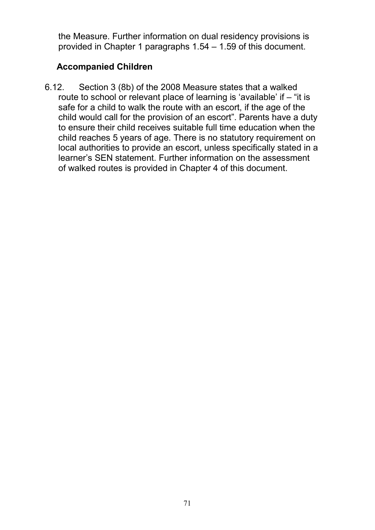the Measure. Further information on dual residency provisions is provided in Chapter 1 paragraphs 1.54 – 1.59 of this document.

### **Accompanied Children**

6.12. Section 3 (8b) of the 2008 Measure states that a walked route to school or relevant place of learning is 'available' if – "it is safe for a child to walk the route with an escort, if the age of the child would call for the provision of an escort". Parents have a duty to ensure their child receives suitable full time education when the child reaches 5 years of age. There is no statutory requirement on local authorities to provide an escort, unless specifically stated in a learner's SEN statement. Further information on the assessment of walked routes is provided in Chapter 4 of this document.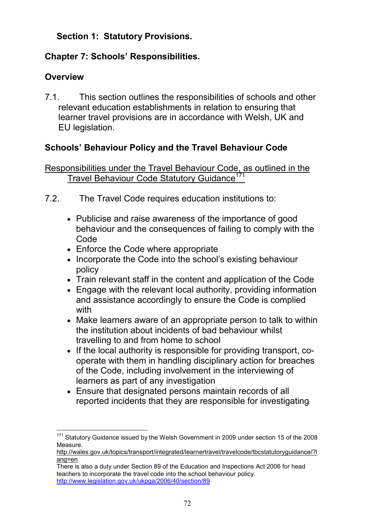## **Section 1: Statutory Provisions.**

## **Chapter 7: Schools' Responsibilities.**

## **Overview**

7.1. This section outlines the responsibilities of schools and other relevant education establishments in relation to ensuring that learner travel provisions are in accordance with Welsh, UK and EU legislation.

## **Schools' Behaviour Policy and the Travel Behaviour Code**

Responsibilities under the Travel Behaviour Code, as outlined in the Travel Behaviour Code Statutory Guidance<sup>17</sup>

- 7.2. The Travel Code requires education institutions to:
	- Publicise and raise awareness of the importance of good behaviour and the consequences of failing to comply with the Code
	- Enforce the Code where appropriate
	- Incorporate the Code into the school's existing behaviour policy
	- Train relevant staff in the content and application of the Code
	- Engage with the relevant local authority, providing information and assistance accordingly to ensure the Code is complied with
	- Make learners aware of an appropriate person to talk to within the institution about incidents of bad behaviour whilst travelling to and from home to school
	- If the local authority is responsible for providing transport, cooperate with them in handling disciplinary action for breaches of the Code, including involvement in the interviewing of learners as part of any investigation
	- Ensure that designated persons maintain records of all reported incidents that they are responsible for investigating

<sup>&</sup>lt;sup>171</sup> Statutory Guidance issued by the Welsh Government in 2009 under section 15 of the 2008 Measure.

http://wales.gov.uk/topics/transport/integrated/learnertravel/travelcode/tbcstatutoryguidance/?l ang=en

There is also a duty under Section 89 of the Education and Inspections Act 2006 for head teachers to incorporate the travel code into the school behaviour policy. http://www.legislation.gov.uk/ukpga/2006/40/section/89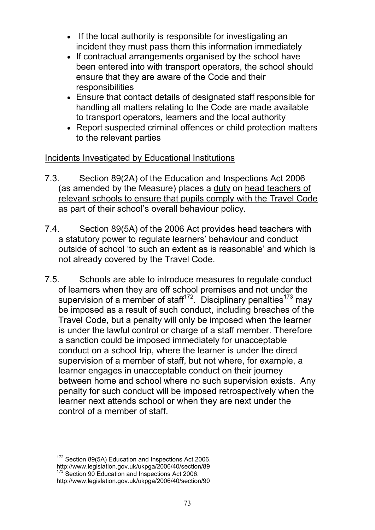- If the local authority is responsible for investigating an incident they must pass them this information immediately
- If contractual arrangements organised by the school have been entered into with transport operators, the school should ensure that they are aware of the Code and their responsibilities
- Ensure that contact details of designated staff responsible for handling all matters relating to the Code are made available to transport operators, learners and the local authority
- Report suspected criminal offences or child protection matters to the relevant parties

### Incidents Investigated by Educational Institutions

- 7.3. Section 89(2A) of the Education and Inspections Act 2006 (as amended by the Measure) places a duty on head teachers of relevant schools to ensure that pupils comply with the Travel Code as part of their school's overall behaviour policy.
- 7.4. Section 89(5A) of the 2006 Act provides head teachers with a statutory power to regulate learners' behaviour and conduct outside of school 'to such an extent as is reasonable' and which is not already covered by the Travel Code.
- 7.5. Schools are able to introduce measures to regulate conduct of learners when they are off school premises and not under the supervision of a member of staff<sup>172</sup>. Disciplinary penalties<sup>173</sup> may be imposed as a result of such conduct, including breaches of the Travel Code, but a penalty will only be imposed when the learner is under the lawful control or charge of a staff member. Therefore a sanction could be imposed immediately for unacceptable conduct on a school trip, where the learner is under the direct supervision of a member of staff, but not where, for example, a learner engages in unacceptable conduct on their journey between home and school where no such supervision exists. Any penalty for such conduct will be imposed retrospectively when the learner next attends school or when they are next under the control of a member of staff.

<sup>172</sup> Section 89(5A) Education and Inspections Act 2006. http://www.legislation.gov.uk/ukpga/2006/40/section/89 173 Section 90 Education and Inspections Act 2006. http://www.legislation.gov.uk/ukpga/2006/40/section/90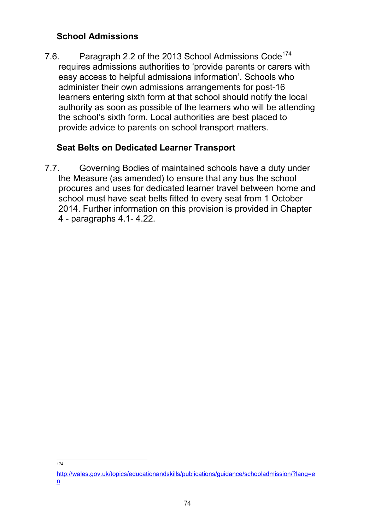### **School Admissions**

7.6. Paragraph 2.2 of the 2013 School Admissions Code<sup>174</sup> requires admissions authorities to 'provide parents or carers with easy access to helpful admissions information'. Schools who administer their own admissions arrangements for post-16 learners entering sixth form at that school should notify the local authority as soon as possible of the learners who will be attending the school's sixth form. Local authorities are best placed to provide advice to parents on school transport matters.

### **Seat Belts on Dedicated Learner Transport**

7.7. Governing Bodies of maintained schools have a duty under the Measure (as amended) to ensure that any bus the school procures and uses for dedicated learner travel between home and school must have seat belts fitted to every seat from 1 October 2014. Further information on this provision is provided in Chapter 4 - paragraphs 4.1- 4.22.

<sup>174</sup>

http://wales.gov.uk/topics/educationandskills/publications/guidance/schooladmission/?lang=e n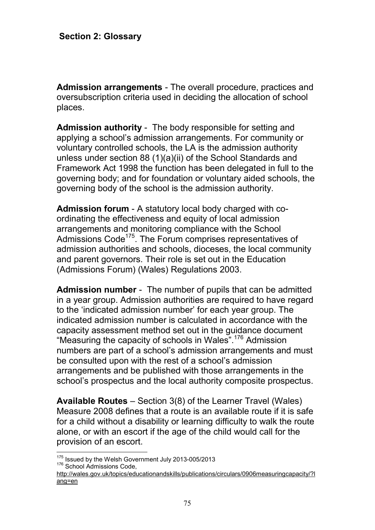**Admission arrangements** - The overall procedure, practices and oversubscription criteria used in deciding the allocation of school places.

**Admission authority** - The body responsible for setting and applying a school's admission arrangements. For community or voluntary controlled schools, the LA is the admission authority unless under section 88 (1)(a)(ii) of the School Standards and Framework Act 1998 the function has been delegated in full to the governing body; and for foundation or voluntary aided schools, the governing body of the school is the admission authority.

**Admission forum** - A statutory local body charged with coordinating the effectiveness and equity of local admission arrangements and monitoring compliance with the School Admissions Code<sup>175</sup>. The Forum comprises representatives of admission authorities and schools, dioceses, the local community and parent governors. Their role is set out in the Education (Admissions Forum) (Wales) Regulations 2003.

**Admission number** - The number of pupils that can be admitted in a year group. Admission authorities are required to have regard to the 'indicated admission number' for each year group. The indicated admission number is calculated in accordance with the capacity assessment method set out in the guidance document "Measuring the capacity of schools in Wales".<sup>176</sup> Admission numbers are part of a school's admission arrangements and must be consulted upon with the rest of a school's admission arrangements and be published with those arrangements in the school's prospectus and the local authority composite prospectus.

**Available Routes** – Section 3(8) of the Learner Travel (Wales) Measure 2008 defines that a route is an available route if it is safe for a child without a disability or learning difficulty to walk the route alone, or with an escort if the age of the child would call for the provision of an escort.

<sup>&</sup>lt;sup>175</sup> Issued by the Welsh Government July 2013-005/2013 176 School Admissions Code,

http://wales.gov.uk/topics/educationandskills/publications/circulars/0906measuringcapacity/?l ang=en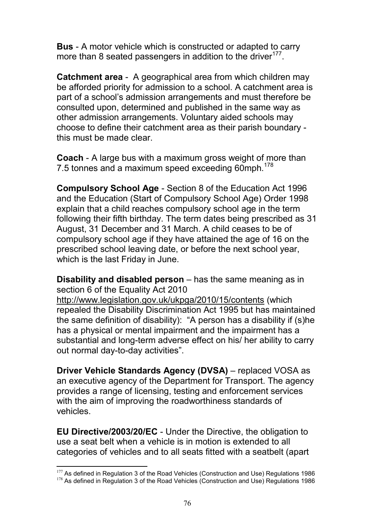**Bus** - A motor vehicle which is constructed or adapted to carry more than 8 seated passengers in addition to the driver $177$ .

**Catchment area** - A geographical area from which children may be afforded priority for admission to a school. A catchment area is part of a school's admission arrangements and must therefore be consulted upon, determined and published in the same way as other admission arrangements. Voluntary aided schools may choose to define their catchment area as their parish boundary this must be made clear.

**Coach** - A large bus with a maximum gross weight of more than 7.5 tonnes and a maximum speed exceeding 60mph.<sup>178</sup>

**Compulsory School Age** - Section 8 of the Education Act 1996 and the Education (Start of Compulsory School Age) Order 1998 explain that a child reaches compulsory school age in the term following their fifth birthday. The term dates being prescribed as 31 August, 31 December and 31 March. A child ceases to be of compulsory school age if they have attained the age of 16 on the prescribed school leaving date, or before the next school year, which is the last Friday in June.

**Disability and disabled person** – has the same meaning as in section 6 of the Equality Act 2010

http://www.legislation.gov.uk/ukpga/2010/15/contents (which repealed the Disability Discrimination Act 1995 but has maintained the same definition of disability): "A person has a disability if (s)he has a physical or mental impairment and the impairment has a substantial and long-term adverse effect on his/ her ability to carry out normal day-to-day activities".

**Driver Vehicle Standards Agency (DVSA)** – replaced VOSA as an executive agency of the Department for Transport. The agency provides a range of licensing, testing and enforcement services with the aim of improving the roadworthiness standards of vehicles.

**EU Directive/2003/20/EC** - Under the Directive, the obligation to use a seat belt when a vehicle is in motion is extended to all categories of vehicles and to all seats fitted with a seatbelt (apart

 $177$  As defined in Regulation 3 of the Road Vehicles (Construction and Use) Regulations 1986 <sup>178</sup> As defined in Regulation 3 of the Road Vehicles (Construction and Use) Regulations 1986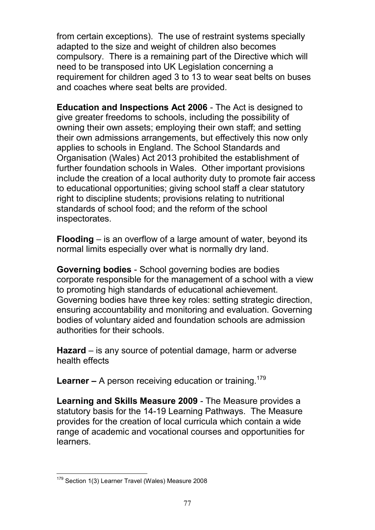from certain exceptions). The use of restraint systems specially adapted to the size and weight of children also becomes compulsory. There is a remaining part of the Directive which will need to be transposed into UK Legislation concerning a requirement for children aged 3 to 13 to wear seat belts on buses and coaches where seat belts are provided.

**Education and Inspections Act 2006** - The Act is designed to give greater freedoms to schools, including the possibility of owning their own assets; employing their own staff; and setting their own admissions arrangements, but effectively this now only applies to schools in England. The School Standards and Organisation (Wales) Act 2013 prohibited the establishment of further foundation schools in Wales. Other important provisions include the creation of a local authority duty to promote fair access to educational opportunities; giving school staff a clear statutory right to discipline students; provisions relating to nutritional standards of school food; and the reform of the school inspectorates.

**Flooding** – is an overflow of a large amount of water, beyond its normal limits especially over what is normally dry land.

**Governing bodies** - School governing bodies are bodies corporate responsible for the management of a school with a view to promoting high standards of educational achievement. Governing bodies have three key roles: setting strategic direction, ensuring accountability and monitoring and evaluation. Governing bodies of voluntary aided and foundation schools are admission authorities for their schools.

**Hazard** – is any source of potential damage, harm or adverse health effects

**Learner –** A person receiving education or training.<sup>179</sup>

**Learning and Skills Measure 2009** - The Measure provides a statutory basis for the 14-19 Learning Pathways. The Measure provides for the creation of local curricula which contain a wide range of academic and vocational courses and opportunities for learners.

<sup>179</sup> Section 1(3) Learner Travel (Wales) Measure 2008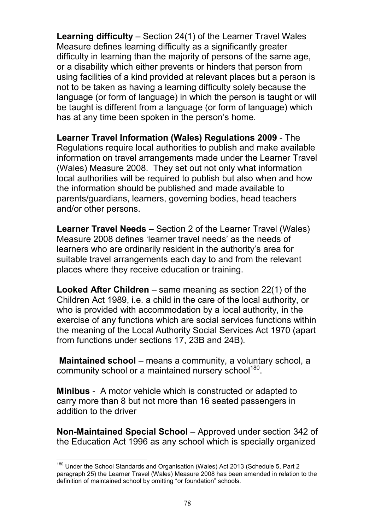**Learning difficulty** – Section 24(1) of the Learner Travel Wales Measure defines learning difficulty as a significantly greater difficulty in learning than the majority of persons of the same age, or a disability which either prevents or hinders that person from using facilities of a kind provided at relevant places but a person is not to be taken as having a learning difficulty solely because the language (or form of language) in which the person is taught or will be taught is different from a language (or form of language) which has at any time been spoken in the person's home.

**Learner Travel Information (Wales) Regulations 2009** - The Regulations require local authorities to publish and make available information on travel arrangements made under the Learner Travel (Wales) Measure 2008. They set out not only what information local authorities will be required to publish but also when and how the information should be published and made available to parents/guardians, learners, governing bodies, head teachers and/or other persons.

**Learner Travel Needs** – Section 2 of the Learner Travel (Wales) Measure 2008 defines 'learner travel needs' as the needs of learners who are ordinarily resident in the authority's area for suitable travel arrangements each day to and from the relevant places where they receive education or training.

**Looked After Children** – same meaning as section 22(1) of the Children Act 1989, i.e. a child in the care of the local authority, or who is provided with accommodation by a local authority, in the exercise of any functions which are social services functions within the meaning of the Local Authority Social Services Act 1970 (apart from functions under sections 17, 23B and 24B).

**Maintained school** – means a community, a voluntary school, a community school or a maintained nursery school<sup>180</sup>.

**Minibus** - A motor vehicle which is constructed or adapted to carry more than 8 but not more than 16 seated passengers in addition to the driver

**Non-Maintained Special School** – Approved under section 342 of the Education Act 1996 as any school which is specially organized

<sup>&</sup>lt;sup>180</sup> Under the School Standards and Organisation (Wales) Act 2013 (Schedule 5, Part 2 paragraph 25) the Learner Travel (Wales) Measure 2008 has been amended in relation to the definition of maintained school by omitting "or foundation" schools.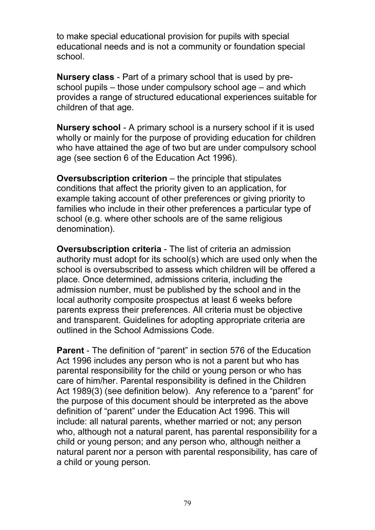to make special educational provision for pupils with special educational needs and is not a community or foundation special school.

**Nursery class** - Part of a primary school that is used by preschool pupils – those under compulsory school age – and which provides a range of structured educational experiences suitable for children of that age.

**Nursery school** - A primary school is a nursery school if it is used wholly or mainly for the purpose of providing education for children who have attained the age of two but are under compulsory school age (see section 6 of the Education Act 1996).

**Oversubscription criterion** – the principle that stipulates conditions that affect the priority given to an application, for example taking account of other preferences or giving priority to families who include in their other preferences a particular type of school (e.g. where other schools are of the same religious denomination).

**Oversubscription criteria** - The list of criteria an admission authority must adopt for its school(s) which are used only when the school is oversubscribed to assess which children will be offered a place. Once determined, admissions criteria, including the admission number, must be published by the school and in the local authority composite prospectus at least 6 weeks before parents express their preferences. All criteria must be objective and transparent. Guidelines for adopting appropriate criteria are outlined in the School Admissions Code.

**Parent** - The definition of "parent" in section 576 of the Education Act 1996 includes any person who is not a parent but who has parental responsibility for the child or young person or who has care of him/her. Parental responsibility is defined in the Children Act 1989(3) (see definition below). Any reference to a "parent" for the purpose of this document should be interpreted as the above definition of "parent" under the Education Act 1996. This will include: all natural parents, whether married or not; any person who, although not a natural parent, has parental responsibility for a child or young person; and any person who, although neither a natural parent nor a person with parental responsibility, has care of a child or young person.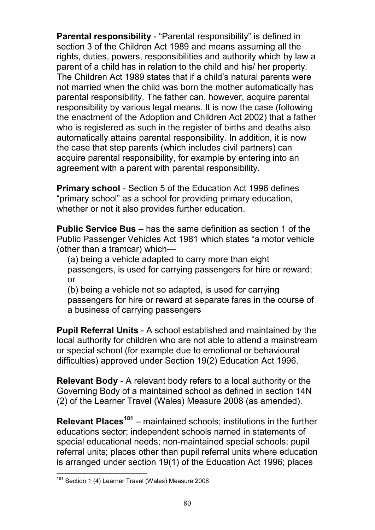**Parental responsibility** - "Parental responsibility" is defined in section 3 of the Children Act 1989 and means assuming all the rights, duties, powers, responsibilities and authority which by law a parent of a child has in relation to the child and his/ her property. The Children Act 1989 states that if a child's natural parents were not married when the child was born the mother automatically has parental responsibility. The father can, however, acquire parental responsibility by various legal means. It is now the case (following the enactment of the Adoption and Children Act 2002) that a father who is registered as such in the register of births and deaths also automatically attains parental responsibility. In addition, it is now the case that step parents (which includes civil partners) can acquire parental responsibility, for example by entering into an agreement with a parent with parental responsibility.

**Primary school** - Section 5 of the Education Act 1996 defines "primary school" as a school for providing primary education, whether or not it also provides further education.

**Public Service Bus** – has the same definition as section 1 of the Public Passenger Vehicles Act 1981 which states "a motor vehicle (other than a tramcar) which—

(a) being a vehicle adapted to carry more than eight passengers, is used for carrying passengers for hire or reward; or

(b) being a vehicle not so adapted, is used for carrying passengers for hire or reward at separate fares in the course of a business of carrying passengers

**Pupil Referral Units** - A school established and maintained by the local authority for children who are not able to attend a mainstream or special school (for example due to emotional or behavioural difficulties) approved under Section 19(2) Education Act 1996.

**Relevant Body** - A relevant body refers to a local authority or the Governing Body of a maintained school as defined in section 14N (2) of the Learner Travel (Wales) Measure 2008 (as amended).

**Relevant Places<sup>181</sup>** – maintained schools; institutions in the further educations sector; independent schools named in statements of special educational needs; non-maintained special schools; pupil referral units; places other than pupil referral units where education is arranged under section 19(1) of the Education Act 1996; places

<sup>&</sup>lt;sup>181</sup> Section 1 (4) Learner Travel (Wales) Measure 2008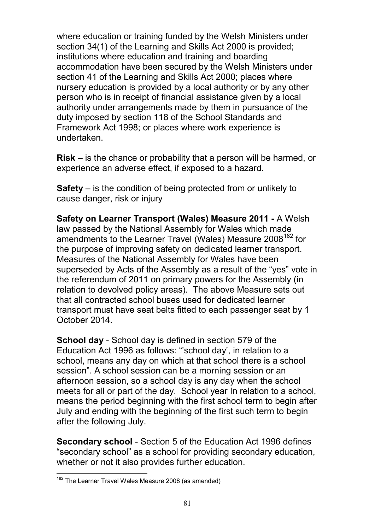where education or training funded by the Welsh Ministers under section 34(1) of the Learning and Skills Act 2000 is provided; institutions where education and training and boarding accommodation have been secured by the Welsh Ministers under section 41 of the Learning and Skills Act 2000; places where nursery education is provided by a local authority or by any other person who is in receipt of financial assistance given by a local authority under arrangements made by them in pursuance of the duty imposed by section 118 of the School Standards and Framework Act 1998; or places where work experience is undertaken.

**Risk** – is the chance or probability that a person will be harmed, or experience an adverse effect, if exposed to a hazard.

**Safety** – is the condition of being protected from or unlikely to cause danger, risk or injury

**Safety on Learner Transport (Wales) Measure 2011 -** A Welsh law passed by the National Assembly for Wales which made amendments to the Learner Travel (Wales) Measure 2008<sup>182</sup> for the purpose of improving safety on dedicated learner transport. Measures of the National Assembly for Wales have been superseded by Acts of the Assembly as a result of the "yes" vote in the referendum of 2011 on primary powers for the Assembly (in relation to devolved policy areas). The above Measure sets out that all contracted school buses used for dedicated learner transport must have seat belts fitted to each passenger seat by 1 October 2014.

**School day** - School day is defined in section 579 of the Education Act 1996 as follows: "'school day', in relation to a school, means any day on which at that school there is a school session". A school session can be a morning session or an afternoon session, so a school day is any day when the school meets for all or part of the day. School year In relation to a school, means the period beginning with the first school term to begin after July and ending with the beginning of the first such term to begin after the following July.

**Secondary school** - Section 5 of the Education Act 1996 defines "secondary school" as a school for providing secondary education, whether or not it also provides further education.

<sup>&</sup>lt;sup>182</sup> The Learner Travel Wales Measure 2008 (as amended)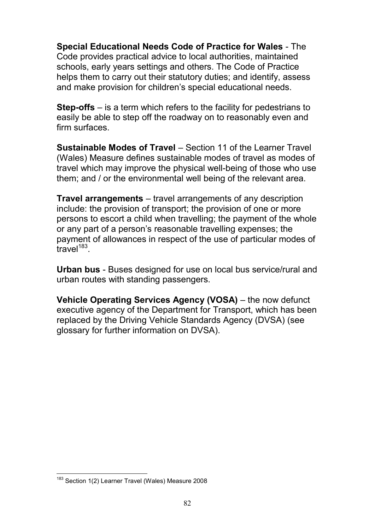**Special Educational Needs Code of Practice for Wales** - The Code provides practical advice to local authorities, maintained schools, early years settings and others. The Code of Practice helps them to carry out their statutory duties; and identify, assess and make provision for children's special educational needs.

**Step-offs** – is a term which refers to the facility for pedestrians to easily be able to step off the roadway on to reasonably even and firm surfaces.

**Sustainable Modes of Travel** – Section 11 of the Learner Travel (Wales) Measure defines sustainable modes of travel as modes of travel which may improve the physical well-being of those who use them; and / or the environmental well being of the relevant area.

**Travel arrangements** – travel arrangements of any description include: the provision of transport; the provision of one or more persons to escort a child when travelling; the payment of the whole or any part of a person's reasonable travelling expenses; the payment of allowances in respect of the use of particular modes of  $\text{travel}^{\text{183}}$ .

**Urban bus** - Buses designed for use on local bus service/rural and urban routes with standing passengers.

**Vehicle Operating Services Agency (VOSA)** – the now defunct executive agency of the Department for Transport, which has been replaced by the Driving Vehicle Standards Agency (DVSA) (see glossary for further information on DVSA).

<sup>&</sup>lt;sup>183</sup> Section 1(2) Learner Travel (Wales) Measure 2008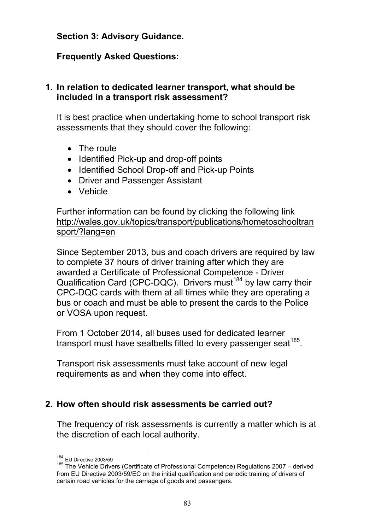#### **Section 3: Advisory Guidance.**

#### **Frequently Asked Questions:**

#### **1. In relation to dedicated learner transport, what should be included in a transport risk assessment?**

It is best practice when undertaking home to school transport risk assessments that they should cover the following:

- The route
- Identified Pick-up and drop-off points
- Identified School Drop-off and Pick-up Points
- Driver and Passenger Assistant
- Vehicle

Further information can be found by clicking the following link http://wales.gov.uk/topics/transport/publications/hometoschooltran sport/?lang=en

Since September 2013, bus and coach drivers are required by law to complete 37 hours of driver training after which they are awarded a Certificate of Professional Competence - Driver Qualification Card (CPC-DQC). Drivers must<sup>184</sup> by law carry their CPC-DQC cards with them at all times while they are operating a bus or coach and must be able to present the cards to the Police or VOSA upon request.

From 1 October 2014, all buses used for dedicated learner transport must have seatbelts fitted to every passenger seat $^{185}$ .

Transport risk assessments must take account of new legal requirements as and when they come into effect.

#### **2. How often should risk assessments be carried out?**

The frequency of risk assessments is currently a matter which is at the discretion of each local authority.

<sup>184</sup> EU Directive 2003/59

<sup>185</sup> The Vehicle Drivers (Certificate of Professional Competence) Regulations 2007 – derived from EU Directive 2003/59/EC on the initial qualification and periodic training of drivers of certain road vehicles for the carriage of goods and passengers.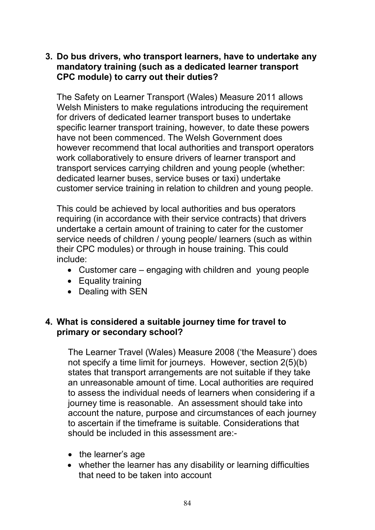#### **3. Do bus drivers, who transport learners, have to undertake any mandatory training (such as a dedicated learner transport CPC module) to carry out their duties?**

The Safety on Learner Transport (Wales) Measure 2011 allows Welsh Ministers to make regulations introducing the requirement for drivers of dedicated learner transport buses to undertake specific learner transport training, however, to date these powers have not been commenced. The Welsh Government does however recommend that local authorities and transport operators work collaboratively to ensure drivers of learner transport and transport services carrying children and young people (whether: dedicated learner buses, service buses or taxi) undertake customer service training in relation to children and young people.

This could be achieved by local authorities and bus operators requiring (in accordance with their service contracts) that drivers undertake a certain amount of training to cater for the customer service needs of children / young people/ learners (such as within their CPC modules) or through in house training. This could include:

- Customer care engaging with children and young people
- Equality training
- Dealing with SEN

#### **4. What is considered a suitable journey time for travel to primary or secondary school?**

The Learner Travel (Wales) Measure 2008 ('the Measure') does not specify a time limit for journeys. However, section 2(5)(b) states that transport arrangements are not suitable if they take an unreasonable amount of time. Local authorities are required to assess the individual needs of learners when considering if a journey time is reasonable. An assessment should take into account the nature, purpose and circumstances of each journey to ascertain if the timeframe is suitable. Considerations that should be included in this assessment are:-

- the learner's age
- whether the learner has any disability or learning difficulties that need to be taken into account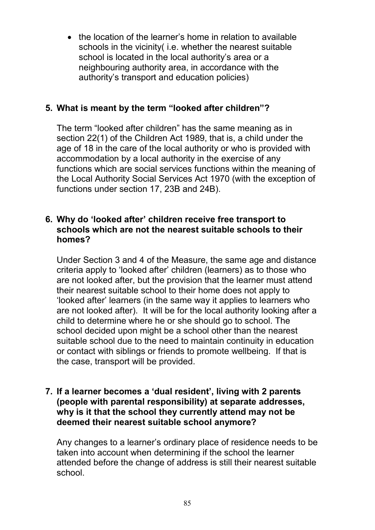• the location of the learner's home in relation to available schools in the vicinity( i.e. whether the nearest suitable school is located in the local authority's area or a neighbouring authority area, in accordance with the authority's transport and education policies)

## **5. What is meant by the term "looked after children"?**

The term "looked after children" has the same meaning as in section 22(1) of the Children Act 1989, that is, a child under the age of 18 in the care of the local authority or who is provided with accommodation by a local authority in the exercise of any functions which are social services functions within the meaning of the Local Authority Social Services Act 1970 (with the exception of functions under section 17, 23B and 24B).

#### **6. Why do 'looked after' children receive free transport to schools which are not the nearest suitable schools to their homes?**

Under Section 3 and 4 of the Measure, the same age and distance criteria apply to 'looked after' children (learners) as to those who are not looked after, but the provision that the learner must attend their nearest suitable school to their home does not apply to 'looked after' learners (in the same way it applies to learners who are not looked after). It will be for the local authority looking after a child to determine where he or she should go to school. The school decided upon might be a school other than the nearest suitable school due to the need to maintain continuity in education or contact with siblings or friends to promote wellbeing. If that is the case, transport will be provided.

#### **7. If a learner becomes a 'dual resident', living with 2 parents (people with parental responsibility) at separate addresses, why is it that the school they currently attend may not be deemed their nearest suitable school anymore?**

Any changes to a learner's ordinary place of residence needs to be taken into account when determining if the school the learner attended before the change of address is still their nearest suitable school.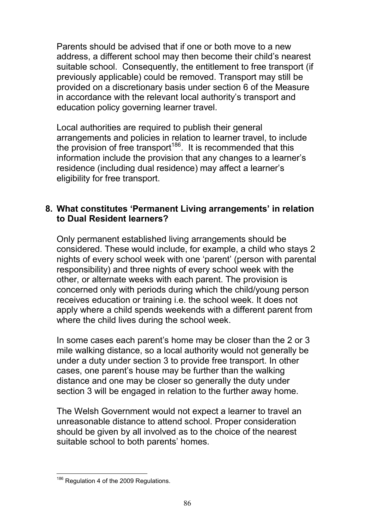Parents should be advised that if one or both move to a new address, a different school may then become their child's nearest suitable school. Consequently, the entitlement to free transport (if previously applicable) could be removed. Transport may still be provided on a discretionary basis under section 6 of the Measure in accordance with the relevant local authority's transport and education policy governing learner travel.

Local authorities are required to publish their general arrangements and policies in relation to learner travel, to include the provision of free transport<sup>186</sup>. It is recommended that this information include the provision that any changes to a learner's residence (including dual residence) may affect a learner's eligibility for free transport.

#### **8. What constitutes 'Permanent Living arrangements' in relation to Dual Resident learners?**

Only permanent established living arrangements should be considered. These would include, for example, a child who stays 2 nights of every school week with one 'parent' (person with parental responsibility) and three nights of every school week with the other, or alternate weeks with each parent. The provision is concerned only with periods during which the child/young person receives education or training i.e. the school week. It does not apply where a child spends weekends with a different parent from where the child lives during the school week.

In some cases each parent's home may be closer than the 2 or 3 mile walking distance, so a local authority would not generally be under a duty under section 3 to provide free transport. In other cases, one parent's house may be further than the walking distance and one may be closer so generally the duty under section 3 will be engaged in relation to the further away home.

The Welsh Government would not expect a learner to travel an unreasonable distance to attend school. Proper consideration should be given by all involved as to the choice of the nearest suitable school to both parents' homes.

<sup>&</sup>lt;sup>186</sup> Regulation 4 of the 2009 Regulations.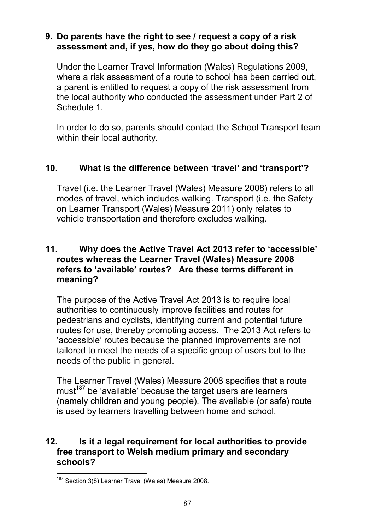#### **9. Do parents have the right to see / request a copy of a risk assessment and, if yes, how do they go about doing this?**

Under the Learner Travel Information (Wales) Regulations 2009, where a risk assessment of a route to school has been carried out, a parent is entitled to request a copy of the risk assessment from the local authority who conducted the assessment under Part 2 of Schedule 1.

In order to do so, parents should contact the School Transport team within their local authority.

### **10. What is the difference between 'travel' and 'transport'?**

Travel (i.e. the Learner Travel (Wales) Measure 2008) refers to all modes of travel, which includes walking. Transport (i.e. the Safety on Learner Transport (Wales) Measure 2011) only relates to vehicle transportation and therefore excludes walking.

#### **11. Why does the Active Travel Act 2013 refer to 'accessible' routes whereas the Learner Travel (Wales) Measure 2008 refers to 'available' routes? Are these terms different in meaning?**

The purpose of the Active Travel Act 2013 is to require local authorities to continuously improve facilities and routes for pedestrians and cyclists, identifying current and potential future routes for use, thereby promoting access. The 2013 Act refers to 'accessible' routes because the planned improvements are not tailored to meet the needs of a specific group of users but to the needs of the public in general.

The Learner Travel (Wales) Measure 2008 specifies that a route must<sup>187</sup> be 'available' because the target users are learners (namely children and young people). The available (or safe) route is used by learners travelling between home and school.

### **12. Is it a legal requirement for local authorities to provide free transport to Welsh medium primary and secondary schools?**

<sup>&</sup>lt;sup>187</sup> Section 3(8) Learner Travel (Wales) Measure 2008.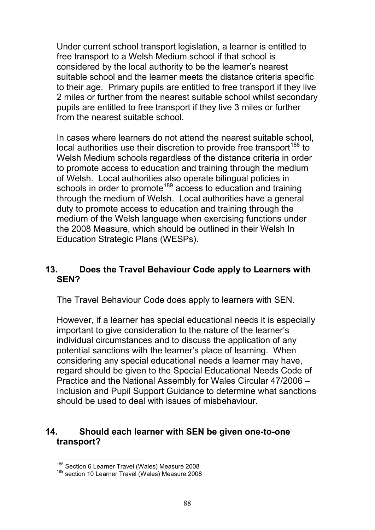Under current school transport legislation, a learner is entitled to free transport to a Welsh Medium school if that school is considered by the local authority to be the learner's nearest suitable school and the learner meets the distance criteria specific to their age. Primary pupils are entitled to free transport if they live 2 miles or further from the nearest suitable school whilst secondary pupils are entitled to free transport if they live 3 miles or further from the nearest suitable school.

In cases where learners do not attend the nearest suitable school, local authorities use their discretion to provide free transport<sup>188</sup> to Welsh Medium schools regardless of the distance criteria in order to promote access to education and training through the medium of Welsh. Local authorities also operate bilingual policies in schools in order to promote<sup>189</sup> access to education and training through the medium of Welsh. Local authorities have a general duty to promote access to education and training through the medium of the Welsh language when exercising functions under the 2008 Measure, which should be outlined in their Welsh In Education Strategic Plans (WESPs).

### **13. Does the Travel Behaviour Code apply to Learners with SEN?**

The Travel Behaviour Code does apply to learners with SEN.

However, if a learner has special educational needs it is especially important to give consideration to the nature of the learner's individual circumstances and to discuss the application of any potential sanctions with the learner's place of learning. When considering any special educational needs a learner may have, regard should be given to the Special Educational Needs Code of Practice and the National Assembly for Wales Circular 47/2006 – Inclusion and Pupil Support Guidance to determine what sanctions should be used to deal with issues of misbehaviour.

#### **14. Should each learner with SEN be given one-to-one transport?**

<sup>&</sup>lt;sup>188</sup> Section 6 Learner Travel (Wales) Measure 2008

<sup>&</sup>lt;sup>189</sup> section 10 Learner Travel (Wales) Measure 2008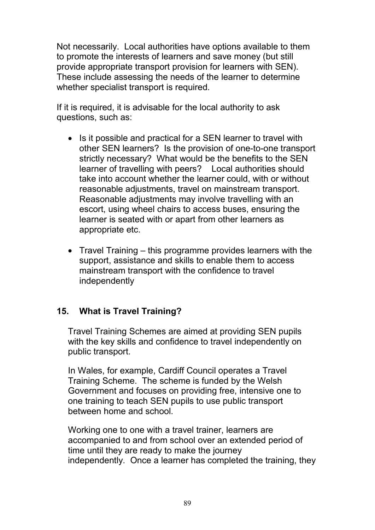Not necessarily. Local authorities have options available to them to promote the interests of learners and save money (but still provide appropriate transport provision for learners with SEN). These include assessing the needs of the learner to determine whether specialist transport is required.

If it is required, it is advisable for the local authority to ask questions, such as:

- Is it possible and practical for a SEN learner to travel with other SEN learners? Is the provision of one-to-one transport strictly necessary? What would be the benefits to the SEN learner of travelling with peers? Local authorities should take into account whether the learner could, with or without reasonable adjustments, travel on mainstream transport. Reasonable adjustments may involve travelling with an escort, using wheel chairs to access buses, ensuring the learner is seated with or apart from other learners as appropriate etc.
- Travel Training this programme provides learners with the support, assistance and skills to enable them to access mainstream transport with the confidence to travel independently

## **15. What is Travel Training?**

Travel Training Schemes are aimed at providing SEN pupils with the key skills and confidence to travel independently on public transport.

In Wales, for example, Cardiff Council operates a Travel Training Scheme. The scheme is funded by the Welsh Government and focuses on providing free, intensive one to one training to teach SEN pupils to use public transport between home and school.

Working one to one with a travel trainer, learners are accompanied to and from school over an extended period of time until they are ready to make the journey independently. Once a learner has completed the training, they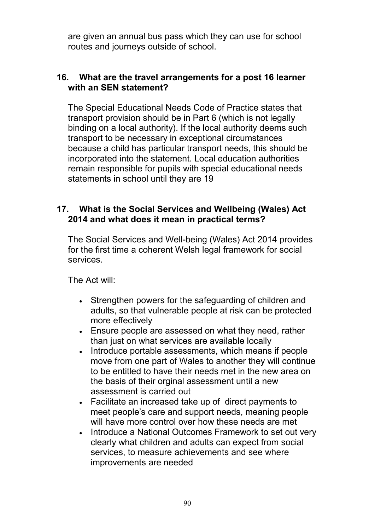are given an annual bus pass which they can use for school routes and journeys outside of school.

#### **16. What are the travel arrangements for a post 16 learner with an SEN statement?**

The Special Educational Needs Code of Practice states that transport provision should be in Part 6 (which is not legally binding on a local authority). If the local authority deems such transport to be necessary in exceptional circumstances because a child has particular transport needs, this should be incorporated into the statement. Local education authorities remain responsible for pupils with special educational needs statements in school until they are 19

#### **17. What is the Social Services and Wellbeing (Wales) Act 2014 and what does it mean in practical terms?**

The Social Services and Well-being (Wales) Act 2014 provides for the first time a coherent Welsh legal framework for social services.

The Act will:

- Strengthen powers for the safeguarding of children and adults, so that vulnerable people at risk can be protected more effectively
- Ensure people are assessed on what they need, rather than just on what services are available locally
- Introduce portable assessments, which means if people move from one part of Wales to another they will continue to be entitled to have their needs met in the new area on the basis of their orginal assessment until a new assessment is carried out
- Facilitate an increased take up of direct payments to meet people's care and support needs, meaning people will have more control over how these needs are met
- Introduce a National Outcomes Framework to set out very clearly what children and adults can expect from social services, to measure achievements and see where improvements are needed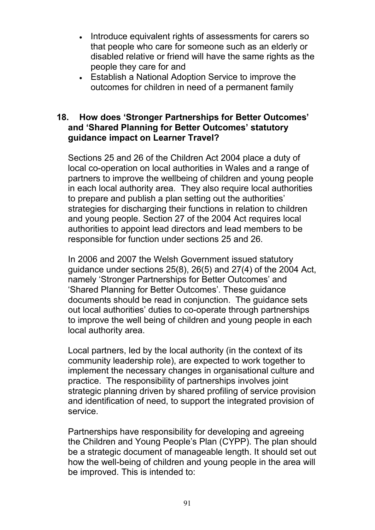- Introduce equivalent rights of assessments for carers so that people who care for someone such as an elderly or disabled relative or friend will have the same rights as the people they care for and
- Establish a National Adoption Service to improve the outcomes for children in need of a permanent family

#### **18. How does 'Stronger Partnerships for Better Outcomes' and 'Shared Planning for Better Outcomes' statutory guidance impact on Learner Travel?**

Sections 25 and 26 of the Children Act 2004 place a duty of local co-operation on local authorities in Wales and a range of partners to improve the wellbeing of children and young people in each local authority area. They also require local authorities to prepare and publish a plan setting out the authorities' strategies for discharging their functions in relation to children and young people. Section 27 of the 2004 Act requires local authorities to appoint lead directors and lead members to be responsible for function under sections 25 and 26.

In 2006 and 2007 the Welsh Government issued statutory guidance under sections 25(8), 26(5) and 27(4) of the 2004 Act, namely 'Stronger Partnerships for Better Outcomes' and 'Shared Planning for Better Outcomes'. These guidance documents should be read in conjunction. The guidance sets out local authorities' duties to co-operate through partnerships to improve the well being of children and young people in each local authority area.

Local partners, led by the local authority (in the context of its community leadership role), are expected to work together to implement the necessary changes in organisational culture and practice. The responsibility of partnerships involves joint strategic planning driven by shared profiling of service provision and identification of need, to support the integrated provision of service.

Partnerships have responsibility for developing and agreeing the Children and Young People's Plan (CYPP). The plan should be a strategic document of manageable length. It should set out how the well-being of children and young people in the area will be improved. This is intended to: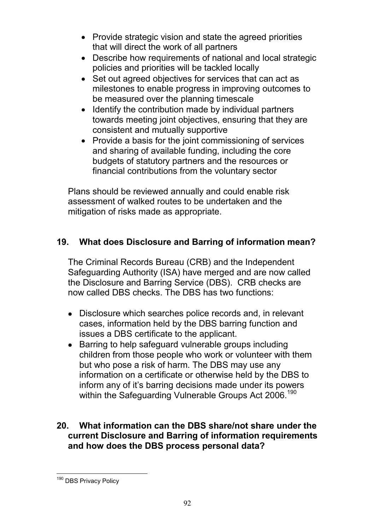- Provide strategic vision and state the agreed priorities that will direct the work of all partners
- Describe how requirements of national and local strategic policies and priorities will be tackled locally
- Set out agreed objectives for services that can act as milestones to enable progress in improving outcomes to be measured over the planning timescale
- Identify the contribution made by individual partners towards meeting joint objectives, ensuring that they are consistent and mutually supportive
- Provide a basis for the joint commissioning of services and sharing of available funding, including the core budgets of statutory partners and the resources or financial contributions from the voluntary sector

Plans should be reviewed annually and could enable risk assessment of walked routes to be undertaken and the mitigation of risks made as appropriate.

## **19. What does Disclosure and Barring of information mean?**

The Criminal Records Bureau (CRB) and the Independent Safeguarding Authority (ISA) have merged and are now called the Disclosure and Barring Service (DBS). CRB checks are now called DBS checks. The DBS has two functions:

- Disclosure which searches police records and, in relevant cases, information held by the DBS barring function and issues a DBS certificate to the applicant.
- Barring to help safeguard vulnerable groups including children from those people who work or volunteer with them but who pose a risk of harm. The DBS may use any information on a certificate or otherwise held by the DBS to inform any of it's barring decisions made under its powers within the Safeguarding Vulnerable Groups Act 2006.<sup>190</sup>

### **20. What information can the DBS share/not share under the current Disclosure and Barring of information requirements and how does the DBS process personal data?**

<sup>&</sup>lt;sup>190</sup> DBS Privacy Policy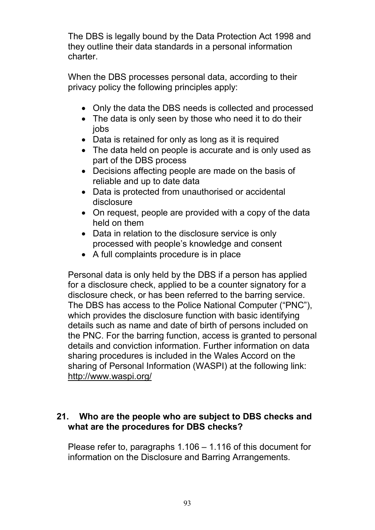The DBS is legally bound by the Data Protection Act 1998 and they outline their data standards in a personal information charter.

When the DBS processes personal data, according to their privacy policy the following principles apply:

- Only the data the DBS needs is collected and processed
- The data is only seen by those who need it to do their iobs
- Data is retained for only as long as it is required
- The data held on people is accurate and is only used as part of the DBS process
- Decisions affecting people are made on the basis of reliable and up to date data
- Data is protected from unauthorised or accidental disclosure
- On request, people are provided with a copy of the data held on them
- Data in relation to the disclosure service is only processed with people's knowledge and consent
- A full complaints procedure is in place

Personal data is only held by the DBS if a person has applied for a disclosure check, applied to be a counter signatory for a disclosure check, or has been referred to the barring service. The DBS has access to the Police National Computer ("PNC"), which provides the disclosure function with basic identifying details such as name and date of birth of persons included on the PNC. For the barring function, access is granted to personal details and conviction information. Further information on data sharing procedures is included in the Wales Accord on the sharing of Personal Information (WASPI) at the following link: http://www.waspi.org/

## **21. Who are the people who are subject to DBS checks and what are the procedures for DBS checks?**

Please refer to, paragraphs 1.106 – 1.116 of this document for information on the Disclosure and Barring Arrangements.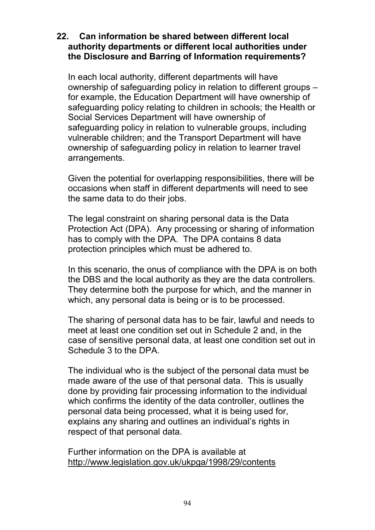#### **22. Can information be shared between different local authority departments or different local authorities under the Disclosure and Barring of Information requirements?**

In each local authority, different departments will have ownership of safeguarding policy in relation to different groups – for example, the Education Department will have ownership of safeguarding policy relating to children in schools; the Health or Social Services Department will have ownership of safeguarding policy in relation to vulnerable groups, including vulnerable children; and the Transport Department will have ownership of safeguarding policy in relation to learner travel arrangements.

Given the potential for overlapping responsibilities, there will be occasions when staff in different departments will need to see the same data to do their jobs.

The legal constraint on sharing personal data is the Data Protection Act (DPA). Any processing or sharing of information has to comply with the DPA. The DPA contains 8 data protection principles which must be adhered to.

In this scenario, the onus of compliance with the DPA is on both the DBS and the local authority as they are the data controllers. They determine both the purpose for which, and the manner in which, any personal data is being or is to be processed.

The sharing of personal data has to be fair, lawful and needs to meet at least one condition set out in Schedule 2 and, in the case of sensitive personal data, at least one condition set out in Schedule 3 to the DPA.

The individual who is the subject of the personal data must be made aware of the use of that personal data. This is usually done by providing fair processing information to the individual which confirms the identity of the data controller, outlines the personal data being processed, what it is being used for, explains any sharing and outlines an individual's rights in respect of that personal data.

Further information on the DPA is available at http://www.legislation.gov.uk/ukpga/1998/29/contents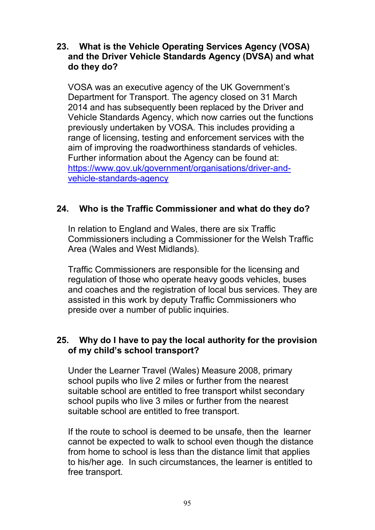#### **23. What is the Vehicle Operating Services Agency (VOSA) and the Driver Vehicle Standards Agency (DVSA) and what do they do?**

VOSA was an executive agency of the UK Government's Department for Transport. The agency closed on 31 March 2014 and has subsequently been replaced by the Driver and Vehicle Standards Agency, which now carries out the functions previously undertaken by VOSA. This includes providing a range of licensing, testing and enforcement services with the aim of improving the roadworthiness standards of vehicles. Further information about the Agency can be found at: https://www.gov.uk/government/organisations/driver-andvehicle-standards-agency

### **24. Who is the Traffic Commissioner and what do they do?**

In relation to England and Wales, there are six Traffic Commissioners including a Commissioner for the Welsh Traffic Area (Wales and West Midlands).

Traffic Commissioners are responsible for the licensing and regulation of those who operate heavy goods vehicles, buses and coaches and the registration of local bus services. They are assisted in this work by deputy Traffic Commissioners who preside over a number of public inquiries.

#### **25. Why do I have to pay the local authority for the provision of my child's school transport?**

Under the Learner Travel (Wales) Measure 2008, primary school pupils who live 2 miles or further from the nearest suitable school are entitled to free transport whilst secondary school pupils who live 3 miles or further from the nearest suitable school are entitled to free transport.

If the route to school is deemed to be unsafe, then the learner cannot be expected to walk to school even though the distance from home to school is less than the distance limit that applies to his/her age. In such circumstances, the learner is entitled to free transport.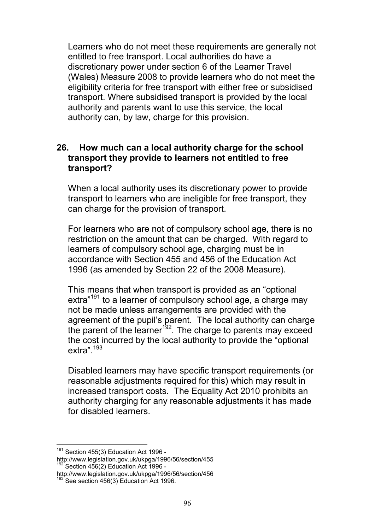Learners who do not meet these requirements are generally not entitled to free transport. Local authorities do have a discretionary power under section 6 of the Learner Travel (Wales) Measure 2008 to provide learners who do not meet the eligibility criteria for free transport with either free or subsidised transport. Where subsidised transport is provided by the local authority and parents want to use this service, the local authority can, by law, charge for this provision.

#### **26. How much can a local authority charge for the school transport they provide to learners not entitled to free transport?**

When a local authority uses its discretionary power to provide transport to learners who are ineligible for free transport, they can charge for the provision of transport.

For learners who are not of compulsory school age, there is no restriction on the amount that can be charged. With regard to learners of compulsory school age, charging must be in accordance with Section 455 and 456 of the Education Act 1996 (as amended by Section 22 of the 2008 Measure).

This means that when transport is provided as an "optional extra<sup>"191</sup> to a learner of compulsory school age, a charge may not be made unless arrangements are provided with the agreement of the pupil's parent. The local authority can charge the parent of the learner<sup>192</sup>. The charge to parents may exceed the cost incurred by the local authority to provide the "optional extra".<sup>193</sup>

Disabled learners may have specific transport requirements (or reasonable adjustments required for this) which may result in increased transport costs. The Equality Act 2010 prohibits an authority charging for any reasonable adjustments it has made for disabled learners.

 $191$  Section 455(3) Education Act 1996 -

http://www.legislation.gov.uk/ukpga/1996/56/section/455 Section 456(2) Education Act 1996 -

http://www.legislation.gov.uk/ukpga/1996/56/section/456

 $193$  See section 456(3) Education Act 1996.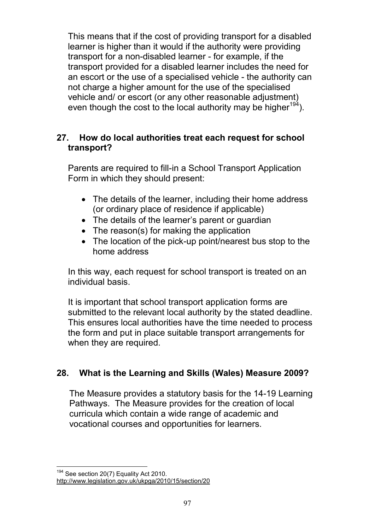This means that if the cost of providing transport for a disabled learner is higher than it would if the authority were providing transport for a non-disabled learner - for example, if the transport provided for a disabled learner includes the need for an escort or the use of a specialised vehicle - the authority can not charge a higher amount for the use of the specialised vehicle and/ or escort (or any other reasonable adjustment) even though the cost to the local authority may be higher<sup>194</sup>).

### **27. How do local authorities treat each request for school transport?**

Parents are required to fill-in a School Transport Application Form in which they should present:

- The details of the learner, including their home address (or ordinary place of residence if applicable)
- The details of the learner's parent or quardian
- The reason(s) for making the application
- The location of the pick-up point/nearest bus stop to the home address

In this way, each request for school transport is treated on an individual basis.

It is important that school transport application forms are submitted to the relevant local authority by the stated deadline. This ensures local authorities have the time needed to process the form and put in place suitable transport arrangements for when they are required.

## **28. What is the Learning and Skills (Wales) Measure 2009?**

The Measure provides a statutory basis for the 14-19 Learning Pathways. The Measure provides for the creation of local curricula which contain a wide range of academic and vocational courses and opportunities for learners.

<sup>&</sup>lt;sup>194</sup> See section 20(7) Equality Act 2010.

http://www.legislation.gov.uk/ukpga/2010/15/section/20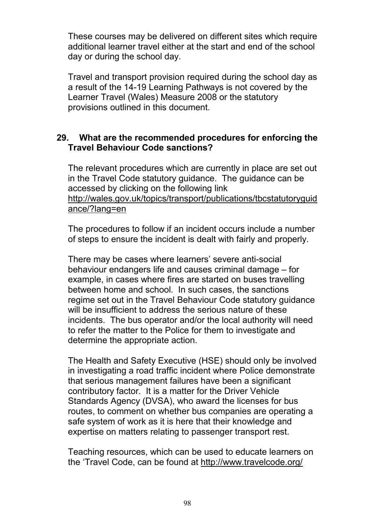These courses may be delivered on different sites which require additional learner travel either at the start and end of the school day or during the school day.

Travel and transport provision required during the school day as a result of the 14-19 Learning Pathways is not covered by the Learner Travel (Wales) Measure 2008 or the statutory provisions outlined in this document.

#### **29. What are the recommended procedures for enforcing the Travel Behaviour Code sanctions?**

The relevant procedures which are currently in place are set out in the Travel Code statutory guidance. The guidance can be accessed by clicking on the following link http://wales.gov.uk/topics/transport/publications/tbcstatutoryguid ance/?lang=en

The procedures to follow if an incident occurs include a number of steps to ensure the incident is dealt with fairly and properly.

There may be cases where learners' severe anti-social behaviour endangers life and causes criminal damage – for example, in cases where fires are started on buses travelling between home and school. In such cases, the sanctions regime set out in the Travel Behaviour Code statutory guidance will be insufficient to address the serious nature of these incidents. The bus operator and/or the local authority will need to refer the matter to the Police for them to investigate and determine the appropriate action.

The Health and Safety Executive (HSE) should only be involved in investigating a road traffic incident where Police demonstrate that serious management failures have been a significant contributory factor. It is a matter for the Driver Vehicle Standards Agency (DVSA), who award the licenses for bus routes, to comment on whether bus companies are operating a safe system of work as it is here that their knowledge and expertise on matters relating to passenger transport rest.

Teaching resources, which can be used to educate learners on the 'Travel Code, can be found at http://www.travelcode.org/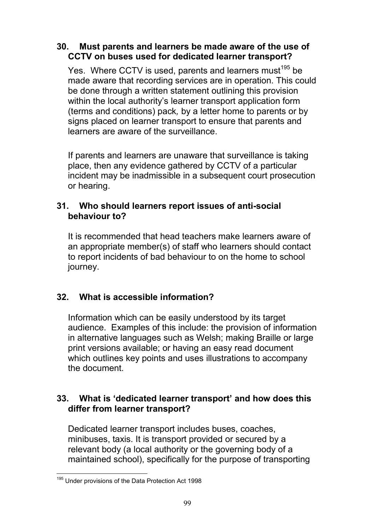#### **30. Must parents and learners be made aware of the use of CCTV on buses used for dedicated learner transport?**

Yes. Where CCTV is used, parents and learners must<sup>195</sup> be made aware that recording services are in operation. This could be done through a written statement outlining this provision within the local authority's learner transport application form (terms and conditions) pack*,* by a letter home to parents or by signs placed on learner transport to ensure that parents and learners are aware of the surveillance.

If parents and learners are unaware that surveillance is taking place, then any evidence gathered by CCTV of a particular incident may be inadmissible in a subsequent court prosecution or hearing.

#### **31. Who should learners report issues of anti-social behaviour to?**

It is recommended that head teachers make learners aware of an appropriate member(s) of staff who learners should contact to report incidents of bad behaviour to on the home to school journey.

## **32. What is accessible information?**

Information which can be easily understood by its target audience. Examples of this include: the provision of information in alternative languages such as Welsh; making Braille or large print versions available; or having an easy read document which outlines key points and uses illustrations to accompany the document.

### **33. What is 'dedicated learner transport' and how does this differ from learner transport?**

Dedicated learner transport includes buses, coaches, minibuses, taxis. It is transport provided or secured by a relevant body (a local authority or the governing body of a maintained school), specifically for the purpose of transporting

<sup>&</sup>lt;sup>195</sup> Under provisions of the Data Protection Act 1998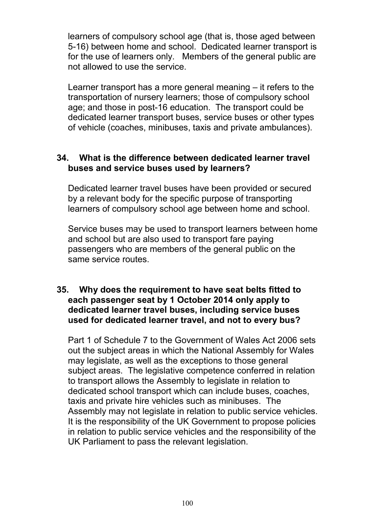learners of compulsory school age (that is, those aged between 5-16) between home and school. Dedicated learner transport is for the use of learners only. Members of the general public are not allowed to use the service.

Learner transport has a more general meaning – it refers to the transportation of nursery learners; those of compulsory school age; and those in post-16 education. The transport could be dedicated learner transport buses, service buses or other types of vehicle (coaches, minibuses, taxis and private ambulances).

#### **34. What is the difference between dedicated learner travel buses and service buses used by learners?**

Dedicated learner travel buses have been provided or secured by a relevant body for the specific purpose of transporting learners of compulsory school age between home and school.

Service buses may be used to transport learners between home and school but are also used to transport fare paying passengers who are members of the general public on the same service routes.

#### **35. Why does the requirement to have seat belts fitted to each passenger seat by 1 October 2014 only apply to dedicated learner travel buses, including service buses used for dedicated learner travel, and not to every bus?**

Part 1 of Schedule 7 to the Government of Wales Act 2006 sets out the subject areas in which the National Assembly for Wales may legislate, as well as the exceptions to those general subject areas. The legislative competence conferred in relation to transport allows the Assembly to legislate in relation to dedicated school transport which can include buses, coaches, taxis and private hire vehicles such as minibuses. The Assembly may not legislate in relation to public service vehicles. It is the responsibility of the UK Government to propose policies in relation to public service vehicles and the responsibility of the UK Parliament to pass the relevant legislation.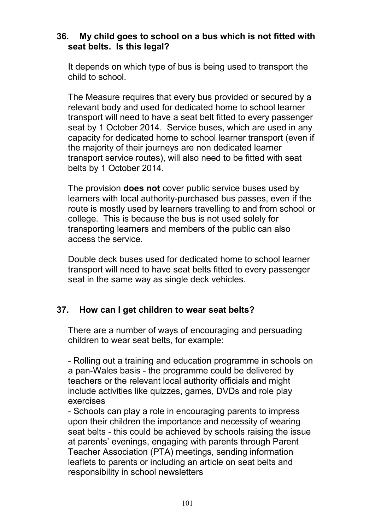#### **36. My child goes to school on a bus which is not fitted with seat belts. Is this legal?**

It depends on which type of bus is being used to transport the child to school.

The Measure requires that every bus provided or secured by a relevant body and used for dedicated home to school learner transport will need to have a seat belt fitted to every passenger seat by 1 October 2014. Service buses, which are used in any capacity for dedicated home to school learner transport (even if the majority of their journeys are non dedicated learner transport service routes), will also need to be fitted with seat belts by 1 October 2014.

The provision **does not** cover public service buses used by learners with local authority-purchased bus passes, even if the route is mostly used by learners travelling to and from school or college. This is because the bus is not used solely for transporting learners and members of the public can also access the service.

Double deck buses used for dedicated home to school learner transport will need to have seat belts fitted to every passenger seat in the same way as single deck vehicles.

#### **37. How can I get children to wear seat belts?**

There are a number of ways of encouraging and persuading children to wear seat belts, for example:

- Rolling out a training and education programme in schools on a pan-Wales basis - the programme could be delivered by teachers or the relevant local authority officials and might include activities like quizzes, games, DVDs and role play exercises

- Schools can play a role in encouraging parents to impress upon their children the importance and necessity of wearing seat belts - this could be achieved by schools raising the issue at parents' evenings, engaging with parents through Parent Teacher Association (PTA) meetings, sending information leaflets to parents or including an article on seat belts and responsibility in school newsletters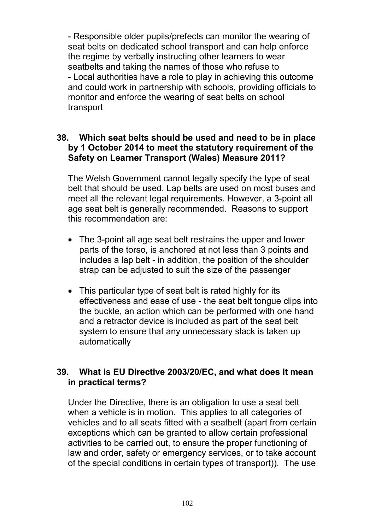- Responsible older pupils/prefects can monitor the wearing of seat belts on dedicated school transport and can help enforce the regime by verbally instructing other learners to wear seatbelts and taking the names of those who refuse to - Local authorities have a role to play in achieving this outcome and could work in partnership with schools, providing officials to monitor and enforce the wearing of seat belts on school transport

#### **38. Which seat belts should be used and need to be in place by 1 October 2014 to meet the statutory requirement of the Safety on Learner Transport (Wales) Measure 2011?**

The Welsh Government cannot legally specify the type of seat belt that should be used. Lap belts are used on most buses and meet all the relevant legal requirements. However, a 3-point all age seat belt is generally recommended. Reasons to support this recommendation are:

- The 3-point all age seat belt restrains the upper and lower parts of the torso, is anchored at not less than 3 points and includes a lap belt - in addition, the position of the shoulder strap can be adjusted to suit the size of the passenger
- This particular type of seat belt is rated highly for its effectiveness and ease of use - the seat belt tongue clips into the buckle, an action which can be performed with one hand and a retractor device is included as part of the seat belt system to ensure that any unnecessary slack is taken up automatically

#### **39. What is EU Directive 2003/20/EC, and what does it mean in practical terms?**

Under the Directive, there is an obligation to use a seat belt when a vehicle is in motion. This applies to all categories of vehicles and to all seats fitted with a seatbelt (apart from certain exceptions which can be granted to allow certain professional activities to be carried out, to ensure the proper functioning of law and order, safety or emergency services, or to take account of the special conditions in certain types of transport)). The use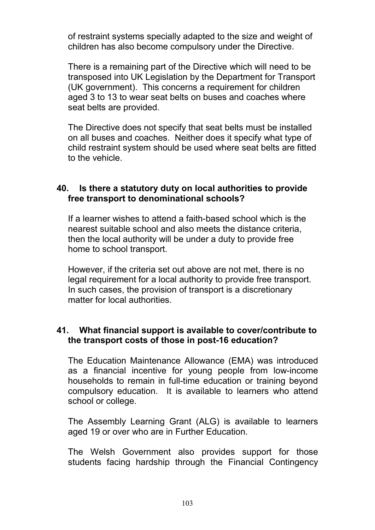of restraint systems specially adapted to the size and weight of children has also become compulsory under the Directive.

There is a remaining part of the Directive which will need to be transposed into UK Legislation by the Department for Transport (UK government). This concerns a requirement for children aged 3 to 13 to wear seat belts on buses and coaches where seat belts are provided.

The Directive does not specify that seat belts must be installed on all buses and coaches. Neither does it specify what type of child restraint system should be used where seat belts are fitted to the vehicle.

#### **40. Is there a statutory duty on local authorities to provide free transport to denominational schools?**

If a learner wishes to attend a faith-based school which is the nearest suitable school and also meets the distance criteria, then the local authority will be under a duty to provide free home to school transport.

However, if the criteria set out above are not met, there is no legal requirement for a local authority to provide free transport. In such cases, the provision of transport is a discretionary matter for local authorities.

## **41. What financial support is available to cover/contribute to the transport costs of those in post-16 education?**

The Education Maintenance Allowance (EMA) was introduced as a financial incentive for young people from low-income households to remain in full-time education or training beyond compulsory education. It is available to learners who attend school or college.

The Assembly Learning Grant (ALG) is available to learners aged 19 or over who are in Further Education.

The Welsh Government also provides support for those students facing hardship through the Financial Contingency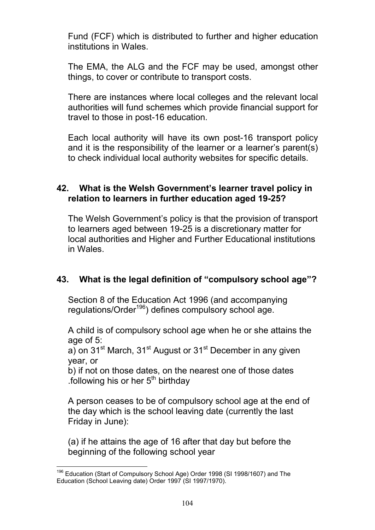Fund (FCF) which is distributed to further and higher education institutions in Wales.

The EMA, the ALG and the FCF may be used, amongst other things, to cover or contribute to transport costs.

There are instances where local colleges and the relevant local authorities will fund schemes which provide financial support for travel to those in post-16 education.

Each local authority will have its own post-16 transport policy and it is the responsibility of the learner or a learner's parent(s) to check individual local authority websites for specific details.

#### **42. What is the Welsh Government's learner travel policy in relation to learners in further education aged 19-25?**

The Welsh Government's policy is that the provision of transport to learners aged between 19-25 is a discretionary matter for local authorities and Higher and Further Educational institutions in Wales.

# **43. What is the legal definition of "compulsory school age"?**

Section 8 of the Education Act 1996 (and accompanying regulations/Order<sup>196</sup>) defines compulsory school age.

A child is of compulsory school age when he or she attains the age of 5:

a) on  $31^{st}$  March,  $31^{st}$  August or  $31^{st}$  December in any given year, or

b) if not on those dates, on the nearest one of those dates .following his or her  $5<sup>th</sup>$  birthday

A person ceases to be of compulsory school age at the end of the day which is the school leaving date (currently the last Friday in June):

(a) if he attains the age of 16 after that day but before the beginning of the following school year

<sup>&</sup>lt;sup>196</sup> Education (Start of Compulsory School Age) Order 1998 (SI 1998/1607) and The Education (School Leaving date) Order 1997 (SI 1997/1970).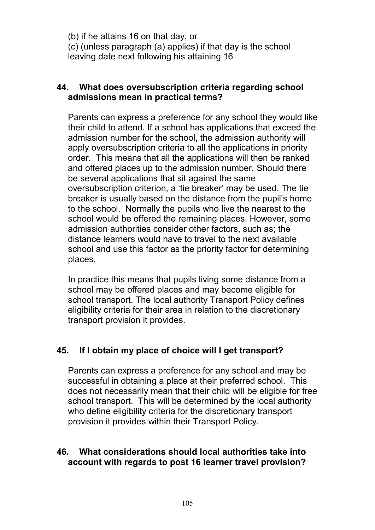(b) if he attains 16 on that day, or (c) (unless paragraph (a) applies) if that day is the school leaving date next following his attaining 16

#### **44. What does oversubscription criteria regarding school admissions mean in practical terms?**

Parents can express a preference for any school they would like their child to attend. If a school has applications that exceed the admission number for the school, the admission authority will apply oversubscription criteria to all the applications in priority order. This means that all the applications will then be ranked and offered places up to the admission number. Should there be several applications that sit against the same oversubscription criterion, a 'tie breaker' may be used. The tie breaker is usually based on the distance from the pupil's home to the school. Normally the pupils who live the nearest to the school would be offered the remaining places. However, some admission authorities consider other factors, such as; the distance learners would have to travel to the next available school and use this factor as the priority factor for determining places.

In practice this means that pupils living some distance from a school may be offered places and may become eligible for school transport. The local authority Transport Policy defines eligibility criteria for their area in relation to the discretionary transport provision it provides.

# **45. If I obtain my place of choice will I get transport?**

Parents can express a preference for any school and may be successful in obtaining a place at their preferred school. This does not necessarily mean that their child will be eligible for free school transport. This will be determined by the local authority who define eligibility criteria for the discretionary transport provision it provides within their Transport Policy.

#### **46. What considerations should local authorities take into account with regards to post 16 learner travel provision?**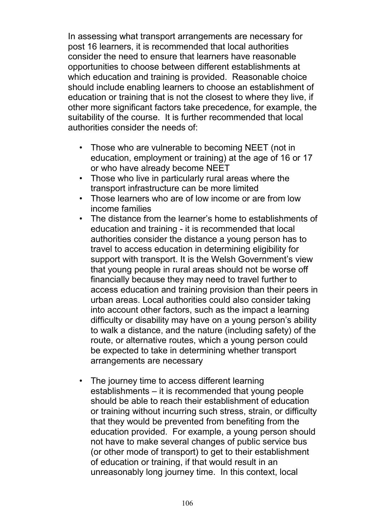In assessing what transport arrangements are necessary for post 16 learners, it is recommended that local authorities consider the need to ensure that learners have reasonable opportunities to choose between different establishments at which education and training is provided. Reasonable choice should include enabling learners to choose an establishment of education or training that is not the closest to where they live, if other more significant factors take precedence, for example, the suitability of the course. It is further recommended that local authorities consider the needs of:

- Those who are vulnerable to becoming NEET (not in education, employment or training) at the age of 16 or 17 or who have already become NEET
- Those who live in particularly rural areas where the transport infrastructure can be more limited
- Those learners who are of low income or are from low income families
- The distance from the learner's home to establishments of education and training - it is recommended that local authorities consider the distance a young person has to travel to access education in determining eligibility for support with transport. It is the Welsh Government's view that young people in rural areas should not be worse off financially because they may need to travel further to access education and training provision than their peers in urban areas. Local authorities could also consider taking into account other factors, such as the impact a learning difficulty or disability may have on a young person's ability to walk a distance, and the nature (including safety) of the route, or alternative routes, which a young person could be expected to take in determining whether transport arrangements are necessary
- The journey time to access different learning establishments – it is recommended that young people should be able to reach their establishment of education or training without incurring such stress, strain, or difficulty that they would be prevented from benefiting from the education provided. For example, a young person should not have to make several changes of public service bus (or other mode of transport) to get to their establishment of education or training, if that would result in an unreasonably long journey time. In this context, local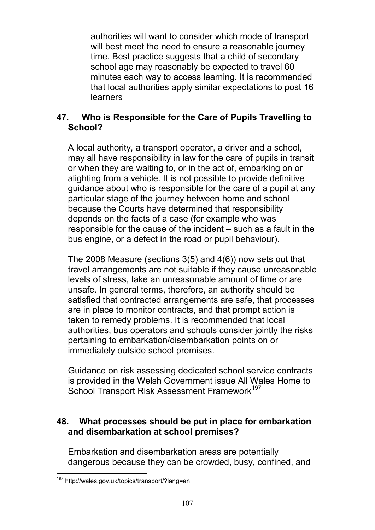authorities will want to consider which mode of transport will best meet the need to ensure a reasonable journey time. Best practice suggests that a child of secondary school age may reasonably be expected to travel 60 minutes each way to access learning. It is recommended that local authorities apply similar expectations to post 16 learners

## **47. Who is Responsible for the Care of Pupils Travelling to School?**

A local authority, a transport operator, a driver and a school, may all have responsibility in law for the care of pupils in transit or when they are waiting to, or in the act of, embarking on or alighting from a vehicle. It is not possible to provide definitive guidance about who is responsible for the care of a pupil at any particular stage of the journey between home and school because the Courts have determined that responsibility depends on the facts of a case (for example who was responsible for the cause of the incident – such as a fault in the bus engine, or a defect in the road or pupil behaviour).

The 2008 Measure (sections 3(5) and 4(6)) now sets out that travel arrangements are not suitable if they cause unreasonable levels of stress, take an unreasonable amount of time or are unsafe. In general terms, therefore, an authority should be satisfied that contracted arrangements are safe, that processes are in place to monitor contracts, and that prompt action is taken to remedy problems. It is recommended that local authorities, bus operators and schools consider jointly the risks pertaining to embarkation/disembarkation points on or immediately outside school premises.

Guidance on risk assessing dedicated school service contracts is provided in the Welsh Government issue All Wales Home to School Transport Risk Assessment Framework<sup>197</sup>

## **48. What processes should be put in place for embarkation and disembarkation at school premises?**

Embarkation and disembarkation areas are potentially dangerous because they can be crowded, busy, confined, and

<sup>197</sup> http://wales.gov.uk/topics/transport/?lang=en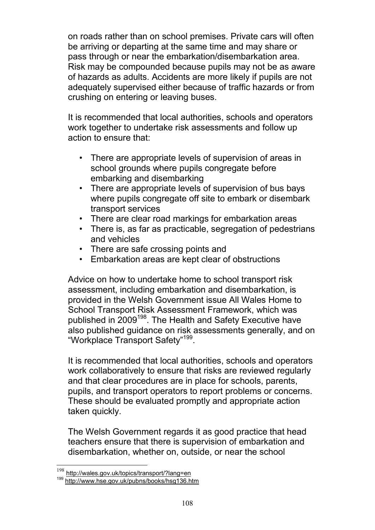on roads rather than on school premises. Private cars will often be arriving or departing at the same time and may share or pass through or near the embarkation/disembarkation area. Risk may be compounded because pupils may not be as aware of hazards as adults. Accidents are more likely if pupils are not adequately supervised either because of traffic hazards or from crushing on entering or leaving buses.

It is recommended that local authorities, schools and operators work together to undertake risk assessments and follow up action to ensure that:

- There are appropriate levels of supervision of areas in school grounds where pupils congregate before embarking and disembarking
- There are appropriate levels of supervision of bus bays where pupils congregate off site to embark or disembark transport services
- There are clear road markings for embarkation areas
- There is, as far as practicable, segregation of pedestrians and vehicles
- There are safe crossing points and
- Embarkation areas are kept clear of obstructions

Advice on how to undertake home to school transport risk assessment, including embarkation and disembarkation, is provided in the Welsh Government issue All Wales Home to School Transport Risk Assessment Framework, which was published in 2009<sup>198</sup>. The Health and Safety Executive have also published guidance on risk assessments generally, and on "Workplace Transport Safety"<sup>199</sup>.

It is recommended that local authorities, schools and operators work collaboratively to ensure that risks are reviewed regularly and that clear procedures are in place for schools, parents, pupils, and transport operators to report problems or concerns. These should be evaluated promptly and appropriate action taken quickly.

The Welsh Government regards it as good practice that head teachers ensure that there is supervision of embarkation and disembarkation, whether on, outside, or near the school

http://wales.gov.uk/topics/transport/?lang=en

<sup>199</sup> http://www.hse.gov.uk/pubns/books/hsg136.htm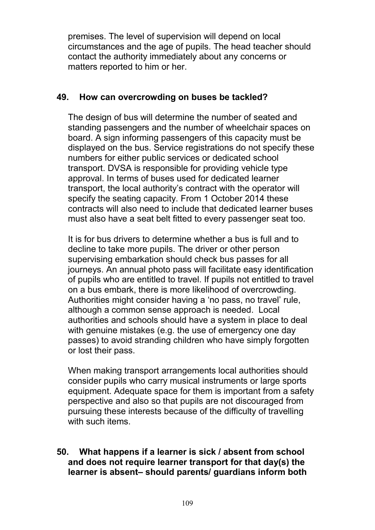premises. The level of supervision will depend on local circumstances and the age of pupils. The head teacher should contact the authority immediately about any concerns or matters reported to him or her.

### **49. How can overcrowding on buses be tackled?**

The design of bus will determine the number of seated and standing passengers and the number of wheelchair spaces on board. A sign informing passengers of this capacity must be displayed on the bus. Service registrations do not specify these numbers for either public services or dedicated school transport. DVSA is responsible for providing vehicle type approval. In terms of buses used for dedicated learner transport, the local authority's contract with the operator will specify the seating capacity. From 1 October 2014 these contracts will also need to include that dedicated learner buses must also have a seat belt fitted to every passenger seat too.

It is for bus drivers to determine whether a bus is full and to decline to take more pupils. The driver or other person supervising embarkation should check bus passes for all journeys. An annual photo pass will facilitate easy identification of pupils who are entitled to travel. If pupils not entitled to travel on a bus embark, there is more likelihood of overcrowding. Authorities might consider having a 'no pass, no travel' rule, although a common sense approach is needed. Local authorities and schools should have a system in place to deal with genuine mistakes (e.g. the use of emergency one day passes) to avoid stranding children who have simply forgotten or lost their pass.

When making transport arrangements local authorities should consider pupils who carry musical instruments or large sports equipment. Adequate space for them is important from a safety perspective and also so that pupils are not discouraged from pursuing these interests because of the difficulty of travelling with such items.

## **50. What happens if a learner is sick / absent from school and does not require learner transport for that day(s) the learner is absent– should parents/ guardians inform both**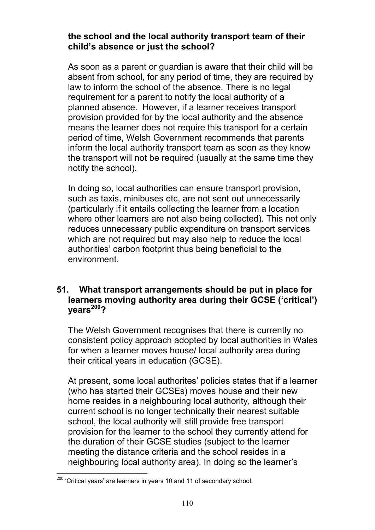#### **the school and the local authority transport team of their child's absence or just the school?**

As soon as a parent or guardian is aware that their child will be absent from school, for any period of time, they are required by law to inform the school of the absence. There is no legal requirement for a parent to notify the local authority of a planned absence. However, if a learner receives transport provision provided for by the local authority and the absence means the learner does not require this transport for a certain period of time, Welsh Government recommends that parents inform the local authority transport team as soon as they know the transport will not be required (usually at the same time they notify the school).

In doing so, local authorities can ensure transport provision, such as taxis, minibuses etc, are not sent out unnecessarily (particularly if it entails collecting the learner from a location where other learners are not also being collected). This not only reduces unnecessary public expenditure on transport services which are not required but may also help to reduce the local authorities' carbon footprint thus being beneficial to the environment.

#### **51. What transport arrangements should be put in place for learners moving authority area during their GCSE ('critical') years<sup>200</sup>?**

The Welsh Government recognises that there is currently no consistent policy approach adopted by local authorities in Wales for when a learner moves house/ local authority area during their critical years in education (GCSE).

At present, some local authorites' policies states that if a learner (who has started their GCSEs) moves house and their new home resides in a neighbouring local authority, although their current school is no longer technically their nearest suitable school, the local authority will still provide free transport provision for the learner to the school they currently attend for the duration of their GCSE studies (subject to the learner meeting the distance criteria and the school resides in a neighbouring local authority area). In doing so the learner's

<sup>&</sup>lt;sup>200</sup> 'Critical vears' are learners in years 10 and 11 of secondary school.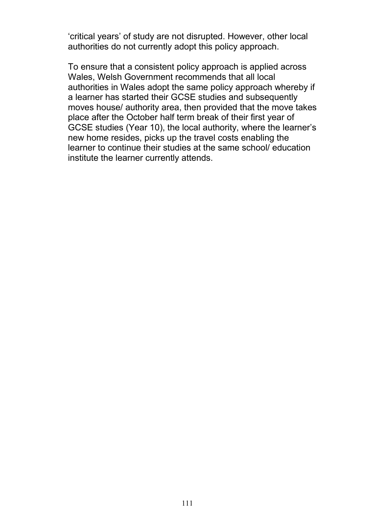'critical years' of study are not disrupted. However, other local authorities do not currently adopt this policy approach.

To ensure that a consistent policy approach is applied across Wales, Welsh Government recommends that all local authorities in Wales adopt the same policy approach whereby if a learner has started their GCSE studies and subsequently moves house/ authority area, then provided that the move takes place after the October half term break of their first year of GCSE studies (Year 10), the local authority, where the learner's new home resides, picks up the travel costs enabling the learner to continue their studies at the same school/ education institute the learner currently attends.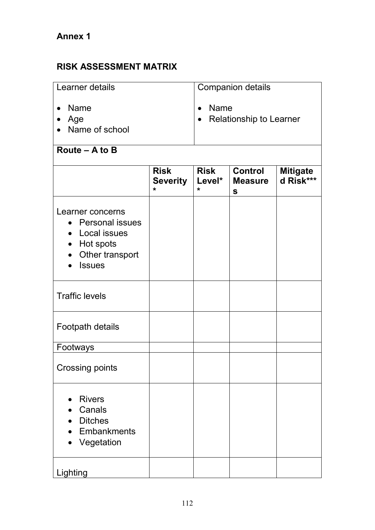# **Annex 1**

# **RISK ASSESSMENT MATRIX**

| Learner details                            | <b>Companion details</b>                 |
|--------------------------------------------|------------------------------------------|
| l• Name<br>Age<br>$\bullet$ Name of school | <b>Name</b><br>• Relationship to Learner |

# **Route – A to B**

| <b>Risk</b><br><b>Risk</b><br><b>Control</b>                                                                             |                            |                   |                                |                              |
|--------------------------------------------------------------------------------------------------------------------------|----------------------------|-------------------|--------------------------------|------------------------------|
|                                                                                                                          | <b>Severity</b><br>$\star$ | Level*<br>$\star$ | <b>Measure</b><br>$\mathbf{s}$ | <b>Mitigate</b><br>d Risk*** |
| Learner concerns<br><b>Personal issues</b><br>$\bullet$<br>Local issues<br>Hot spots<br>Other transport<br><b>Issues</b> |                            |                   |                                |                              |
| <b>Traffic levels</b>                                                                                                    |                            |                   |                                |                              |
| Footpath details                                                                                                         |                            |                   |                                |                              |
| Footways                                                                                                                 |                            |                   |                                |                              |
| <b>Crossing points</b>                                                                                                   |                            |                   |                                |                              |
| <b>Rivers</b><br>Canals<br><b>Ditches</b><br><b>Embankments</b><br>Vegetation                                            |                            |                   |                                |                              |
| Lighting                                                                                                                 |                            |                   |                                |                              |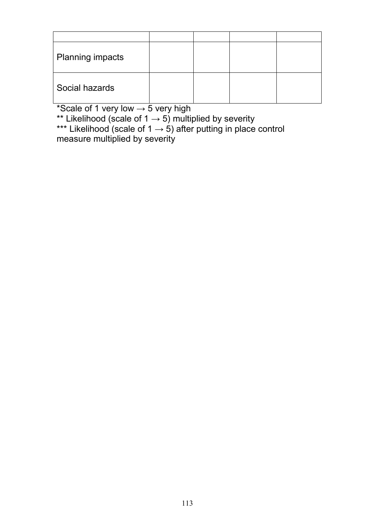| Planning impacts |  |  |
|------------------|--|--|
| Social hazards   |  |  |

\*Scale of 1 very low  $\rightarrow$  5 very high

\*\* Likelihood (scale of 1  $\rightarrow$  5) multiplied by severity

\*\*\* Likelihood (scale of 1  $\rightarrow$  5) after putting in place control measure multiplied by severity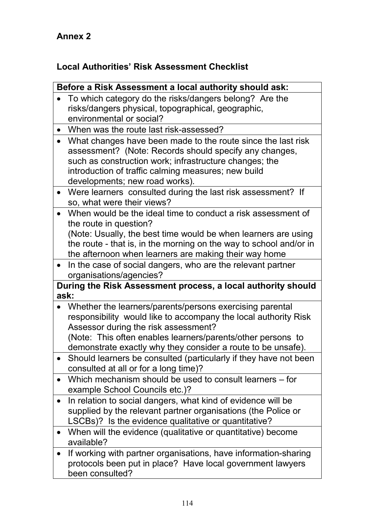# **Annex 2**

# **Local Authorities' Risk Assessment Checklist**

|           | Before a Risk Assessment a local authority should ask:                        |
|-----------|-------------------------------------------------------------------------------|
|           | To which category do the risks/dangers belong? Are the                        |
|           | risks/dangers physical, topographical, geographic,                            |
|           | environmental or social?                                                      |
|           | • When was the route last risk-assessed?                                      |
| $\bullet$ | What changes have been made to the route since the last risk                  |
|           | assessment? (Note: Records should specify any changes,                        |
|           | such as construction work; infrastructure changes; the                        |
|           | introduction of traffic calming measures; new build                           |
|           | developments; new road works).                                                |
|           | • Were learners consulted during the last risk assessment? If                 |
|           | so, what were their views?                                                    |
| $\bullet$ | When would be the ideal time to conduct a risk assessment of                  |
|           | the route in question?                                                        |
|           | (Note: Usually, the best time would be when learners are using                |
|           | the route - that is, in the morning on the way to school and/or in            |
|           | the afternoon when learners are making their way home                         |
| $\bullet$ | In the case of social dangers, who are the relevant partner                   |
|           | organisations/agencies?                                                       |
|           | During the Risk Assessment process, a local authority should<br>ask:          |
| $\bullet$ | Whether the learners/parents/persons exercising parental                      |
|           | responsibility would like to accompany the local authority Risk               |
|           | Assessor during the risk assessment?                                          |
|           | (Note: This often enables learners/parents/other persons to                   |
|           | demonstrate exactly why they consider a route to be unsafe).                  |
|           | Should learners be consulted (particularly if they have not been              |
|           | consulted at all or for a long time)?                                         |
|           | Which mechanism should be used to consult learners – for                      |
|           | example School Councils etc.)?                                                |
|           | In relation to social dangers, what kind of evidence will be                  |
|           | supplied by the relevant partner organisations (the Police or                 |
|           | LSCBs)? Is the evidence qualitative or quantitative?                          |
| $\bullet$ | When will the evidence (qualitative or quantitative) become<br>available?     |
|           | If working with partner organisations, have information-sharing               |
|           |                                                                               |
|           | protocols been put in place? Have local government lawyers<br>been consulted? |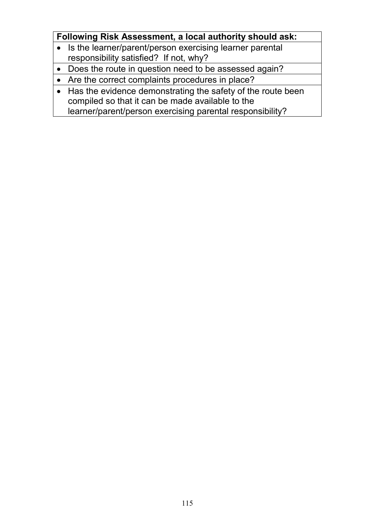# **Following Risk Assessment, a local authority should ask:**

- Is the learner/parent/person exercising learner parental responsibility satisfied? If not, why?
- Does the route in question need to be assessed again?
- Are the correct complaints procedures in place?
- Has the evidence demonstrating the safety of the route been compiled so that it can be made available to the learner/parent/person exercising parental responsibility?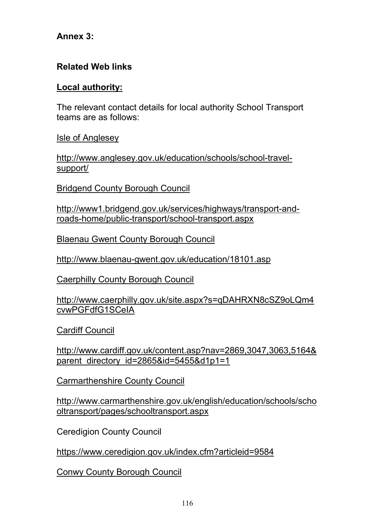## **Annex 3:**

# **Related Web links**

## **Local authority:**

The relevant contact details for local authority School Transport teams are as follows:

Isle of Anglesey

http://www.anglesey.gov.uk/education/schools/school-travelsupport/

Bridgend County Borough Council

http://www1.bridgend.gov.uk/services/highways/transport-androads-home/public-transport/school-transport.aspx

Blaenau Gwent County Borough Council

http://www.blaenau-gwent.gov.uk/education/18101.asp

Caerphilly County Borough Council

http://www.caerphilly.gov.uk/site.aspx?s=qDAHRXN8cSZ9oLQm4 cvwPGFdfG1SCeIA

Cardiff Council

http://www.cardiff.gov.uk/content.asp?nav=2869,3047,3063,5164& parent directory id=2865&id=5455&d1p1=1

Carmarthenshire County Council

http://www.carmarthenshire.gov.uk/english/education/schools/scho oltransport/pages/schooltransport.aspx

Ceredigion County Council

https://www.ceredigion.gov.uk/index.cfm?articleid=9584

Conwy County Borough Council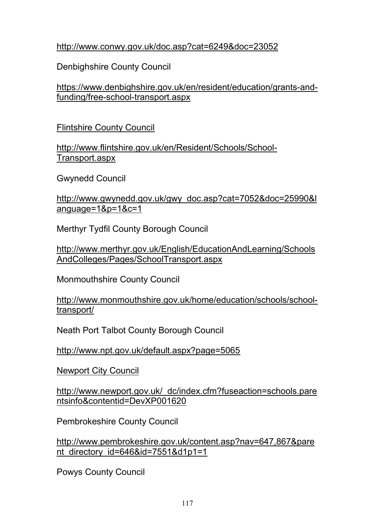# http://www.conwy.gov.uk/doc.asp?cat=6249&doc=23052

Denbighshire County Council

https://www.denbighshire.gov.uk/en/resident/education/grants-andfunding/free-school-transport.aspx

Flintshire County Council

http://www.flintshire.gov.uk/en/Resident/Schools/School-Transport.aspx

Gwynedd Council

http://www.gwynedd.gov.uk/gwy\_doc.asp?cat=7052&doc=25990&l anguage=1&p=1&c=1

Merthyr Tydfil County Borough Council

http://www.merthyr.gov.uk/English/EducationAndLearning/Schools AndColleges/Pages/SchoolTransport.aspx

Monmouthshire County Council

http://www.monmouthshire.gov.uk/home/education/schools/schooltransport/

Neath Port Talbot County Borough Council

http://www.npt.gov.uk/default.aspx?page=5065

Newport City Council

http://www.newport.gov.uk/\_dc/index.cfm?fuseaction=schools.pare ntsinfo&contentid=DevXP001620

Pembrokeshire County Council

http://www.pembrokeshire.gov.uk/content.asp?nav=647,867&pare nt\_directory\_id=646&id=7551&d1p1=1

Powys County Council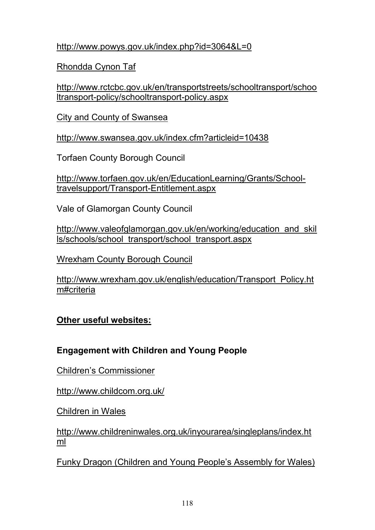http://www.powys.gov.uk/index.php?id=3064&L=0

Rhondda Cynon Taf

http://www.rctcbc.gov.uk/en/transportstreets/schooltransport/schoo ltransport-policy/schooltransport-policy.aspx

City and County of Swansea

http://www.swansea.gov.uk/index.cfm?articleid=10438

Torfaen County Borough Council

http://www.torfaen.gov.uk/en/EducationLearning/Grants/Schooltravelsupport/Transport-Entitlement.aspx

Vale of Glamorgan County Council

http://www.valeofglamorgan.gov.uk/en/working/education\_and\_skil ls/schools/school\_transport/school\_transport.aspx

Wrexham County Borough Council

http://www.wrexham.gov.uk/english/education/Transport\_Policy.ht m#criteria

**Other useful websites:**

# **Engagement with Children and Young People**

Children's Commissioner

http://www.childcom.org.uk/

Children in Wales

http://www.childreninwales.org.uk/inyourarea/singleplans/index.ht ml

Funky Dragon (Children and Young People's Assembly for Wales)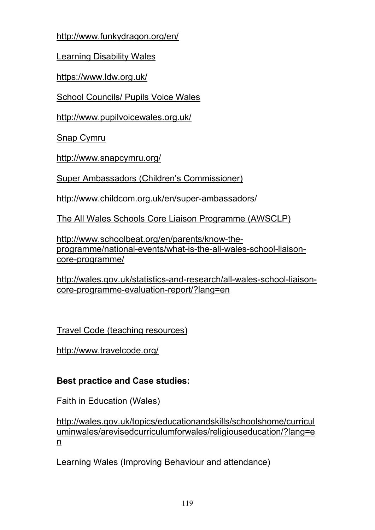http://www.funkydragon.org/en/

Learning Disability Wales

https://www.ldw.org.uk/

School Councils/ Pupils Voice Wales

http://www.pupilvoicewales.org.uk/

Snap Cymru

http://www.snapcymru.org/

Super Ambassadors (Children's Commissioner)

http://www.childcom.org.uk/en/super-ambassadors/

The All Wales Schools Core Liaison Programme (AWSCLP)

http://www.schoolbeat.org/en/parents/know-theprogramme/national-events/what-is-the-all-wales-school-liaisoncore-programme/

http://wales.gov.uk/statistics-and-research/all-wales-school-liaisoncore-programme-evaluation-report/?lang=en

Travel Code (teaching resources)

http://www.travelcode.org/

# **Best practice and Case studies:**

Faith in Education (Wales)

http://wales.gov.uk/topics/educationandskills/schoolshome/curricul uminwales/arevisedcurriculumforwales/religiouseducation/?lang=e n

Learning Wales (Improving Behaviour and attendance)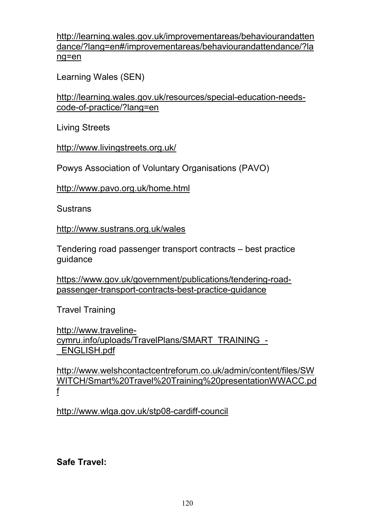http://learning.wales.gov.uk/improvementareas/behaviourandatten dance/?lang=en#/improvementareas/behaviourandattendance/?la ng=en

Learning Wales (SEN)

http://learning.wales.gov.uk/resources/special-education-needscode-of-practice/?lang=en

Living Streets

http://www.livingstreets.org.uk/

Powys Association of Voluntary Organisations (PAVO)

http://www.pavo.org.uk/home.html

Sustrans

http://www.sustrans.org.uk/wales

Tendering road passenger transport contracts – best practice guidance

https://www.gov.uk/government/publications/tendering-roadpassenger-transport-contracts-best-practice-guidance

Travel Training

http://www.travelinecymru.info/uploads/TravelPlans/SMART\_TRAINING\_- \_ENGLISH.pdf

http://www.welshcontactcentreforum.co.uk/admin/content/files/SW WITCH/Smart%20Travel%20Training%20presentationWWACC.pd f

http://www.wlga.gov.uk/stp08-cardiff-council

# **Safe Travel:**